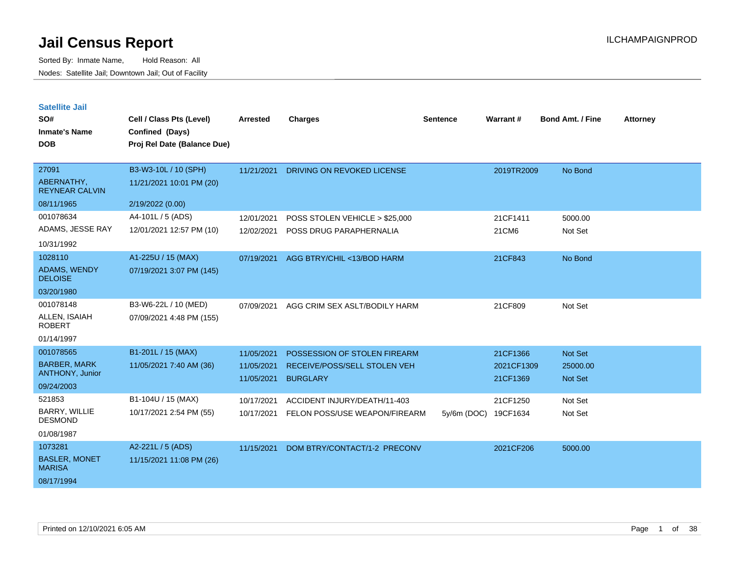Sorted By: Inmate Name, Hold Reason: All Nodes: Satellite Jail; Downtown Jail; Out of Facility

**Satellite Jail**

| Jalulluu Jall<br>SO#<br><b>Inmate's Name</b><br><b>DOB</b> | Cell / Class Pts (Level)<br>Confined (Days)<br>Proj Rel Date (Balance Due) | <b>Arrested</b> | <b>Charges</b>                 | <b>Sentence</b> | Warrant#   | <b>Bond Amt. / Fine</b> | <b>Attorney</b> |
|------------------------------------------------------------|----------------------------------------------------------------------------|-----------------|--------------------------------|-----------------|------------|-------------------------|-----------------|
|                                                            |                                                                            |                 |                                |                 |            |                         |                 |
| 27091                                                      | B3-W3-10L / 10 (SPH)                                                       | 11/21/2021      | DRIVING ON REVOKED LICENSE     |                 | 2019TR2009 | No Bond                 |                 |
| ABERNATHY,<br><b>REYNEAR CALVIN</b>                        | 11/21/2021 10:01 PM (20)                                                   |                 |                                |                 |            |                         |                 |
| 08/11/1965                                                 | 2/19/2022 (0.00)                                                           |                 |                                |                 |            |                         |                 |
| 001078634                                                  | A4-101L / 5 (ADS)                                                          | 12/01/2021      | POSS STOLEN VEHICLE > \$25,000 |                 | 21CF1411   | 5000.00                 |                 |
| ADAMS, JESSE RAY                                           | 12/01/2021 12:57 PM (10)                                                   | 12/02/2021      | POSS DRUG PARAPHERNALIA        |                 | 21CM6      | Not Set                 |                 |
| 10/31/1992                                                 |                                                                            |                 |                                |                 |            |                         |                 |
| 1028110                                                    | A1-225U / 15 (MAX)                                                         | 07/19/2021      | AGG BTRY/CHIL <13/BOD HARM     |                 | 21CF843    | No Bond                 |                 |
| <b>ADAMS, WENDY</b><br><b>DELOISE</b>                      | 07/19/2021 3:07 PM (145)                                                   |                 |                                |                 |            |                         |                 |
| 03/20/1980                                                 |                                                                            |                 |                                |                 |            |                         |                 |
| 001078148                                                  | B3-W6-22L / 10 (MED)                                                       | 07/09/2021      | AGG CRIM SEX ASLT/BODILY HARM  |                 | 21CF809    | Not Set                 |                 |
| ALLEN, ISAIAH<br><b>ROBERT</b>                             | 07/09/2021 4:48 PM (155)                                                   |                 |                                |                 |            |                         |                 |
| 01/14/1997                                                 |                                                                            |                 |                                |                 |            |                         |                 |
| 001078565                                                  | B1-201L / 15 (MAX)                                                         | 11/05/2021      | POSSESSION OF STOLEN FIREARM   |                 | 21CF1366   | Not Set                 |                 |
| <b>BARBER, MARK</b>                                        | 11/05/2021 7:40 AM (36)                                                    | 11/05/2021      | RECEIVE/POSS/SELL STOLEN VEH   |                 | 2021CF1309 | 25000.00                |                 |
| ANTHONY, Junior                                            |                                                                            | 11/05/2021      | <b>BURGLARY</b>                |                 | 21CF1369   | <b>Not Set</b>          |                 |
| 09/24/2003                                                 |                                                                            |                 |                                |                 |            |                         |                 |
| 521853                                                     | B1-104U / 15 (MAX)                                                         | 10/17/2021      | ACCIDENT INJURY/DEATH/11-403   |                 | 21CF1250   | Not Set                 |                 |
| <b>BARRY, WILLIE</b><br><b>DESMOND</b>                     | 10/17/2021 2:54 PM (55)                                                    | 10/17/2021      | FELON POSS/USE WEAPON/FIREARM  | $5y/6m$ (DOC)   | 19CF1634   | Not Set                 |                 |
| 01/08/1987                                                 |                                                                            |                 |                                |                 |            |                         |                 |
| 1073281                                                    | A2-221L / 5 (ADS)                                                          | 11/15/2021      | DOM BTRY/CONTACT/1-2 PRECONV   |                 | 2021CF206  | 5000.00                 |                 |
| <b>BASLER, MONET</b><br><b>MARISA</b>                      | 11/15/2021 11:08 PM (26)                                                   |                 |                                |                 |            |                         |                 |
| 08/17/1994                                                 |                                                                            |                 |                                |                 |            |                         |                 |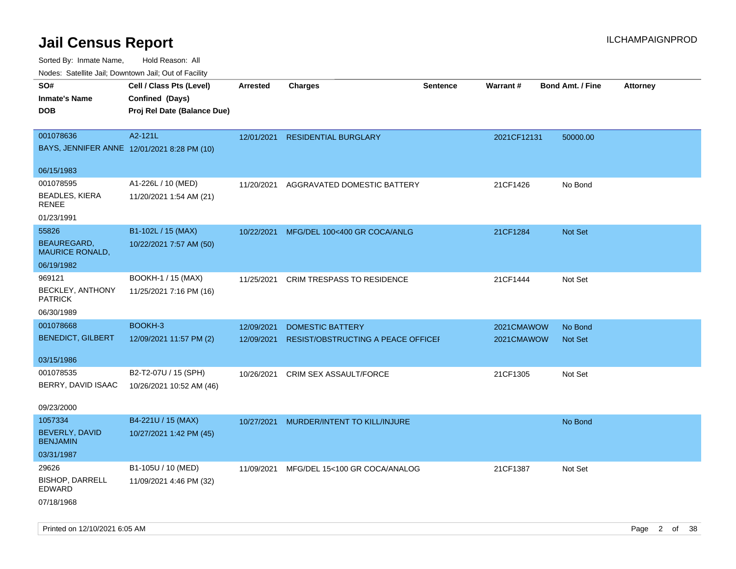| rouco. Calcillo Jali, Downtown Jali, Out of Facility |                             |                 |                                          |                 |             |                         |                 |
|------------------------------------------------------|-----------------------------|-----------------|------------------------------------------|-----------------|-------------|-------------------------|-----------------|
| SO#                                                  | Cell / Class Pts (Level)    | <b>Arrested</b> | <b>Charges</b>                           | <b>Sentence</b> | Warrant#    | <b>Bond Amt. / Fine</b> | <b>Attorney</b> |
| <b>Inmate's Name</b>                                 | Confined (Days)             |                 |                                          |                 |             |                         |                 |
| <b>DOB</b>                                           | Proj Rel Date (Balance Due) |                 |                                          |                 |             |                         |                 |
|                                                      |                             |                 |                                          |                 |             |                         |                 |
| 001078636                                            | A2-121L                     | 12/01/2021      | <b>RESIDENTIAL BURGLARY</b>              |                 | 2021CF12131 | 50000.00                |                 |
| BAYS, JENNIFER ANNE 12/01/2021 8:28 PM (10)          |                             |                 |                                          |                 |             |                         |                 |
| 06/15/1983                                           |                             |                 |                                          |                 |             |                         |                 |
| 001078595                                            | A1-226L / 10 (MED)          | 11/20/2021      | AGGRAVATED DOMESTIC BATTERY              |                 | 21CF1426    | No Bond                 |                 |
| <b>BEADLES, KIERA</b><br>RENEE                       | 11/20/2021 1:54 AM (21)     |                 |                                          |                 |             |                         |                 |
| 01/23/1991                                           |                             |                 |                                          |                 |             |                         |                 |
| 55826                                                | B1-102L / 15 (MAX)          | 10/22/2021      | MFG/DEL 100<400 GR COCA/ANLG             |                 | 21CF1284    | Not Set                 |                 |
| <b>BEAUREGARD,</b><br><b>MAURICE RONALD,</b>         | 10/22/2021 7:57 AM (50)     |                 |                                          |                 |             |                         |                 |
| 06/19/1982                                           |                             |                 |                                          |                 |             |                         |                 |
| 969121                                               | BOOKH-1 / 15 (MAX)          | 11/25/2021      | <b>CRIM TRESPASS TO RESIDENCE</b>        |                 | 21CF1444    | Not Set                 |                 |
| <b>BECKLEY, ANTHONY</b><br><b>PATRICK</b>            | 11/25/2021 7:16 PM (16)     |                 |                                          |                 |             |                         |                 |
| 06/30/1989                                           |                             |                 |                                          |                 |             |                         |                 |
| 001078668                                            | BOOKH-3                     | 12/09/2021      | <b>DOMESTIC BATTERY</b>                  |                 | 2021CMAWOW  | No Bond                 |                 |
| <b>BENEDICT, GILBERT</b>                             | 12/09/2021 11:57 PM (2)     | 12/09/2021      | RESIST/OBSTRUCTING A PEACE OFFICEI       |                 | 2021CMAWOW  | Not Set                 |                 |
| 03/15/1986                                           |                             |                 |                                          |                 |             |                         |                 |
| 001078535                                            | B2-T2-07U / 15 (SPH)        | 10/26/2021      | CRIM SEX ASSAULT/FORCE                   |                 | 21CF1305    | Not Set                 |                 |
| BERRY, DAVID ISAAC                                   | 10/26/2021 10:52 AM (46)    |                 |                                          |                 |             |                         |                 |
| 09/23/2000                                           |                             |                 |                                          |                 |             |                         |                 |
| 1057334                                              | B4-221U / 15 (MAX)          | 10/27/2021      | MURDER/INTENT TO KILL/INJURE             |                 |             | No Bond                 |                 |
| <b>BEVERLY, DAVID</b><br><b>BENJAMIN</b>             | 10/27/2021 1:42 PM (45)     |                 |                                          |                 |             |                         |                 |
| 03/31/1987                                           |                             |                 |                                          |                 |             |                         |                 |
| 29626                                                | B1-105U / 10 (MED)          |                 | 11/09/2021 MFG/DEL 15<100 GR COCA/ANALOG |                 | 21CF1387    | Not Set                 |                 |
| <b>BISHOP, DARRELL</b><br>EDWARD                     | 11/09/2021 4:46 PM (32)     |                 |                                          |                 |             |                         |                 |
| 07/18/1968                                           |                             |                 |                                          |                 |             |                         |                 |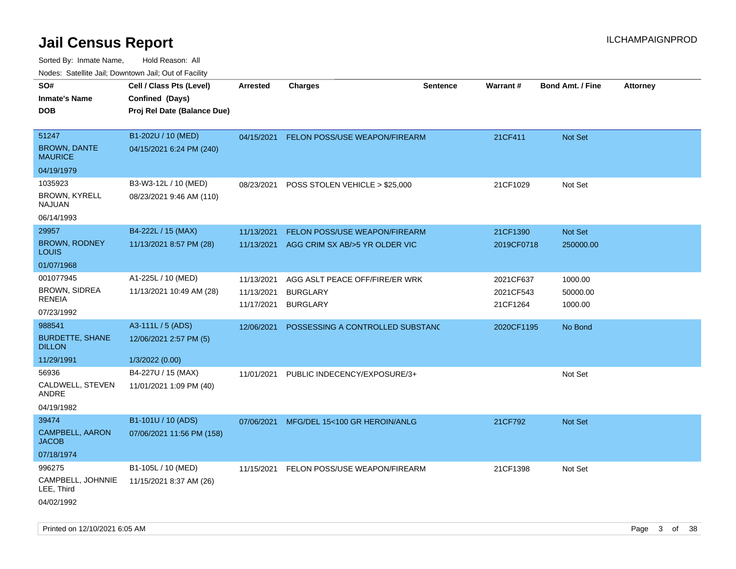| ivouss. Satellite Jali, Downtown Jali, Out of Facility           |                                                  |                                        |                                                                      |                 |                                    |                                |                 |
|------------------------------------------------------------------|--------------------------------------------------|----------------------------------------|----------------------------------------------------------------------|-----------------|------------------------------------|--------------------------------|-----------------|
| SO#<br>Inmate's Name                                             | Cell / Class Pts (Level)<br>Confined (Days)      | <b>Arrested</b>                        | <b>Charges</b>                                                       | <b>Sentence</b> | <b>Warrant#</b>                    | <b>Bond Amt. / Fine</b>        | <b>Attorney</b> |
| DOB                                                              | Proj Rel Date (Balance Due)                      |                                        |                                                                      |                 |                                    |                                |                 |
| 51247<br><b>BROWN, DANTE</b><br><b>MAURICE</b>                   | B1-202U / 10 (MED)<br>04/15/2021 6:24 PM (240)   | 04/15/2021                             | <b>FELON POSS/USE WEAPON/FIREARM</b>                                 |                 | 21CF411                            | <b>Not Set</b>                 |                 |
| 04/19/1979                                                       |                                                  |                                        |                                                                      |                 |                                    |                                |                 |
| 1035923<br><b>BROWN, KYRELL</b><br>NAJUAN                        | B3-W3-12L / 10 (MED)<br>08/23/2021 9:46 AM (110) | 08/23/2021                             | POSS STOLEN VEHICLE > \$25,000                                       |                 | 21CF1029                           | Not Set                        |                 |
| 06/14/1993                                                       |                                                  |                                        |                                                                      |                 |                                    |                                |                 |
| 29957<br><b>BROWN, RODNEY</b><br>Louis                           | B4-222L / 15 (MAX)<br>11/13/2021 8:57 PM (28)    | 11/13/2021<br>11/13/2021               | FELON POSS/USE WEAPON/FIREARM<br>AGG CRIM SX AB/>5 YR OLDER VIC      |                 | 21CF1390<br>2019CF0718             | Not Set<br>250000.00           |                 |
| 01/07/1968                                                       |                                                  |                                        |                                                                      |                 |                                    |                                |                 |
| 001077945<br><b>BROWN, SIDREA</b><br><b>RENEIA</b><br>07/23/1992 | A1-225L / 10 (MED)<br>11/13/2021 10:49 AM (28)   | 11/13/2021<br>11/13/2021<br>11/17/2021 | AGG ASLT PEACE OFF/FIRE/ER WRK<br><b>BURGLARY</b><br><b>BURGLARY</b> |                 | 2021CF637<br>2021CF543<br>21CF1264 | 1000.00<br>50000.00<br>1000.00 |                 |
| 988541                                                           | A3-111L / 5 (ADS)                                | 12/06/2021                             | POSSESSING A CONTROLLED SUBSTAND                                     |                 | 2020CF1195                         | No Bond                        |                 |
| <b>BURDETTE, SHANE</b><br><b>DILLON</b>                          | 12/06/2021 2:57 PM (5)                           |                                        |                                                                      |                 |                                    |                                |                 |
| 11/29/1991                                                       | 1/3/2022 (0.00)                                  |                                        |                                                                      |                 |                                    |                                |                 |
| 56936<br>CALDWELL, STEVEN<br>ANDRE                               | B4-227U / 15 (MAX)<br>11/01/2021 1:09 PM (40)    | 11/01/2021                             | PUBLIC INDECENCY/EXPOSURE/3+                                         |                 |                                    | Not Set                        |                 |
| 04/19/1982                                                       |                                                  |                                        |                                                                      |                 |                                    |                                |                 |
| 39474<br><b>CAMPBELL, AARON</b><br>JACOB                         | B1-101U / 10 (ADS)<br>07/06/2021 11:56 PM (158)  | 07/06/2021                             | MFG/DEL 15<100 GR HEROIN/ANLG                                        |                 | 21CF792                            | <b>Not Set</b>                 |                 |
| 07/18/1974                                                       |                                                  |                                        |                                                                      |                 |                                    |                                |                 |
| 996275<br>CAMPBELL, JOHNNIE<br>LEE, Third<br>04/02/1992          | B1-105L / 10 (MED)<br>11/15/2021 8:37 AM (26)    | 11/15/2021                             | FELON POSS/USE WEAPON/FIREARM                                        |                 | 21CF1398                           | Not Set                        |                 |
|                                                                  |                                                  |                                        |                                                                      |                 |                                    |                                |                 |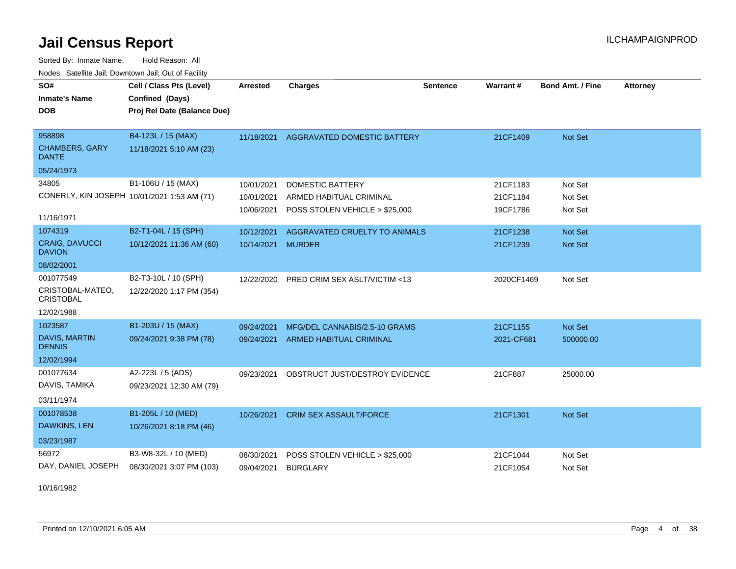Sorted By: Inmate Name, Hold Reason: All Nodes: Satellite Jail; Downtown Jail; Out of Facility

| SO#                                         | Cell / Class Pts (Level)                       | <b>Arrested</b>     | <b>Charges</b>                 | <b>Sentence</b> | <b>Warrant#</b> | <b>Bond Amt. / Fine</b> | <b>Attorney</b> |
|---------------------------------------------|------------------------------------------------|---------------------|--------------------------------|-----------------|-----------------|-------------------------|-----------------|
| <b>Inmate's Name</b><br><b>DOB</b>          | Confined (Days)<br>Proj Rel Date (Balance Due) |                     |                                |                 |                 |                         |                 |
|                                             |                                                |                     |                                |                 |                 |                         |                 |
| 958898                                      | B4-123L / 15 (MAX)                             | 11/18/2021          | AGGRAVATED DOMESTIC BATTERY    |                 | 21CF1409        | <b>Not Set</b>          |                 |
| <b>CHAMBERS, GARY</b><br><b>DANTE</b>       | 11/18/2021 5:10 AM (23)                        |                     |                                |                 |                 |                         |                 |
| 05/24/1973                                  |                                                |                     |                                |                 |                 |                         |                 |
| 34805                                       | B1-106U / 15 (MAX)                             | 10/01/2021          | <b>DOMESTIC BATTERY</b>        |                 | 21CF1183        | Not Set                 |                 |
| CONERLY, KIN JOSEPH 10/01/2021 1:53 AM (71) |                                                | 10/01/2021          | ARMED HABITUAL CRIMINAL        |                 | 21CF1184        | Not Set                 |                 |
| 11/16/1971                                  |                                                | 10/06/2021          | POSS STOLEN VEHICLE > \$25,000 |                 | 19CF1786        | Not Set                 |                 |
| 1074319                                     | B2-T1-04L / 15 (SPH)                           | 10/12/2021          | AGGRAVATED CRUELTY TO ANIMALS  |                 | 21CF1238        | Not Set                 |                 |
| <b>CRAIG, DAVUCCI</b><br><b>DAVION</b>      | 10/12/2021 11:36 AM (60)                       | 10/14/2021          | <b>MURDER</b>                  |                 | 21CF1239        | <b>Not Set</b>          |                 |
| 08/02/2001                                  |                                                |                     |                                |                 |                 |                         |                 |
| 001077549                                   | B2-T3-10L / 10 (SPH)                           | 12/22/2020          | PRED CRIM SEX ASLT/VICTIM <13  |                 | 2020CF1469      | Not Set                 |                 |
| CRISTOBAL-MATEO,<br><b>CRISTOBAL</b>        | 12/22/2020 1:17 PM (354)                       |                     |                                |                 |                 |                         |                 |
| 12/02/1988                                  |                                                |                     |                                |                 |                 |                         |                 |
| 1023587                                     | B1-203U / 15 (MAX)                             | 09/24/2021          | MFG/DEL CANNABIS/2.5-10 GRAMS  |                 | 21CF1155        | Not Set                 |                 |
| DAVIS, MARTIN<br><b>DENNIS</b>              | 09/24/2021 9:38 PM (78)                        | 09/24/2021          | ARMED HABITUAL CRIMINAL        |                 | 2021-CF681      | 500000.00               |                 |
| 12/02/1994                                  |                                                |                     |                                |                 |                 |                         |                 |
| 001077634                                   | A2-223L / 5 (ADS)                              | 09/23/2021          | OBSTRUCT JUST/DESTROY EVIDENCE |                 | 21CF887         | 25000.00                |                 |
| DAVIS, TAMIKA                               | 09/23/2021 12:30 AM (79)                       |                     |                                |                 |                 |                         |                 |
| 03/11/1974                                  |                                                |                     |                                |                 |                 |                         |                 |
| 001078538                                   | B1-205L / 10 (MED)                             | 10/26/2021          | <b>CRIM SEX ASSAULT/FORCE</b>  |                 | 21CF1301        | <b>Not Set</b>          |                 |
| DAWKINS, LEN                                | 10/26/2021 8:18 PM (46)                        |                     |                                |                 |                 |                         |                 |
| 03/23/1987                                  |                                                |                     |                                |                 |                 |                         |                 |
| 56972                                       | B3-W8-32L / 10 (MED)                           | 08/30/2021          | POSS STOLEN VEHICLE > \$25,000 |                 | 21CF1044        | Not Set                 |                 |
| DAY, DANIEL JOSEPH                          | 08/30/2021 3:07 PM (103)                       | 09/04/2021 BURGLARY |                                |                 | 21CF1054        | Not Set                 |                 |

10/16/1982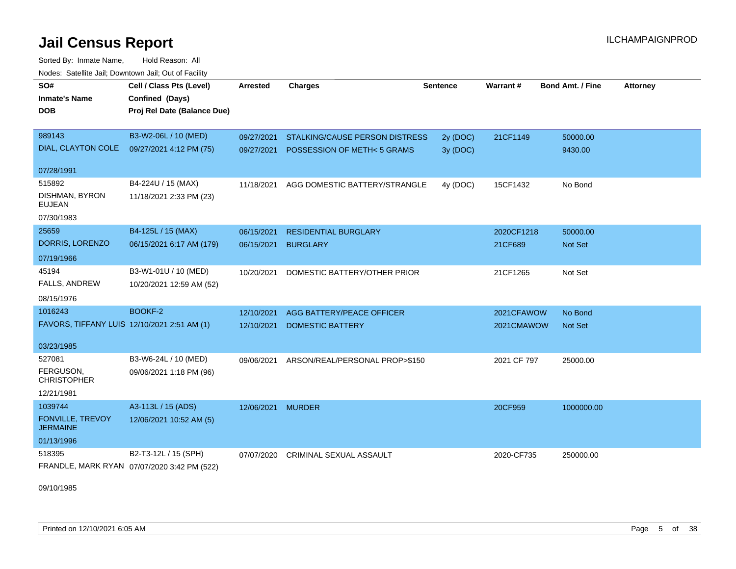Sorted By: Inmate Name, Hold Reason: All Nodes: Satellite Jail; Downtown Jail; Out of Facility

| SO#                                         | Cell / Class Pts (Level)                    | <b>Arrested</b>   | <b>Charges</b>                 | <b>Sentence</b> | Warrant#    | <b>Bond Amt. / Fine</b> | <b>Attorney</b> |
|---------------------------------------------|---------------------------------------------|-------------------|--------------------------------|-----------------|-------------|-------------------------|-----------------|
| <b>Inmate's Name</b>                        | Confined (Days)                             |                   |                                |                 |             |                         |                 |
| <b>DOB</b>                                  | Proj Rel Date (Balance Due)                 |                   |                                |                 |             |                         |                 |
|                                             |                                             |                   |                                |                 |             |                         |                 |
| 989143                                      | B3-W2-06L / 10 (MED)                        | 09/27/2021        | STALKING/CAUSE PERSON DISTRESS | 2y (DOC)        | 21CF1149    | 50000.00                |                 |
| DIAL, CLAYTON COLE                          | 09/27/2021 4:12 PM (75)                     | 09/27/2021        | POSSESSION OF METH< 5 GRAMS    | 3y(DOC)         |             | 9430.00                 |                 |
| 07/28/1991                                  |                                             |                   |                                |                 |             |                         |                 |
| 515892                                      | B4-224U / 15 (MAX)                          | 11/18/2021        | AGG DOMESTIC BATTERY/STRANGLE  | 4y (DOC)        | 15CF1432    | No Bond                 |                 |
| DISHMAN, BYRON<br><b>EUJEAN</b>             | 11/18/2021 2:33 PM (23)                     |                   |                                |                 |             |                         |                 |
| 07/30/1983                                  |                                             |                   |                                |                 |             |                         |                 |
| 25659                                       | B4-125L / 15 (MAX)                          | 06/15/2021        | <b>RESIDENTIAL BURGLARY</b>    |                 | 2020CF1218  | 50000.00                |                 |
| DORRIS, LORENZO                             | 06/15/2021 6:17 AM (179)                    | 06/15/2021        | <b>BURGLARY</b>                |                 | 21CF689     | Not Set                 |                 |
| 07/19/1966                                  |                                             |                   |                                |                 |             |                         |                 |
| 45194                                       | B3-W1-01U / 10 (MED)                        | 10/20/2021        | DOMESTIC BATTERY/OTHER PRIOR   |                 | 21CF1265    | Not Set                 |                 |
| <b>FALLS, ANDREW</b>                        | 10/20/2021 12:59 AM (52)                    |                   |                                |                 |             |                         |                 |
| 08/15/1976                                  |                                             |                   |                                |                 |             |                         |                 |
| 1016243                                     | BOOKF-2                                     | 12/10/2021        | AGG BATTERY/PEACE OFFICER      |                 | 2021CFAWOW  | No Bond                 |                 |
| FAVORS, TIFFANY LUIS 12/10/2021 2:51 AM (1) |                                             | 12/10/2021        | DOMESTIC BATTERY               |                 | 2021CMAWOW  | <b>Not Set</b>          |                 |
|                                             |                                             |                   |                                |                 |             |                         |                 |
| 03/23/1985                                  |                                             |                   |                                |                 |             |                         |                 |
| 527081<br>FERGUSON,                         | B3-W6-24L / 10 (MED)                        | 09/06/2021        | ARSON/REAL/PERSONAL PROP>\$150 |                 | 2021 CF 797 | 25000.00                |                 |
| <b>CHRISTOPHER</b>                          | 09/06/2021 1:18 PM (96)                     |                   |                                |                 |             |                         |                 |
| 12/21/1981                                  |                                             |                   |                                |                 |             |                         |                 |
| 1039744                                     | A3-113L / 15 (ADS)                          | 12/06/2021 MURDER |                                |                 | 20CF959     | 1000000.00              |                 |
| FONVILLE, TREVOY<br><b>JERMAINE</b>         | 12/06/2021 10:52 AM (5)                     |                   |                                |                 |             |                         |                 |
| 01/13/1996                                  |                                             |                   |                                |                 |             |                         |                 |
| 518395                                      | B2-T3-12L / 15 (SPH)                        | 07/07/2020        | CRIMINAL SEXUAL ASSAULT        |                 | 2020-CF735  | 250000.00               |                 |
|                                             | FRANDLE, MARK RYAN 07/07/2020 3:42 PM (522) |                   |                                |                 |             |                         |                 |

09/10/1985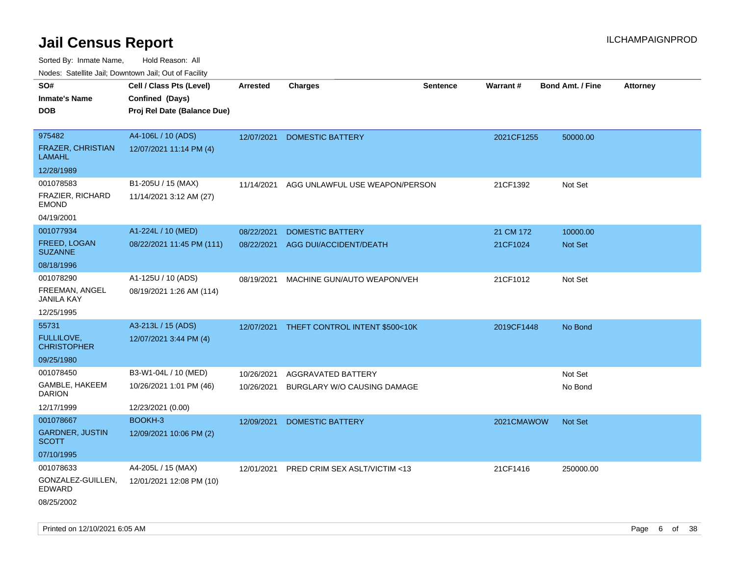| rouco. Calcillo Jali, Downtown Jali, Out of Facility |                                                                            |                 |                                |                 |            |                         |                 |
|------------------------------------------------------|----------------------------------------------------------------------------|-----------------|--------------------------------|-----------------|------------|-------------------------|-----------------|
| SO#<br>Inmate's Name<br>DOB                          | Cell / Class Pts (Level)<br>Confined (Days)<br>Proj Rel Date (Balance Due) | <b>Arrested</b> | <b>Charges</b>                 | <b>Sentence</b> | Warrant#   | <b>Bond Amt. / Fine</b> | <b>Attorney</b> |
|                                                      |                                                                            |                 |                                |                 |            |                         |                 |
| 975482<br>FRAZER, CHRISTIAN<br>LAMAHL                | A4-106L / 10 (ADS)<br>12/07/2021 11:14 PM (4)                              | 12/07/2021      | DOMESTIC BATTERY               |                 | 2021CF1255 | 50000.00                |                 |
| 12/28/1989                                           |                                                                            |                 |                                |                 |            |                         |                 |
| 001078583                                            | B1-205U / 15 (MAX)                                                         | 11/14/2021      | AGG UNLAWFUL USE WEAPON/PERSON |                 | 21CF1392   | Not Set                 |                 |
| FRAZIER, RICHARD<br>EMOND                            | 11/14/2021 3:12 AM (27)                                                    |                 |                                |                 |            |                         |                 |
| 04/19/2001                                           |                                                                            |                 |                                |                 |            |                         |                 |
| 001077934                                            | A1-224L / 10 (MED)                                                         | 08/22/2021      | <b>DOMESTIC BATTERY</b>        |                 | 21 CM 172  | 10000.00                |                 |
| FREED, LOGAN<br><b>SUZANNE</b>                       | 08/22/2021 11:45 PM (111)                                                  | 08/22/2021      | AGG DUI/ACCIDENT/DEATH         |                 | 21CF1024   | Not Set                 |                 |
| 08/18/1996                                           |                                                                            |                 |                                |                 |            |                         |                 |
| 001078290                                            | A1-125U / 10 (ADS)                                                         | 08/19/2021      | MACHINE GUN/AUTO WEAPON/VEH    |                 | 21CF1012   | Not Set                 |                 |
| FREEMAN, ANGEL<br>JANILA KAY                         | 08/19/2021 1:26 AM (114)                                                   |                 |                                |                 |            |                         |                 |
| 12/25/1995                                           |                                                                            |                 |                                |                 |            |                         |                 |
| 55731                                                | A3-213L / 15 (ADS)                                                         | 12/07/2021      | THEFT CONTROL INTENT \$500<10K |                 | 2019CF1448 | No Bond                 |                 |
| FULLILOVE,<br>CHRISTOPHER                            | 12/07/2021 3:44 PM (4)                                                     |                 |                                |                 |            |                         |                 |
| 09/25/1980                                           |                                                                            |                 |                                |                 |            |                         |                 |
| 001078450                                            | B3-W1-04L / 10 (MED)                                                       | 10/26/2021      | AGGRAVATED BATTERY             |                 |            | Not Set                 |                 |
| GAMBLE, HAKEEM<br>DARION                             | 10/26/2021 1:01 PM (46)                                                    | 10/26/2021      | BURGLARY W/O CAUSING DAMAGE    |                 |            | No Bond                 |                 |
| 12/17/1999                                           | 12/23/2021 (0.00)                                                          |                 |                                |                 |            |                         |                 |
| 001078667                                            | BOOKH-3                                                                    | 12/09/2021      | <b>DOMESTIC BATTERY</b>        |                 | 2021CMAWOW | <b>Not Set</b>          |                 |
| <b>GARDNER, JUSTIN</b><br>SCOTT                      | 12/09/2021 10:06 PM (2)                                                    |                 |                                |                 |            |                         |                 |
| 07/10/1995                                           |                                                                            |                 |                                |                 |            |                         |                 |
| 001078633                                            | A4-205L / 15 (MAX)                                                         | 12/01/2021      | PRED CRIM SEX ASLT/VICTIM <13  |                 | 21CF1416   | 250000.00               |                 |
| GONZALEZ-GUILLEN,<br>EDWARD                          | 12/01/2021 12:08 PM (10)                                                   |                 |                                |                 |            |                         |                 |
| 08/25/2002                                           |                                                                            |                 |                                |                 |            |                         |                 |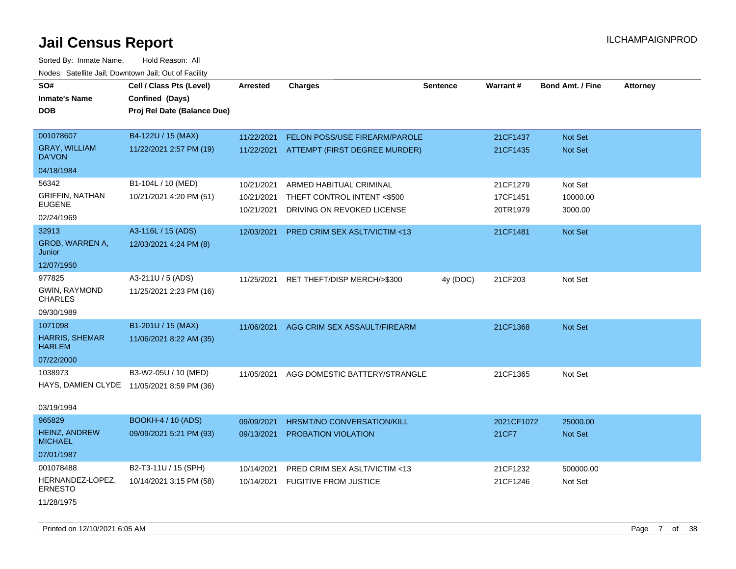| SO#                                    | Cell / Class Pts (Level)                   | <b>Arrested</b> | <b>Charges</b>                           | <b>Sentence</b> | Warrant#   | <b>Bond Amt. / Fine</b> | <b>Attorney</b> |
|----------------------------------------|--------------------------------------------|-----------------|------------------------------------------|-----------------|------------|-------------------------|-----------------|
| <b>Inmate's Name</b>                   | Confined (Days)                            |                 |                                          |                 |            |                         |                 |
| <b>DOB</b>                             | Proj Rel Date (Balance Due)                |                 |                                          |                 |            |                         |                 |
|                                        |                                            |                 |                                          |                 |            |                         |                 |
| 001078607                              | B4-122U / 15 (MAX)                         | 11/22/2021      | <b>FELON POSS/USE FIREARM/PAROLE</b>     |                 | 21CF1437   | Not Set                 |                 |
| <b>GRAY, WILLIAM</b><br>DA'VON         | 11/22/2021 2:57 PM (19)                    |                 | 11/22/2021 ATTEMPT (FIRST DEGREE MURDER) |                 | 21CF1435   | Not Set                 |                 |
| 04/18/1984                             |                                            |                 |                                          |                 |            |                         |                 |
| 56342                                  | B1-104L / 10 (MED)                         | 10/21/2021      | ARMED HABITUAL CRIMINAL                  |                 | 21CF1279   | Not Set                 |                 |
| <b>GRIFFIN, NATHAN</b>                 | 10/21/2021 4:20 PM (51)                    | 10/21/2021      | THEFT CONTROL INTENT <\$500              |                 | 17CF1451   | 10000.00                |                 |
| <b>EUGENE</b>                          |                                            | 10/21/2021      | DRIVING ON REVOKED LICENSE               |                 | 20TR1979   | 3000.00                 |                 |
| 02/24/1969                             |                                            |                 |                                          |                 |            |                         |                 |
| 32913                                  | A3-116L / 15 (ADS)                         | 12/03/2021      | PRED CRIM SEX ASLT/VICTIM <13            |                 | 21CF1481   | <b>Not Set</b>          |                 |
| GROB, WARREN A,<br>Junior              | 12/03/2021 4:24 PM (8)                     |                 |                                          |                 |            |                         |                 |
| 12/07/1950                             |                                            |                 |                                          |                 |            |                         |                 |
| 977825                                 | A3-211U / 5 (ADS)                          | 11/25/2021      | RET THEFT/DISP MERCH/>\$300              | 4y (DOC)        | 21CF203    | Not Set                 |                 |
| GWIN, RAYMOND<br><b>CHARLES</b>        | 11/25/2021 2:23 PM (16)                    |                 |                                          |                 |            |                         |                 |
| 09/30/1989                             |                                            |                 |                                          |                 |            |                         |                 |
| 1071098                                | B1-201U / 15 (MAX)                         | 11/06/2021      | AGG CRIM SEX ASSAULT/FIREARM             |                 | 21CF1368   | <b>Not Set</b>          |                 |
| <b>HARRIS, SHEMAR</b><br><b>HARLEM</b> | 11/06/2021 8:22 AM (35)                    |                 |                                          |                 |            |                         |                 |
| 07/22/2000                             |                                            |                 |                                          |                 |            |                         |                 |
| 1038973                                | B3-W2-05U / 10 (MED)                       | 11/05/2021      | AGG DOMESTIC BATTERY/STRANGLE            |                 | 21CF1365   | Not Set                 |                 |
|                                        | HAYS, DAMIEN CLYDE 11/05/2021 8:59 PM (36) |                 |                                          |                 |            |                         |                 |
| 03/19/1994                             |                                            |                 |                                          |                 |            |                         |                 |
| 965829                                 | <b>BOOKH-4 / 10 (ADS)</b>                  | 09/09/2021      | HRSMT/NO CONVERSATION/KILL               |                 | 2021CF1072 | 25000.00                |                 |
| <b>HEINZ, ANDREW</b><br><b>MICHAEL</b> | 09/09/2021 5:21 PM (93)                    | 09/13/2021      | PROBATION VIOLATION                      |                 | 21CF7      | Not Set                 |                 |
| 07/01/1987                             |                                            |                 |                                          |                 |            |                         |                 |
| 001078488                              | B2-T3-11U / 15 (SPH)                       | 10/14/2021      | PRED CRIM SEX ASLT/VICTIM <13            |                 | 21CF1232   | 500000.00               |                 |
| HERNANDEZ-LOPEZ,<br><b>ERNESTO</b>     | 10/14/2021 3:15 PM (58)                    | 10/14/2021      | <b>FUGITIVE FROM JUSTICE</b>             |                 | 21CF1246   | Not Set                 |                 |
| 11/28/1975                             |                                            |                 |                                          |                 |            |                         |                 |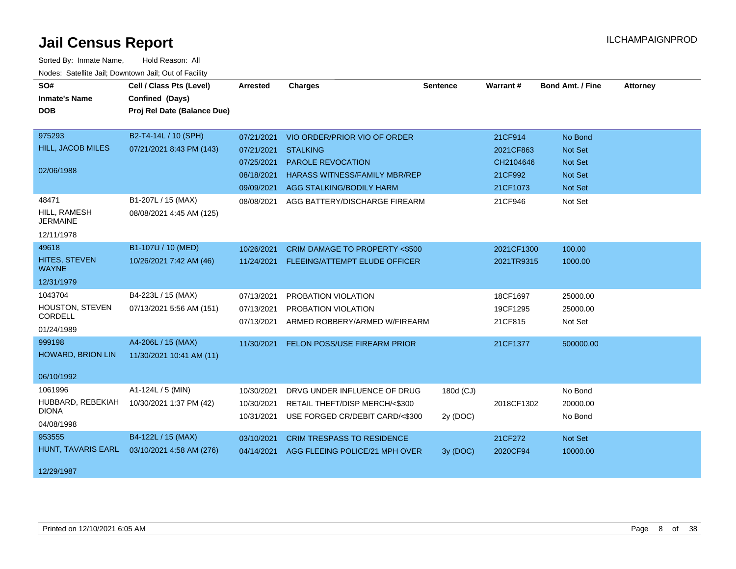| SO#                             | Cell / Class Pts (Level)    | Arrested   | <b>Charges</b>                           | <b>Sentence</b> | Warrant#   | <b>Bond Amt. / Fine</b> | <b>Attorney</b> |
|---------------------------------|-----------------------------|------------|------------------------------------------|-----------------|------------|-------------------------|-----------------|
| <b>Inmate's Name</b>            | Confined (Days)             |            |                                          |                 |            |                         |                 |
| <b>DOB</b>                      | Proj Rel Date (Balance Due) |            |                                          |                 |            |                         |                 |
|                                 |                             |            |                                          |                 |            |                         |                 |
| 975293                          | B2-T4-14L / 10 (SPH)        | 07/21/2021 | VIO ORDER/PRIOR VIO OF ORDER             |                 | 21CF914    | No Bond                 |                 |
| <b>HILL, JACOB MILES</b>        | 07/21/2021 8:43 PM (143)    | 07/21/2021 | <b>STALKING</b>                          |                 | 2021CF863  | Not Set                 |                 |
|                                 |                             | 07/25/2021 | PAROLE REVOCATION                        |                 | CH2104646  | Not Set                 |                 |
| 02/06/1988                      |                             | 08/18/2021 | <b>HARASS WITNESS/FAMILY MBR/REP</b>     |                 | 21CF992    | Not Set                 |                 |
|                                 |                             | 09/09/2021 | AGG STALKING/BODILY HARM                 |                 | 21CF1073   | Not Set                 |                 |
| 48471                           | B1-207L / 15 (MAX)          | 08/08/2021 | AGG BATTERY/DISCHARGE FIREARM            |                 | 21CF946    | Not Set                 |                 |
| HILL, RAMESH<br><b>JERMAINE</b> | 08/08/2021 4:45 AM (125)    |            |                                          |                 |            |                         |                 |
| 12/11/1978                      |                             |            |                                          |                 |            |                         |                 |
| 49618                           | B1-107U / 10 (MED)          | 10/26/2021 | <b>CRIM DAMAGE TO PROPERTY &lt;\$500</b> |                 | 2021CF1300 | 100.00                  |                 |
| HITES, STEVEN<br><b>WAYNE</b>   | 10/26/2021 7:42 AM (46)     | 11/24/2021 | FLEEING/ATTEMPT ELUDE OFFICER            |                 | 2021TR9315 | 1000.00                 |                 |
| 12/31/1979                      |                             |            |                                          |                 |            |                         |                 |
| 1043704                         | B4-223L / 15 (MAX)          | 07/13/2021 | PROBATION VIOLATION                      |                 | 18CF1697   | 25000.00                |                 |
| HOUSTON, STEVEN                 | 07/13/2021 5:56 AM (151)    | 07/13/2021 | PROBATION VIOLATION                      |                 | 19CF1295   | 25000.00                |                 |
| CORDELL                         |                             | 07/13/2021 | ARMED ROBBERY/ARMED W/FIREARM            |                 | 21CF815    | Not Set                 |                 |
| 01/24/1989                      |                             |            |                                          |                 |            |                         |                 |
| 999198                          | A4-206L / 15 (MAX)          | 11/30/2021 | FELON POSS/USE FIREARM PRIOR             |                 | 21CF1377   | 500000.00               |                 |
| HOWARD, BRION LIN               | 11/30/2021 10:41 AM (11)    |            |                                          |                 |            |                         |                 |
| 06/10/1992                      |                             |            |                                          |                 |            |                         |                 |
| 1061996                         | A1-124L / 5 (MIN)           | 10/30/2021 | DRVG UNDER INFLUENCE OF DRUG             | 180d (CJ)       |            | No Bond                 |                 |
| HUBBARD, REBEKIAH               | 10/30/2021 1:37 PM (42)     | 10/30/2021 | RETAIL THEFT/DISP MERCH/<\$300           |                 | 2018CF1302 | 20000.00                |                 |
| <b>DIONA</b>                    |                             | 10/31/2021 | USE FORGED CR/DEBIT CARD/<\$300          | 2y (DOC)        |            | No Bond                 |                 |
| 04/08/1998                      |                             |            |                                          |                 |            |                         |                 |
| 953555                          | B4-122L / 15 (MAX)          | 03/10/2021 | <b>CRIM TRESPASS TO RESIDENCE</b>        |                 | 21CF272    | Not Set                 |                 |
| HUNT, TAVARIS EARL              | 03/10/2021 4:58 AM (276)    | 04/14/2021 | AGG FLEEING POLICE/21 MPH OVER           | 3y (DOC)        | 2020CF94   | 10000.00                |                 |
| 12/29/1987                      |                             |            |                                          |                 |            |                         |                 |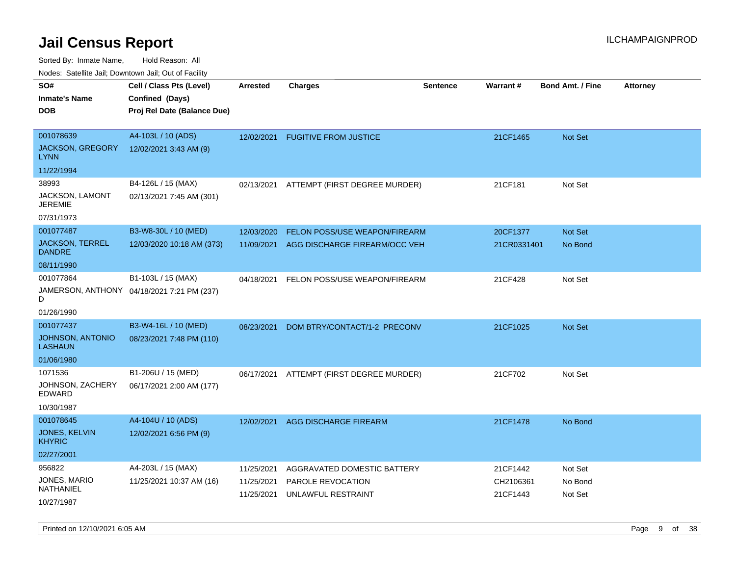Sorted By: Inmate Name, Hold Reason: All

|  | Nodes: Satellite Jail; Downtown Jail; Out of Facility |  |  |  |
|--|-------------------------------------------------------|--|--|--|
|--|-------------------------------------------------------|--|--|--|

| SO#<br><b>Inmate's Name</b>             | Cell / Class Pts (Level)<br>Confined (Days) | <b>Arrested</b> | <b>Charges</b>                | <b>Sentence</b> | Warrant#    | <b>Bond Amt. / Fine</b> | <b>Attorney</b> |
|-----------------------------------------|---------------------------------------------|-----------------|-------------------------------|-----------------|-------------|-------------------------|-----------------|
| <b>DOB</b>                              | Proj Rel Date (Balance Due)                 |                 |                               |                 |             |                         |                 |
|                                         |                                             |                 |                               |                 |             |                         |                 |
| 001078639<br><b>JACKSON, GREGORY</b>    | A4-103L / 10 (ADS)                          | 12/02/2021      | <b>FUGITIVE FROM JUSTICE</b>  |                 | 21CF1465    | Not Set                 |                 |
| <b>LYNN</b>                             | 12/02/2021 3:43 AM (9)                      |                 |                               |                 |             |                         |                 |
| 11/22/1994                              |                                             |                 |                               |                 |             |                         |                 |
| 38993                                   | B4-126L / 15 (MAX)                          | 02/13/2021      | ATTEMPT (FIRST DEGREE MURDER) |                 | 21CF181     | Not Set                 |                 |
| JACKSON, LAMONT<br><b>JEREMIE</b>       | 02/13/2021 7:45 AM (301)                    |                 |                               |                 |             |                         |                 |
| 07/31/1973                              |                                             |                 |                               |                 |             |                         |                 |
| 001077487                               | B3-W8-30L / 10 (MED)                        | 12/03/2020      | FELON POSS/USE WEAPON/FIREARM |                 | 20CF1377    | Not Set                 |                 |
| <b>JACKSON, TERREL</b><br><b>DANDRE</b> | 12/03/2020 10:18 AM (373)                   | 11/09/2021      | AGG DISCHARGE FIREARM/OCC VEH |                 | 21CR0331401 | No Bond                 |                 |
| 08/11/1990                              |                                             |                 |                               |                 |             |                         |                 |
| 001077864                               | B1-103L / 15 (MAX)                          | 04/18/2021      | FELON POSS/USE WEAPON/FIREARM |                 | 21CF428     | Not Set                 |                 |
| D                                       | JAMERSON, ANTHONY 04/18/2021 7:21 PM (237)  |                 |                               |                 |             |                         |                 |
| 01/26/1990                              |                                             |                 |                               |                 |             |                         |                 |
| 001077437                               | B3-W4-16L / 10 (MED)                        | 08/23/2021      | DOM BTRY/CONTACT/1-2 PRECONV  |                 | 21CF1025    | Not Set                 |                 |
| JOHNSON, ANTONIO<br><b>LASHAUN</b>      | 08/23/2021 7:48 PM (110)                    |                 |                               |                 |             |                         |                 |
| 01/06/1980                              |                                             |                 |                               |                 |             |                         |                 |
| 1071536                                 | B1-206U / 15 (MED)                          | 06/17/2021      | ATTEMPT (FIRST DEGREE MURDER) |                 | 21CF702     | Not Set                 |                 |
| JOHNSON, ZACHERY<br>EDWARD              | 06/17/2021 2:00 AM (177)                    |                 |                               |                 |             |                         |                 |
| 10/30/1987                              |                                             |                 |                               |                 |             |                         |                 |
| 001078645                               | A4-104U / 10 (ADS)                          | 12/02/2021      | AGG DISCHARGE FIREARM         |                 | 21CF1478    | No Bond                 |                 |
| JONES, KELVIN<br><b>KHYRIC</b>          | 12/02/2021 6:56 PM (9)                      |                 |                               |                 |             |                         |                 |
| 02/27/2001                              |                                             |                 |                               |                 |             |                         |                 |
| 956822                                  | A4-203L / 15 (MAX)                          | 11/25/2021      | AGGRAVATED DOMESTIC BATTERY   |                 | 21CF1442    | Not Set                 |                 |
| JONES, MARIO<br>NATHANIEL               | 11/25/2021 10:37 AM (16)                    | 11/25/2021      | PAROLE REVOCATION             |                 | CH2106361   | No Bond                 |                 |
| 10/27/1987                              |                                             | 11/25/2021      | UNLAWFUL RESTRAINT            |                 | 21CF1443    | Not Set                 |                 |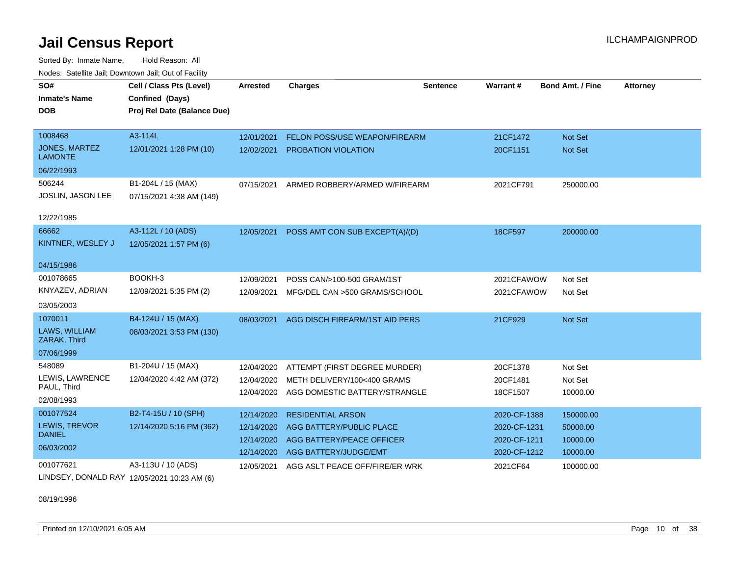Sorted By: Inmate Name, Hold Reason: All Nodes: Satellite Jail; Downtown Jail; Out of Facility

| SO#                                    | Cell / Class Pts (Level)                             | <b>Arrested</b> | <b>Charges</b>                       | <b>Sentence</b> | <b>Warrant#</b> | <b>Bond Amt. / Fine</b> | <b>Attorney</b> |
|----------------------------------------|------------------------------------------------------|-----------------|--------------------------------------|-----------------|-----------------|-------------------------|-----------------|
| <b>Inmate's Name</b>                   | Confined (Days)                                      |                 |                                      |                 |                 |                         |                 |
| <b>DOB</b>                             | Proj Rel Date (Balance Due)                          |                 |                                      |                 |                 |                         |                 |
|                                        |                                                      |                 |                                      |                 |                 |                         |                 |
| 1008468                                | A3-114L                                              | 12/01/2021      | <b>FELON POSS/USE WEAPON/FIREARM</b> |                 | 21CF1472        | <b>Not Set</b>          |                 |
| <b>JONES, MARTEZ</b><br><b>LAMONTE</b> | 12/01/2021 1:28 PM (10)                              | 12/02/2021      | <b>PROBATION VIOLATION</b>           |                 | 20CF1151        | <b>Not Set</b>          |                 |
| 06/22/1993                             |                                                      |                 |                                      |                 |                 |                         |                 |
| 506244                                 | B1-204L / 15 (MAX)                                   | 07/15/2021      | ARMED ROBBERY/ARMED W/FIREARM        |                 | 2021CF791       | 250000.00               |                 |
| JOSLIN, JASON LEE                      | 07/15/2021 4:38 AM (149)                             |                 |                                      |                 |                 |                         |                 |
| 12/22/1985                             |                                                      |                 |                                      |                 |                 |                         |                 |
| 66662                                  | A3-112L / 10 (ADS)                                   | 12/05/2021      | POSS AMT CON SUB EXCEPT(A)/(D)       |                 | 18CF597         | 200000.00               |                 |
| KINTNER, WESLEY J                      | 12/05/2021 1:57 PM (6)                               |                 |                                      |                 |                 |                         |                 |
|                                        |                                                      |                 |                                      |                 |                 |                         |                 |
| 04/15/1986                             |                                                      |                 |                                      |                 |                 |                         |                 |
| 001078665                              | BOOKH-3                                              | 12/09/2021      | POSS CAN/>100-500 GRAM/1ST           |                 | 2021CFAWOW      | Not Set                 |                 |
| KNYAZEV, ADRIAN                        | 12/09/2021 5:35 PM (2)                               | 12/09/2021      | MFG/DEL CAN >500 GRAMS/SCHOOL        |                 | 2021CFAWOW      | Not Set                 |                 |
| 03/05/2003                             |                                                      |                 |                                      |                 |                 |                         |                 |
| 1070011                                | B4-124U / 15 (MAX)                                   | 08/03/2021      | AGG DISCH FIREARM/1ST AID PERS       |                 | 21CF929         | <b>Not Set</b>          |                 |
| LAWS, WILLIAM<br>ZARAK, Third          | 08/03/2021 3:53 PM (130)                             |                 |                                      |                 |                 |                         |                 |
| 07/06/1999                             |                                                      |                 |                                      |                 |                 |                         |                 |
| 548089                                 | B1-204U / 15 (MAX)                                   | 12/04/2020      | ATTEMPT (FIRST DEGREE MURDER)        |                 | 20CF1378        | Not Set                 |                 |
| LEWIS, LAWRENCE                        | 12/04/2020 4:42 AM (372)                             | 12/04/2020      | METH DELIVERY/100<400 GRAMS          |                 | 20CF1481        | Not Set                 |                 |
| PAUL, Third                            |                                                      | 12/04/2020      | AGG DOMESTIC BATTERY/STRANGLE        |                 | 18CF1507        | 10000.00                |                 |
| 02/08/1993                             |                                                      |                 |                                      |                 |                 |                         |                 |
| 001077524                              | B2-T4-15U / 10 (SPH)                                 | 12/14/2020      | <b>RESIDENTIAL ARSON</b>             |                 | 2020-CF-1388    | 150000.00               |                 |
| LEWIS, TREVOR<br><b>DANIEL</b>         | 12/14/2020 5:16 PM (362)                             | 12/14/2020      | AGG BATTERY/PUBLIC PLACE             |                 | 2020-CF-1231    | 50000.00                |                 |
|                                        |                                                      | 12/14/2020      | AGG BATTERY/PEACE OFFICER            |                 | 2020-CF-1211    | 10000.00                |                 |
| 06/03/2002                             |                                                      | 12/14/2020      | AGG BATTERY/JUDGE/EMT                |                 | 2020-CF-1212    | 10000.00                |                 |
| 001077621                              | A3-113U / 10 (ADS)                                   | 12/05/2021      | AGG ASLT PEACE OFF/FIRE/ER WRK       |                 | 2021CF64        | 100000.00               |                 |
|                                        | <b>ILINIDEEV DOMAIN DRAY 40/05/0004 40:00 AM (0)</b> |                 |                                      |                 |                 |                         |                 |

LINDSEY, DONALD RAY 12/05/2021 10:23 AM (6)

08/19/1996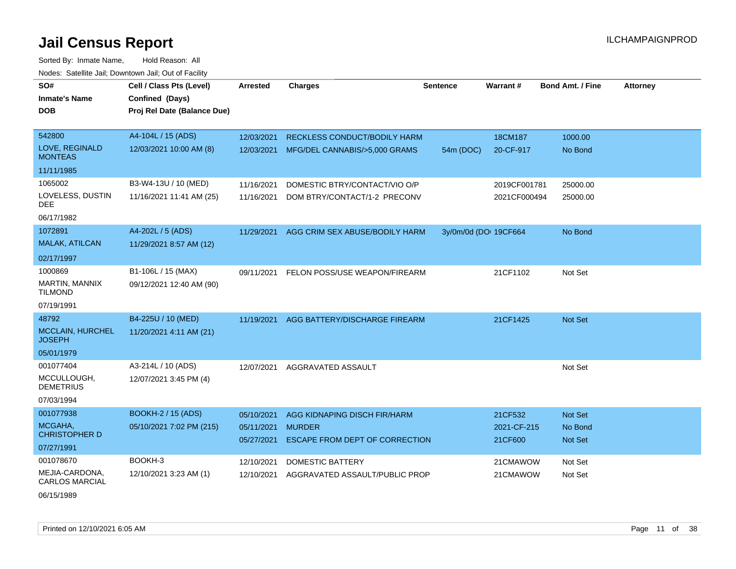| SO#<br><b>Inmate's Name</b><br>DOB                                 | Cell / Class Pts (Level)<br>Confined (Days)<br>Proj Rel Date (Balance Due) | <b>Arrested</b>                        | <b>Charges</b>                                                                         | <b>Sentence</b>       | <b>Warrant#</b>                   | <b>Bond Amt. / Fine</b>                     | <b>Attorney</b> |
|--------------------------------------------------------------------|----------------------------------------------------------------------------|----------------------------------------|----------------------------------------------------------------------------------------|-----------------------|-----------------------------------|---------------------------------------------|-----------------|
| 542800<br>LOVE, REGINALD<br><b>MONTEAS</b>                         | A4-104L / 15 (ADS)<br>12/03/2021 10:00 AM (8)                              | 12/03/2021<br>12/03/2021               | <b>RECKLESS CONDUCT/BODILY HARM</b><br>MFG/DEL CANNABIS/>5,000 GRAMS                   | 54m (DOC)             | 18CM187<br>20-CF-917              | 1000.00<br>No Bond                          |                 |
| 11/11/1985<br>1065002<br>LOVELESS, DUSTIN<br>DEE<br>06/17/1982     | B3-W4-13U / 10 (MED)<br>11/16/2021 11:41 AM (25)                           | 11/16/2021<br>11/16/2021               | DOMESTIC BTRY/CONTACT/VIO O/P<br>DOM BTRY/CONTACT/1-2 PRECONV                          |                       | 2019CF001781<br>2021CF000494      | 25000.00<br>25000.00                        |                 |
| 1072891<br>MALAK, ATILCAN<br>02/17/1997                            | A4-202L / 5 (ADS)<br>11/29/2021 8:57 AM (12)                               | 11/29/2021                             | AGG CRIM SEX ABUSE/BODILY HARM                                                         | 3y/0m/0d (DOI 19CF664 |                                   | No Bond                                     |                 |
| 1000869<br>MARTIN, MANNIX<br><b>TILMOND</b><br>07/19/1991          | B1-106L / 15 (MAX)<br>09/12/2021 12:40 AM (90)                             | 09/11/2021                             | FELON POSS/USE WEAPON/FIREARM                                                          |                       | 21CF1102                          | Not Set                                     |                 |
| 48792<br><b>MCCLAIN, HURCHEL</b><br><b>JOSEPH</b><br>05/01/1979    | B4-225U / 10 (MED)<br>11/20/2021 4:11 AM (21)                              | 11/19/2021                             | AGG BATTERY/DISCHARGE FIREARM                                                          |                       | 21CF1425                          | <b>Not Set</b>                              |                 |
| 001077404<br>MCCULLOUGH,<br><b>DEMETRIUS</b><br>07/03/1994         | A3-214L / 10 (ADS)<br>12/07/2021 3:45 PM (4)                               | 12/07/2021                             | AGGRAVATED ASSAULT                                                                     |                       |                                   | Not Set                                     |                 |
| 001077938<br>MCGAHA,<br><b>CHRISTOPHER D</b><br>07/27/1991         | <b>BOOKH-2 / 15 (ADS)</b><br>05/10/2021 7:02 PM (215)                      | 05/10/2021<br>05/11/2021<br>05/27/2021 | AGG KIDNAPING DISCH FIR/HARM<br><b>MURDER</b><br><b>ESCAPE FROM DEPT OF CORRECTION</b> |                       | 21CF532<br>2021-CF-215<br>21CF600 | <b>Not Set</b><br>No Bond<br><b>Not Set</b> |                 |
| 001078670<br>MEJIA-CARDONA,<br><b>CARLOS MARCIAL</b><br>06/15/1989 | BOOKH-3<br>12/10/2021 3:23 AM (1)                                          | 12/10/2021<br>12/10/2021               | <b>DOMESTIC BATTERY</b><br>AGGRAVATED ASSAULT/PUBLIC PROP                              |                       | 21CMAWOW<br>21CMAWOW              | Not Set<br>Not Set                          |                 |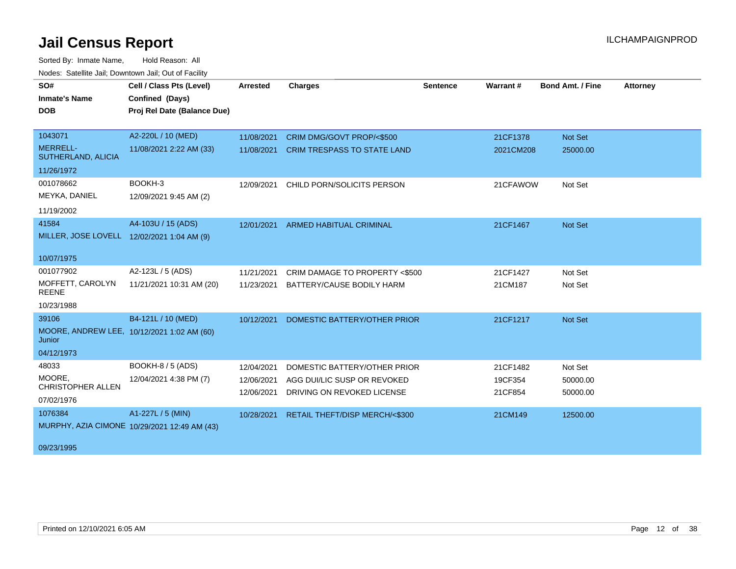| SO#                                        | Cell / Class Pts (Level)                     | <b>Arrested</b> | <b>Charges</b>                     | <b>Sentence</b> | Warrant#  | <b>Bond Amt. / Fine</b> | <b>Attorney</b> |
|--------------------------------------------|----------------------------------------------|-----------------|------------------------------------|-----------------|-----------|-------------------------|-----------------|
| <b>Inmate's Name</b>                       | Confined (Days)                              |                 |                                    |                 |           |                         |                 |
| <b>DOB</b>                                 | Proj Rel Date (Balance Due)                  |                 |                                    |                 |           |                         |                 |
|                                            |                                              |                 |                                    |                 |           |                         |                 |
| 1043071                                    | A2-220L / 10 (MED)                           | 11/08/2021      | CRIM DMG/GOVT PROP/<\$500          |                 | 21CF1378  | Not Set                 |                 |
| <b>MERRELL-</b><br>SUTHERLAND, ALICIA      | 11/08/2021 2:22 AM (33)                      | 11/08/2021      | <b>CRIM TRESPASS TO STATE LAND</b> |                 | 2021CM208 | 25000.00                |                 |
| 11/26/1972                                 |                                              |                 |                                    |                 |           |                         |                 |
| 001078662                                  | BOOKH-3                                      | 12/09/2021      | CHILD PORN/SOLICITS PERSON         |                 | 21CFAWOW  | Not Set                 |                 |
| MEYKA, DANIEL                              | 12/09/2021 9:45 AM (2)                       |                 |                                    |                 |           |                         |                 |
| 11/19/2002                                 |                                              |                 |                                    |                 |           |                         |                 |
| 41584                                      | A4-103U / 15 (ADS)                           |                 | 12/01/2021 ARMED HABITUAL CRIMINAL |                 | 21CF1467  | Not Set                 |                 |
| MILLER, JOSE LOVELL 12/02/2021 1:04 AM (9) |                                              |                 |                                    |                 |           |                         |                 |
| 10/07/1975                                 |                                              |                 |                                    |                 |           |                         |                 |
|                                            |                                              |                 |                                    |                 |           |                         |                 |
| 001077902                                  | A2-123L / 5 (ADS)                            | 11/21/2021      | CRIM DAMAGE TO PROPERTY <\$500     |                 | 21CF1427  | Not Set                 |                 |
| MOFFETT, CAROLYN<br><b>REENE</b>           | 11/21/2021 10:31 AM (20)                     | 11/23/2021      | BATTERY/CAUSE BODILY HARM          |                 | 21CM187   | Not Set                 |                 |
| 10/23/1988                                 |                                              |                 |                                    |                 |           |                         |                 |
| 39106                                      | B4-121L / 10 (MED)                           | 10/12/2021      | DOMESTIC BATTERY/OTHER PRIOR       |                 | 21CF1217  | <b>Not Set</b>          |                 |
| Junior                                     | MOORE, ANDREW LEE, 10/12/2021 1:02 AM (60)   |                 |                                    |                 |           |                         |                 |
| 04/12/1973                                 |                                              |                 |                                    |                 |           |                         |                 |
| 48033                                      | BOOKH-8 / 5 (ADS)                            | 12/04/2021      | DOMESTIC BATTERY/OTHER PRIOR       |                 | 21CF1482  | Not Set                 |                 |
| MOORE,                                     | 12/04/2021 4:38 PM (7)                       | 12/06/2021      | AGG DUI/LIC SUSP OR REVOKED        |                 | 19CF354   | 50000.00                |                 |
| <b>CHRISTOPHER ALLEN</b>                   |                                              | 12/06/2021      | DRIVING ON REVOKED LICENSE         |                 | 21CF854   | 50000.00                |                 |
| 07/02/1976                                 |                                              |                 |                                    |                 |           |                         |                 |
| 1076384                                    | A1-227L / 5 (MIN)                            | 10/28/2021      | RETAIL THEFT/DISP MERCH/<\$300     |                 | 21CM149   | 12500.00                |                 |
|                                            | MURPHY, AZIA CIMONE 10/29/2021 12:49 AM (43) |                 |                                    |                 |           |                         |                 |
|                                            |                                              |                 |                                    |                 |           |                         |                 |
| 09/23/1995                                 |                                              |                 |                                    |                 |           |                         |                 |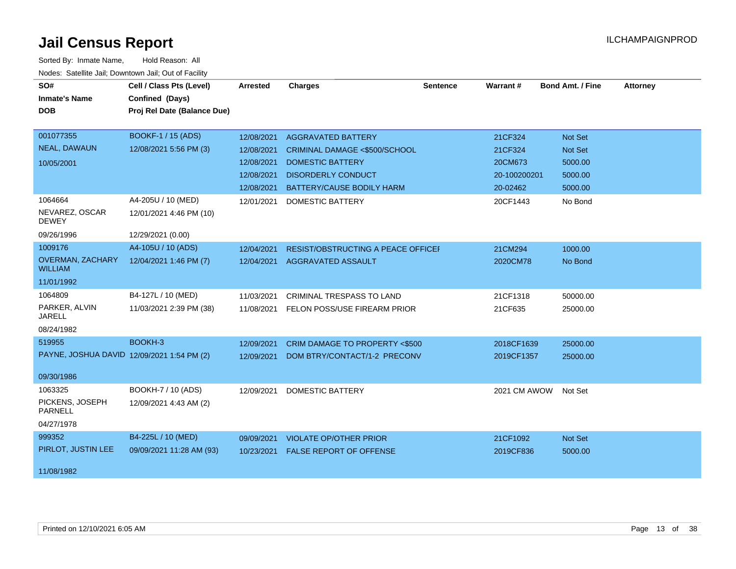| SO#                                        | Cell / Class Pts (Level)    | <b>Arrested</b> | <b>Charges</b>                            | <b>Sentence</b> | <b>Warrant#</b> | <b>Bond Amt. / Fine</b> | <b>Attorney</b> |
|--------------------------------------------|-----------------------------|-----------------|-------------------------------------------|-----------------|-----------------|-------------------------|-----------------|
| <b>Inmate's Name</b>                       | Confined (Days)             |                 |                                           |                 |                 |                         |                 |
| <b>DOB</b>                                 | Proj Rel Date (Balance Due) |                 |                                           |                 |                 |                         |                 |
|                                            |                             |                 |                                           |                 |                 |                         |                 |
| 001077355                                  | <b>BOOKF-1 / 15 (ADS)</b>   | 12/08/2021      | <b>AGGRAVATED BATTERY</b>                 |                 | 21CF324         | <b>Not Set</b>          |                 |
| <b>NEAL, DAWAUN</b>                        | 12/08/2021 5:56 PM (3)      | 12/08/2021      | <b>CRIMINAL DAMAGE &lt;\$500/SCHOOL</b>   |                 | 21CF324         | <b>Not Set</b>          |                 |
| 10/05/2001                                 |                             | 12/08/2021      | <b>DOMESTIC BATTERY</b>                   |                 | 20CM673         | 5000.00                 |                 |
|                                            |                             | 12/08/2021      | <b>DISORDERLY CONDUCT</b>                 |                 | 20-100200201    | 5000.00                 |                 |
|                                            |                             | 12/08/2021      | <b>BATTERY/CAUSE BODILY HARM</b>          |                 | 20-02462        | 5000.00                 |                 |
| 1064664                                    | A4-205U / 10 (MED)          | 12/01/2021      | DOMESTIC BATTERY                          |                 | 20CF1443        | No Bond                 |                 |
| NEVAREZ, OSCAR<br><b>DEWEY</b>             | 12/01/2021 4:46 PM (10)     |                 |                                           |                 |                 |                         |                 |
| 09/26/1996                                 | 12/29/2021 (0.00)           |                 |                                           |                 |                 |                         |                 |
| 1009176                                    | A4-105U / 10 (ADS)          | 12/04/2021      | <b>RESIST/OBSTRUCTING A PEACE OFFICEF</b> |                 | 21CM294         | 1000.00                 |                 |
| <b>OVERMAN, ZACHARY</b><br><b>WILLIAM</b>  | 12/04/2021 1:46 PM (7)      | 12/04/2021      | <b>AGGRAVATED ASSAULT</b>                 |                 | 2020CM78        | No Bond                 |                 |
| 11/01/1992                                 |                             |                 |                                           |                 |                 |                         |                 |
| 1064809                                    | B4-127L / 10 (MED)          | 11/03/2021      | <b>CRIMINAL TRESPASS TO LAND</b>          |                 | 21CF1318        | 50000.00                |                 |
| PARKER, ALVIN<br><b>JARELL</b>             | 11/03/2021 2:39 PM (38)     | 11/08/2021      | FELON POSS/USE FIREARM PRIOR              |                 | 21CF635         | 25000.00                |                 |
| 08/24/1982                                 |                             |                 |                                           |                 |                 |                         |                 |
| 519955                                     | BOOKH-3                     | 12/09/2021      | CRIM DAMAGE TO PROPERTY <\$500            |                 | 2018CF1639      | 25000.00                |                 |
| PAYNE, JOSHUA DAVID 12/09/2021 1:54 PM (2) |                             | 12/09/2021      | DOM BTRY/CONTACT/1-2 PRECONV              |                 | 2019CF1357      | 25000.00                |                 |
|                                            |                             |                 |                                           |                 |                 |                         |                 |
| 09/30/1986                                 |                             |                 |                                           |                 |                 |                         |                 |
| 1063325                                    | BOOKH-7 / 10 (ADS)          | 12/09/2021      | <b>DOMESTIC BATTERY</b>                   |                 | 2021 CM AWOW    | Not Set                 |                 |
| PICKENS, JOSEPH<br><b>PARNELL</b>          | 12/09/2021 4:43 AM (2)      |                 |                                           |                 |                 |                         |                 |
| 04/27/1978                                 |                             |                 |                                           |                 |                 |                         |                 |
| 999352                                     | B4-225L / 10 (MED)          | 09/09/2021      | <b>VIOLATE OP/OTHER PRIOR</b>             |                 | 21CF1092        | Not Set                 |                 |
| PIRLOT, JUSTIN LEE                         | 09/09/2021 11:28 AM (93)    | 10/23/2021      | <b>FALSE REPORT OF OFFENSE</b>            |                 | 2019CF836       | 5000.00                 |                 |
|                                            |                             |                 |                                           |                 |                 |                         |                 |
| 11/08/1982                                 |                             |                 |                                           |                 |                 |                         |                 |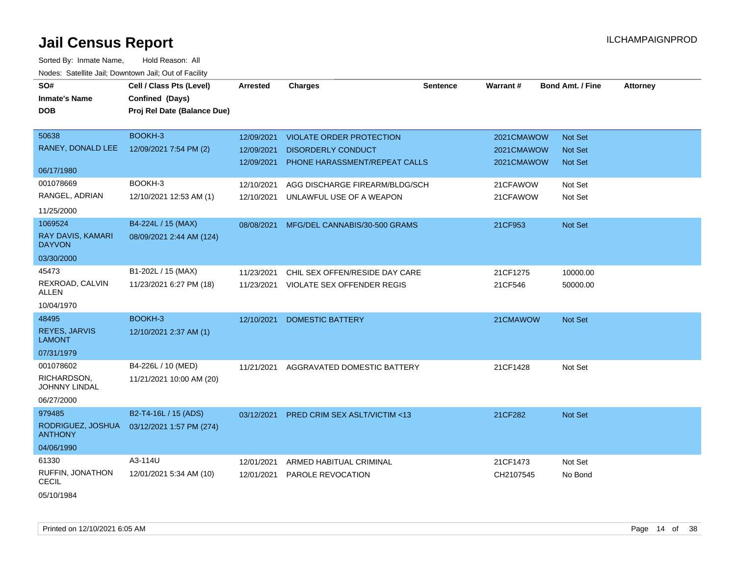| SO#                                       | Cell / Class Pts (Level)    | Arrested   | <b>Charges</b>                        | <b>Sentence</b> | Warrant#   | <b>Bond Amt. / Fine</b> | <b>Attorney</b> |
|-------------------------------------------|-----------------------------|------------|---------------------------------------|-----------------|------------|-------------------------|-----------------|
| <b>Inmate's Name</b>                      | Confined (Days)             |            |                                       |                 |            |                         |                 |
| <b>DOB</b>                                | Proj Rel Date (Balance Due) |            |                                       |                 |            |                         |                 |
|                                           |                             |            |                                       |                 |            |                         |                 |
| 50638                                     | BOOKH-3                     | 12/09/2021 | <b>VIOLATE ORDER PROTECTION</b>       |                 | 2021CMAWOW | Not Set                 |                 |
| RANEY, DONALD LEE                         | 12/09/2021 7:54 PM (2)      | 12/09/2021 | <b>DISORDERLY CONDUCT</b>             |                 | 2021CMAWOW | Not Set                 |                 |
|                                           |                             | 12/09/2021 | PHONE HARASSMENT/REPEAT CALLS         |                 | 2021CMAWOW | <b>Not Set</b>          |                 |
| 06/17/1980                                |                             |            |                                       |                 |            |                         |                 |
| 001078669                                 | BOOKH-3                     | 12/10/2021 | AGG DISCHARGE FIREARM/BLDG/SCH        |                 | 21CFAWOW   | Not Set                 |                 |
| RANGEL, ADRIAN                            | 12/10/2021 12:53 AM (1)     | 12/10/2021 | UNLAWFUL USE OF A WEAPON              |                 | 21CFAWOW   | Not Set                 |                 |
| 11/25/2000                                |                             |            |                                       |                 |            |                         |                 |
| 1069524                                   | B4-224L / 15 (MAX)          | 08/08/2021 | MFG/DEL CANNABIS/30-500 GRAMS         |                 | 21CF953    | Not Set                 |                 |
| <b>RAY DAVIS, KAMARI</b><br><b>DAYVON</b> | 08/09/2021 2:44 AM (124)    |            |                                       |                 |            |                         |                 |
| 03/30/2000                                |                             |            |                                       |                 |            |                         |                 |
| 45473                                     | B1-202L / 15 (MAX)          | 11/23/2021 | CHIL SEX OFFEN/RESIDE DAY CARE        |                 | 21CF1275   | 10000.00                |                 |
| REXROAD, CALVIN<br>ALLEN                  | 11/23/2021 6:27 PM (18)     |            | 11/23/2021 VIOLATE SEX OFFENDER REGIS |                 | 21CF546    | 50000.00                |                 |
| 10/04/1970                                |                             |            |                                       |                 |            |                         |                 |
| 48495                                     | BOOKH-3                     | 12/10/2021 | <b>DOMESTIC BATTERY</b>               |                 | 21CMAWOW   | Not Set                 |                 |
| <b>REYES, JARVIS</b><br><b>LAMONT</b>     | 12/10/2021 2:37 AM (1)      |            |                                       |                 |            |                         |                 |
| 07/31/1979                                |                             |            |                                       |                 |            |                         |                 |
| 001078602                                 | B4-226L / 10 (MED)          | 11/21/2021 | AGGRAVATED DOMESTIC BATTERY           |                 | 21CF1428   | Not Set                 |                 |
| RICHARDSON,<br><b>JOHNNY LINDAL</b>       | 11/21/2021 10:00 AM (20)    |            |                                       |                 |            |                         |                 |
| 06/27/2000                                |                             |            |                                       |                 |            |                         |                 |
| 979485                                    | B2-T4-16L / 15 (ADS)        | 03/12/2021 | PRED CRIM SEX ASLT/VICTIM <13         |                 | 21CF282    | Not Set                 |                 |
| RODRIGUEZ, JOSHUA<br><b>ANTHONY</b>       | 03/12/2021 1:57 PM (274)    |            |                                       |                 |            |                         |                 |
| 04/06/1990                                |                             |            |                                       |                 |            |                         |                 |
| 61330                                     | A3-114U                     | 12/01/2021 | ARMED HABITUAL CRIMINAL               |                 | 21CF1473   | Not Set                 |                 |
| RUFFIN, JONATHON<br><b>CECIL</b>          | 12/01/2021 5:34 AM (10)     | 12/01/2021 | <b>PAROLE REVOCATION</b>              |                 | CH2107545  | No Bond                 |                 |
| 05/10/1984                                |                             |            |                                       |                 |            |                         |                 |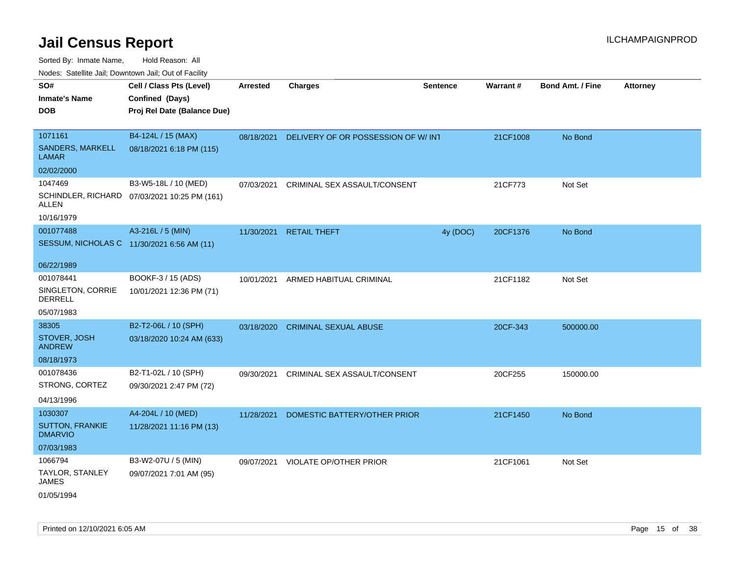Sorted By: Inmate Name, Hold Reason: All

|  |  | Nodes: Satellite Jail; Downtown Jail; Out of Facility |  |
|--|--|-------------------------------------------------------|--|
|--|--|-------------------------------------------------------|--|

| SO#<br><b>Inmate's Name</b><br><b>DOB</b>                | Cell / Class Pts (Level)<br>Confined (Days)<br>Proj Rel Date (Balance Due) | <b>Arrested</b> | <b>Charges</b>                                | <b>Sentence</b> | Warrant# | <b>Bond Amt. / Fine</b> | <b>Attorney</b> |
|----------------------------------------------------------|----------------------------------------------------------------------------|-----------------|-----------------------------------------------|-----------------|----------|-------------------------|-----------------|
| 1071161<br>SANDERS, MARKELL<br><b>LAMAR</b>              | B4-124L / 15 (MAX)<br>08/18/2021 6:18 PM (115)                             |                 | 08/18/2021 DELIVERY OF OR POSSESSION OF W/IN1 |                 | 21CF1008 | No Bond                 |                 |
| 02/02/2000                                               |                                                                            |                 |                                               |                 |          |                         |                 |
| 1047469<br><b>ALLEN</b>                                  | B3-W5-18L / 10 (MED)<br>SCHINDLER, RICHARD 07/03/2021 10:25 PM (161)       |                 | 07/03/2021 CRIMINAL SEX ASSAULT/CONSENT       |                 | 21CF773  | Not Set                 |                 |
| 10/16/1979                                               |                                                                            |                 |                                               |                 |          |                         |                 |
| 001077488                                                | A3-216L / 5 (MIN)<br>SESSUM, NICHOLAS C 11/30/2021 6:56 AM (11)            |                 | 11/30/2021 RETAIL THEFT                       | 4y (DOC)        | 20CF1376 | No Bond                 |                 |
| 06/22/1989                                               |                                                                            |                 |                                               |                 |          |                         |                 |
| 001078441                                                | BOOKF-3 / 15 (ADS)                                                         | 10/01/2021      | ARMED HABITUAL CRIMINAL                       |                 | 21CF1182 | Not Set                 |                 |
| SINGLETON, CORRIE<br><b>DERRELL</b>                      | 10/01/2021 12:36 PM (71)                                                   |                 |                                               |                 |          |                         |                 |
| 05/07/1983                                               |                                                                            |                 |                                               |                 |          |                         |                 |
| 38305<br>STOVER, JOSH<br><b>ANDREW</b>                   | B2-T2-06L / 10 (SPH)<br>03/18/2020 10:24 AM (633)                          |                 | 03/18/2020 CRIMINAL SEXUAL ABUSE              |                 | 20CF-343 | 500000.00               |                 |
| 08/18/1973                                               |                                                                            |                 |                                               |                 |          |                         |                 |
| 001078436<br>STRONG, CORTEZ<br>04/13/1996                | B2-T1-02L / 10 (SPH)<br>09/30/2021 2:47 PM (72)                            | 09/30/2021      | CRIMINAL SEX ASSAULT/CONSENT                  |                 | 20CF255  | 150000.00               |                 |
| 1030307<br><b>SUTTON, FRANKIE</b><br><b>DMARVIO</b>      | A4-204L / 10 (MED)<br>11/28/2021 11:16 PM (13)                             | 11/28/2021      | DOMESTIC BATTERY/OTHER PRIOR                  |                 | 21CF1450 | No Bond                 |                 |
| 07/03/1983                                               |                                                                            |                 |                                               |                 |          |                         |                 |
| 1066794<br>TAYLOR, STANLEY<br><b>JAMES</b><br>01/05/1994 | B3-W2-07U / 5 (MIN)<br>09/07/2021 7:01 AM (95)                             |                 | 09/07/2021 VIOLATE OP/OTHER PRIOR             |                 | 21CF1061 | Not Set                 |                 |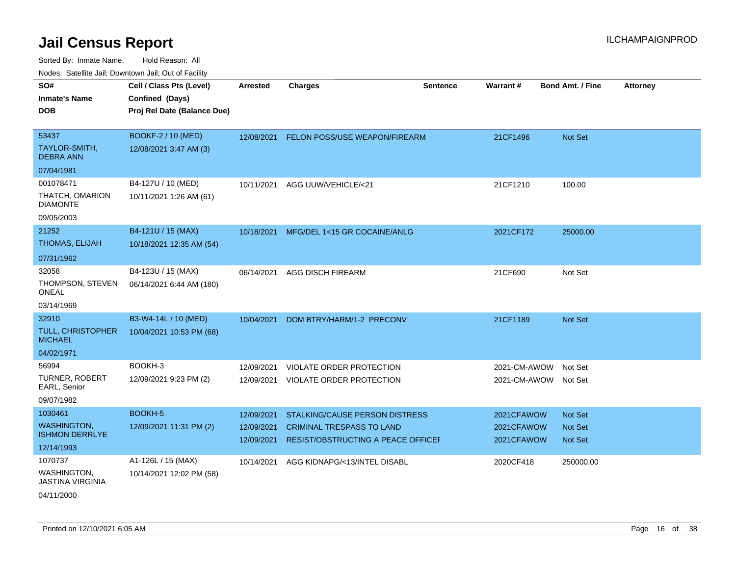Sorted By: Inmate Name, Hold Reason: All Nodes: Satellite Jail; Downtown Jail; Out of Facility

| 110000. 001011110 0011, Dominomi odli, Odi ol I dollit                          |                                                                            |                                        |                                                                                                          |                 |                                        |                                             |                 |
|---------------------------------------------------------------------------------|----------------------------------------------------------------------------|----------------------------------------|----------------------------------------------------------------------------------------------------------|-----------------|----------------------------------------|---------------------------------------------|-----------------|
| SO#<br><b>Inmate's Name</b><br><b>DOB</b>                                       | Cell / Class Pts (Level)<br>Confined (Days)<br>Proj Rel Date (Balance Due) | <b>Arrested</b>                        | <b>Charges</b>                                                                                           | <b>Sentence</b> | Warrant#                               | Bond Amt. / Fine                            | <b>Attorney</b> |
| 53437<br>TAYLOR-SMITH,<br><b>DEBRA ANN</b>                                      | BOOKF-2 / 10 (MED)<br>12/08/2021 3:47 AM (3)                               | 12/08/2021                             | FELON POSS/USE WEAPON/FIREARM                                                                            |                 | 21CF1496                               | Not Set                                     |                 |
| 07/04/1981<br>001078471<br>THATCH, OMARION<br><b>DIAMONTE</b>                   | B4-127U / 10 (MED)<br>10/11/2021 1:26 AM (61)                              | 10/11/2021                             | AGG UUW/VEHICLE/<21                                                                                      |                 | 21CF1210                               | 100.00                                      |                 |
| 09/05/2003<br>21252<br><b>THOMAS, ELIJAH</b>                                    | B4-121U / 15 (MAX)<br>10/18/2021 12:35 AM (54)                             |                                        | 10/18/2021 MFG/DEL 1<15 GR COCAINE/ANLG                                                                  |                 | 2021CF172                              | 25000.00                                    |                 |
| 07/31/1962<br>32058<br>THOMPSON, STEVEN<br>ONEAL                                | B4-123U / 15 (MAX)<br>06/14/2021 6:44 AM (180)                             | 06/14/2021                             | <b>AGG DISCH FIREARM</b>                                                                                 |                 | 21CF690                                | Not Set                                     |                 |
| 03/14/1969<br>32910<br><b>TULL, CHRISTOPHER</b><br><b>MICHAEL</b><br>04/02/1971 | B3-W4-14L / 10 (MED)<br>10/04/2021 10:53 PM (68)                           | 10/04/2021                             | DOM BTRY/HARM/1-2 PRECONV                                                                                |                 | 21CF1189                               | Not Set                                     |                 |
| 56994<br><b>TURNER, ROBERT</b><br>EARL, Senior<br>09/07/1982                    | BOOKH-3<br>12/09/2021 9:23 PM (2)                                          | 12/09/2021<br>12/09/2021               | <b>VIOLATE ORDER PROTECTION</b><br><b>VIOLATE ORDER PROTECTION</b>                                       |                 | 2021-CM-AWOW<br>2021-CM-AWOW           | Not Set<br>Not Set                          |                 |
| 1030461<br><b>WASHINGTON,</b><br><b>ISHMON DERRLYE</b><br>12/14/1993            | BOOKH-5<br>12/09/2021 11:31 PM (2)                                         | 12/09/2021<br>12/09/2021<br>12/09/2021 | STALKING/CAUSE PERSON DISTRESS<br><b>CRIMINAL TRESPASS TO LAND</b><br>RESIST/OBSTRUCTING A PEACE OFFICEI |                 | 2021CFAWOW<br>2021CFAWOW<br>2021CFAWOW | <b>Not Set</b><br>Not Set<br><b>Not Set</b> |                 |
| 1070737<br>WASHINGTON,<br><b>JASTINA VIRGINIA</b>                               | A1-126L / 15 (MAX)<br>10/14/2021 12:02 PM (58)                             | 10/14/2021                             | AGG KIDNAPG/<13/INTEL DISABL                                                                             |                 | 2020CF418                              | 250000.00                                   |                 |

04/11/2000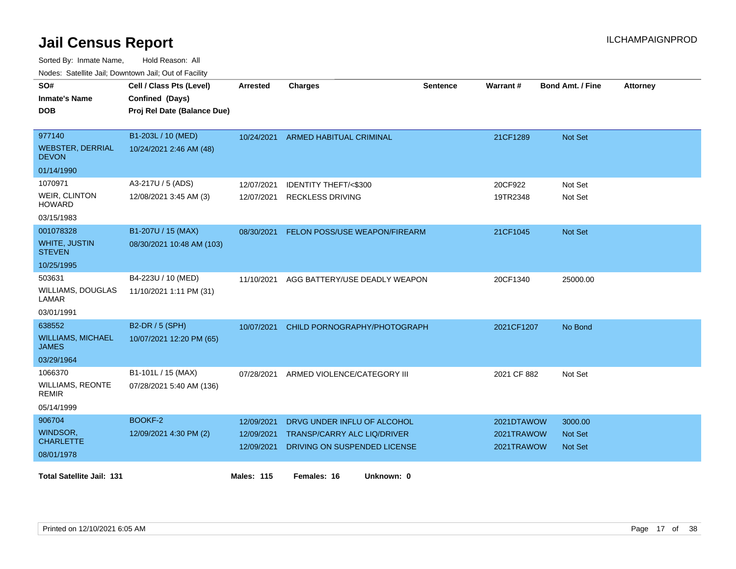| SO#<br><b>Inmate's Name</b><br><b>DOB</b>         | Cell / Class Pts (Level)<br>Confined (Days)<br>Proj Rel Date (Balance Due) | <b>Arrested</b>   | <b>Charges</b>                           | Sentence | <b>Warrant#</b> | <b>Bond Amt. / Fine</b> | <b>Attorney</b> |
|---------------------------------------------------|----------------------------------------------------------------------------|-------------------|------------------------------------------|----------|-----------------|-------------------------|-----------------|
| 977140<br><b>WEBSTER, DERRIAL</b><br><b>DEVON</b> | B1-203L / 10 (MED)<br>10/24/2021 2:46 AM (48)                              | 10/24/2021        | <b>ARMED HABITUAL CRIMINAL</b>           |          | 21CF1289        | <b>Not Set</b>          |                 |
| 01/14/1990                                        |                                                                            |                   |                                          |          |                 |                         |                 |
| 1070971                                           | A3-217U / 5 (ADS)                                                          | 12/07/2021        | <b>IDENTITY THEFT/&lt;\$300</b>          |          | 20CF922         | Not Set                 |                 |
| <b>WEIR, CLINTON</b><br><b>HOWARD</b>             | 12/08/2021 3:45 AM (3)                                                     | 12/07/2021        | <b>RECKLESS DRIVING</b>                  |          | 19TR2348        | Not Set                 |                 |
| 03/15/1983                                        |                                                                            |                   |                                          |          |                 |                         |                 |
| 001078328                                         | B1-207U / 15 (MAX)                                                         | 08/30/2021        | FELON POSS/USE WEAPON/FIREARM            |          | 21CF1045        | Not Set                 |                 |
| <b>WHITE, JUSTIN</b><br><b>STEVEN</b>             | 08/30/2021 10:48 AM (103)                                                  |                   |                                          |          |                 |                         |                 |
| 10/25/1995                                        |                                                                            |                   |                                          |          |                 |                         |                 |
| 503631                                            | B4-223U / 10 (MED)                                                         |                   | 11/10/2021 AGG BATTERY/USE DEADLY WEAPON |          | 20CF1340        | 25000.00                |                 |
| <b>WILLIAMS, DOUGLAS</b><br>LAMAR                 | 11/10/2021 1:11 PM (31)                                                    |                   |                                          |          |                 |                         |                 |
| 03/01/1991                                        |                                                                            |                   |                                          |          |                 |                         |                 |
| 638552                                            | B2-DR / 5 (SPH)                                                            | 10/07/2021        | CHILD PORNOGRAPHY/PHOTOGRAPH             |          | 2021CF1207      | No Bond                 |                 |
| <b>WILLIAMS, MICHAEL</b><br>JAMES                 | 10/07/2021 12:20 PM (65)                                                   |                   |                                          |          |                 |                         |                 |
| 03/29/1964                                        |                                                                            |                   |                                          |          |                 |                         |                 |
| 1066370                                           | B1-101L / 15 (MAX)                                                         | 07/28/2021        | ARMED VIOLENCE/CATEGORY III              |          | 2021 CF 882     | Not Set                 |                 |
| <b>WILLIAMS, REONTE</b><br><b>REMIR</b>           | 07/28/2021 5:40 AM (136)                                                   |                   |                                          |          |                 |                         |                 |
| 05/14/1999                                        |                                                                            |                   |                                          |          |                 |                         |                 |
| 906704                                            | BOOKF-2                                                                    | 12/09/2021        | DRVG UNDER INFLU OF ALCOHOL              |          | 2021DTAWOW      | 3000.00                 |                 |
| WINDSOR,<br><b>CHARLETTE</b>                      | 12/09/2021 4:30 PM (2)                                                     | 12/09/2021        | TRANSP/CARRY ALC LIQ/DRIVER              |          | 2021TRAWOW      | <b>Not Set</b>          |                 |
| 08/01/1978                                        |                                                                            | 12/09/2021        | DRIVING ON SUSPENDED LICENSE             |          | 2021TRAWOW      | <b>Not Set</b>          |                 |
|                                                   |                                                                            |                   |                                          |          |                 |                         |                 |
| <b>Total Satellite Jail: 131</b>                  |                                                                            | <b>Males: 115</b> | Females: 16<br>Unknown: 0                |          |                 |                         |                 |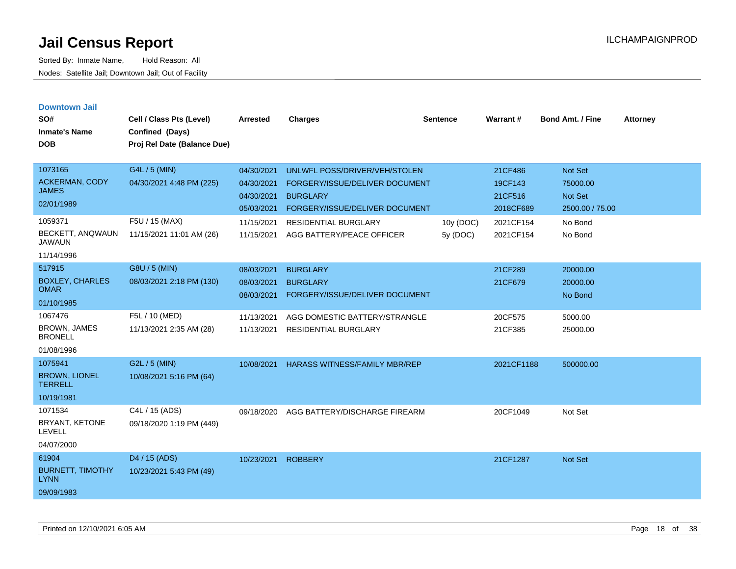| <b>Downtown Jail</b><br>SO#<br><b>Inmate's Name</b><br><b>DOB</b>                             | Cell / Class Pts (Level)<br>Confined (Days)<br>Proj Rel Date (Balance Due)              | <b>Arrested</b>                                                                  | <b>Charges</b>                                                                                                                                                                   | <b>Sentence</b>       | Warrant#                                                             | <b>Bond Amt. / Fine</b>                                                 | <b>Attorney</b> |
|-----------------------------------------------------------------------------------------------|-----------------------------------------------------------------------------------------|----------------------------------------------------------------------------------|----------------------------------------------------------------------------------------------------------------------------------------------------------------------------------|-----------------------|----------------------------------------------------------------------|-------------------------------------------------------------------------|-----------------|
| 1073165<br><b>ACKERMAN, CODY</b><br><b>JAMES</b><br>02/01/1989<br>1059371<br>BECKETT, ANQWAUN | G4L / 5 (MIN)<br>04/30/2021 4:48 PM (225)<br>F5U / 15 (MAX)<br>11/15/2021 11:01 AM (26) | 04/30/2021<br>04/30/2021<br>04/30/2021<br>05/03/2021<br>11/15/2021<br>11/15/2021 | UNLWFL POSS/DRIVER/VEH/STOLEN<br>FORGERY/ISSUE/DELIVER DOCUMENT<br><b>BURGLARY</b><br>FORGERY/ISSUE/DELIVER DOCUMENT<br><b>RESIDENTIAL BURGLARY</b><br>AGG BATTERY/PEACE OFFICER | 10y (DOC)<br>5y (DOC) | 21CF486<br>19CF143<br>21CF516<br>2018CF689<br>2021CF154<br>2021CF154 | Not Set<br>75000.00<br>Not Set<br>2500.00 / 75.00<br>No Bond<br>No Bond |                 |
| <b>JAWAUN</b><br>11/14/1996                                                                   |                                                                                         |                                                                                  |                                                                                                                                                                                  |                       |                                                                      |                                                                         |                 |
| 517915<br><b>BOXLEY, CHARLES</b><br><b>OMAR</b><br>01/10/1985                                 | G8U / 5 (MIN)<br>08/03/2021 2:18 PM (130)                                               | 08/03/2021<br>08/03/2021<br>08/03/2021                                           | <b>BURGLARY</b><br><b>BURGLARY</b><br>FORGERY/ISSUE/DELIVER DOCUMENT                                                                                                             |                       | 21CF289<br>21CF679                                                   | 20000.00<br>20000.00<br>No Bond                                         |                 |
| 1067476<br><b>BROWN, JAMES</b><br><b>BRONELL</b><br>01/08/1996                                | F5L / 10 (MED)<br>11/13/2021 2:35 AM (28)                                               | 11/13/2021<br>11/13/2021                                                         | AGG DOMESTIC BATTERY/STRANGLE<br><b>RESIDENTIAL BURGLARY</b>                                                                                                                     |                       | 20CF575<br>21CF385                                                   | 5000.00<br>25000.00                                                     |                 |
| 1075941<br><b>BROWN, LIONEL</b><br><b>TERRELL</b><br>10/19/1981                               | G2L / 5 (MIN)<br>10/08/2021 5:16 PM (64)                                                | 10/08/2021                                                                       | <b>HARASS WITNESS/FAMILY MBR/REP</b>                                                                                                                                             |                       | 2021CF1188                                                           | 500000.00                                                               |                 |
| 1071534<br>BRYANT, KETONE<br><b>LEVELL</b><br>04/07/2000                                      | C4L / 15 (ADS)<br>09/18/2020 1:19 PM (449)                                              | 09/18/2020                                                                       | AGG BATTERY/DISCHARGE FIREARM                                                                                                                                                    |                       | 20CF1049                                                             | Not Set                                                                 |                 |
| 61904<br><b>BURNETT, TIMOTHY</b><br><b>LYNN</b><br>09/09/1983                                 | D <sub>4</sub> / 15 (ADS)<br>10/23/2021 5:43 PM (49)                                    | 10/23/2021                                                                       | <b>ROBBERY</b>                                                                                                                                                                   |                       | 21CF1287                                                             | <b>Not Set</b>                                                          |                 |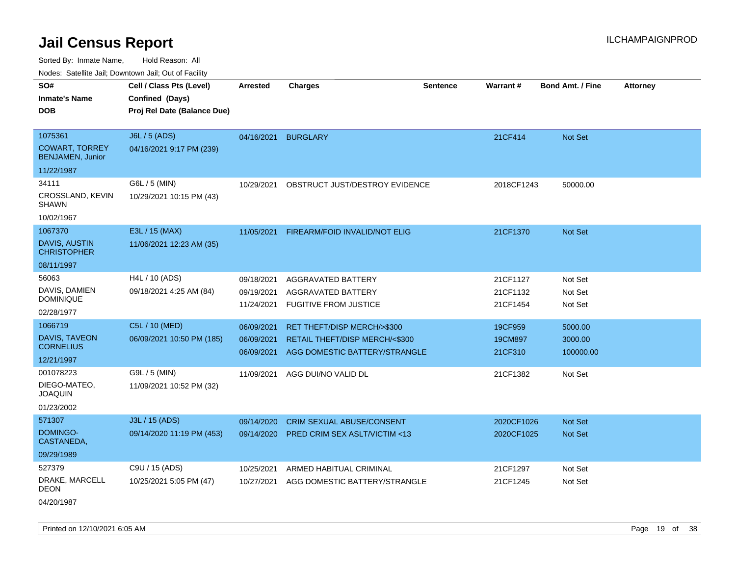Sorted By: Inmate Name, Hold Reason: All

Nodes: Satellite Jail; Downtown Jail; Out of Facility

| vouco. Catolino cali, Downtown cali, Out of Fability                |                                                                            |                                        |                                                                                                |                 |                                  |                                 |                 |
|---------------------------------------------------------------------|----------------------------------------------------------------------------|----------------------------------------|------------------------------------------------------------------------------------------------|-----------------|----------------------------------|---------------------------------|-----------------|
| SO#<br><b>Inmate's Name</b><br><b>DOB</b>                           | Cell / Class Pts (Level)<br>Confined (Days)<br>Proj Rel Date (Balance Due) | <b>Arrested</b>                        | <b>Charges</b>                                                                                 | <b>Sentence</b> | <b>Warrant#</b>                  | <b>Bond Amt. / Fine</b>         | <b>Attorney</b> |
| 1075361<br><b>COWART, TORREY</b><br><b>BENJAMEN, Junior</b>         | J6L / 5 (ADS)<br>04/16/2021 9:17 PM (239)                                  | 04/16/2021                             | <b>BURGLARY</b>                                                                                |                 | 21CF414                          | Not Set                         |                 |
| 11/22/1987                                                          |                                                                            |                                        |                                                                                                |                 |                                  |                                 |                 |
| 34111<br>CROSSLAND, KEVIN<br><b>SHAWN</b><br>10/02/1967             | G6L / 5 (MIN)<br>10/29/2021 10:15 PM (43)                                  | 10/29/2021                             | OBSTRUCT JUST/DESTROY EVIDENCE                                                                 |                 | 2018CF1243                       | 50000.00                        |                 |
| 1067370<br><b>DAVIS, AUSTIN</b><br><b>CHRISTOPHER</b><br>08/11/1997 | E3L / 15 (MAX)<br>11/06/2021 12:23 AM (35)                                 | 11/05/2021                             | FIREARM/FOID INVALID/NOT ELIG                                                                  |                 | 21CF1370                         | <b>Not Set</b>                  |                 |
| 56063<br>DAVIS, DAMIEN<br><b>DOMINIQUE</b><br>02/28/1977            | H4L / 10 (ADS)<br>09/18/2021 4:25 AM (84)                                  | 09/18/2021<br>09/19/2021<br>11/24/2021 | AGGRAVATED BATTERY<br>AGGRAVATED BATTERY<br><b>FUGITIVE FROM JUSTICE</b>                       |                 | 21CF1127<br>21CF1132<br>21CF1454 | Not Set<br>Not Set<br>Not Set   |                 |
| 1066719<br>DAVIS, TAVEON<br><b>CORNELIUS</b><br>12/21/1997          | C5L / 10 (MED)<br>06/09/2021 10:50 PM (185)                                | 06/09/2021<br>06/09/2021<br>06/09/2021 | RET THEFT/DISP MERCH/>\$300<br>RETAIL THEFT/DISP MERCH/<\$300<br>AGG DOMESTIC BATTERY/STRANGLE |                 | 19CF959<br>19CM897<br>21CF310    | 5000.00<br>3000.00<br>100000.00 |                 |
| 001078223<br>DIEGO-MATEO,<br><b>JOAQUIN</b><br>01/23/2002           | G9L / 5 (MIN)<br>11/09/2021 10:52 PM (32)                                  | 11/09/2021                             | AGG DUI/NO VALID DL                                                                            |                 | 21CF1382                         | Not Set                         |                 |
| 571307<br>DOMINGO-<br>CASTANEDA,<br>09/29/1989                      | J3L / 15 (ADS)<br>09/14/2020 11:19 PM (453)                                | 09/14/2020<br>09/14/2020               | CRIM SEXUAL ABUSE/CONSENT<br><b>PRED CRIM SEX ASLT/VICTIM &lt;13</b>                           |                 | 2020CF1026<br>2020CF1025         | Not Set<br><b>Not Set</b>       |                 |
| 527379<br>DRAKE, MARCELL<br><b>DEON</b>                             | C9U / 15 (ADS)<br>10/25/2021 5:05 PM (47)                                  | 10/25/2021<br>10/27/2021               | ARMED HABITUAL CRIMINAL<br>AGG DOMESTIC BATTERY/STRANGLE                                       |                 | 21CF1297<br>21CF1245             | Not Set<br>Not Set              |                 |

04/20/1987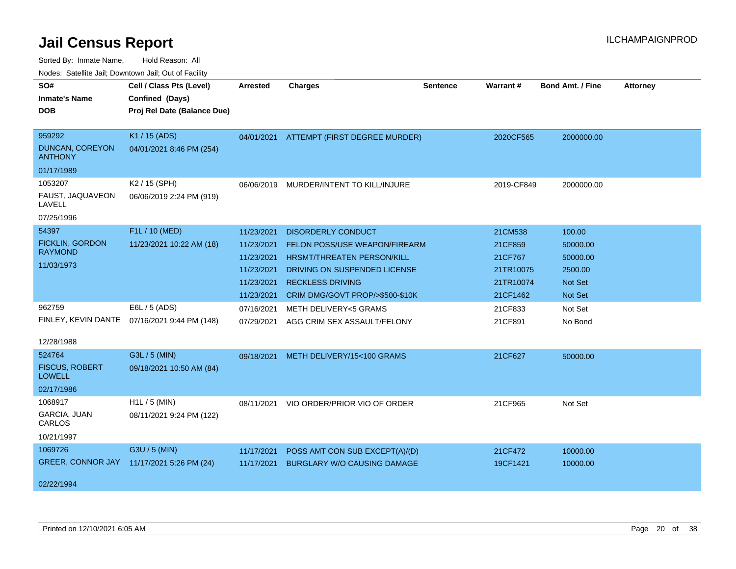| Nuuts. Saltiille Jali, Duwilluwii Jali, Oul of Facility |                             |            |                                          |                 |            |                         |                 |
|---------------------------------------------------------|-----------------------------|------------|------------------------------------------|-----------------|------------|-------------------------|-----------------|
| SO#                                                     | Cell / Class Pts (Level)    | Arrested   | <b>Charges</b>                           | <b>Sentence</b> | Warrant#   | <b>Bond Amt. / Fine</b> | <b>Attorney</b> |
| <b>Inmate's Name</b>                                    | Confined (Days)             |            |                                          |                 |            |                         |                 |
| <b>DOB</b>                                              | Proj Rel Date (Balance Due) |            |                                          |                 |            |                         |                 |
|                                                         |                             |            |                                          |                 |            |                         |                 |
| 959292                                                  | K1 / 15 (ADS)               |            | 04/01/2021 ATTEMPT (FIRST DEGREE MURDER) |                 | 2020CF565  | 2000000.00              |                 |
| <b>DUNCAN, COREYON</b><br><b>ANTHONY</b>                | 04/01/2021 8:46 PM (254)    |            |                                          |                 |            |                         |                 |
| 01/17/1989                                              |                             |            |                                          |                 |            |                         |                 |
| 1053207                                                 | K2 / 15 (SPH)               | 06/06/2019 | MURDER/INTENT TO KILL/INJURE             |                 | 2019-CF849 | 2000000.00              |                 |
| FAUST, JAQUAVEON<br>LAVELL                              | 06/06/2019 2:24 PM (919)    |            |                                          |                 |            |                         |                 |
| 07/25/1996                                              |                             |            |                                          |                 |            |                         |                 |
| 54397                                                   | F1L / 10 (MED)              | 11/23/2021 | <b>DISORDERLY CONDUCT</b>                |                 | 21CM538    | 100.00                  |                 |
| <b>FICKLIN, GORDON</b><br><b>RAYMOND</b>                | 11/23/2021 10:22 AM (18)    | 11/23/2021 | FELON POSS/USE WEAPON/FIREARM            |                 | 21CF859    | 50000.00                |                 |
|                                                         |                             | 11/23/2021 | <b>HRSMT/THREATEN PERSON/KILL</b>        |                 | 21CF767    | 50000.00                |                 |
| 11/03/1973                                              |                             | 11/23/2021 | DRIVING ON SUSPENDED LICENSE             |                 | 21TR10075  | 2500.00                 |                 |
|                                                         |                             | 11/23/2021 | <b>RECKLESS DRIVING</b>                  |                 | 21TR10074  | <b>Not Set</b>          |                 |
|                                                         |                             | 11/23/2021 | CRIM DMG/GOVT PROP/>\$500-\$10K          |                 | 21CF1462   | Not Set                 |                 |
| 962759                                                  | E6L / 5 (ADS)               | 07/16/2021 | <b>METH DELIVERY&lt;5 GRAMS</b>          |                 | 21CF833    | Not Set                 |                 |
| FINLEY, KEVIN DANTE                                     | 07/16/2021 9:44 PM (148)    | 07/29/2021 | AGG CRIM SEX ASSAULT/FELONY              |                 | 21CF891    | No Bond                 |                 |
| 12/28/1988                                              |                             |            |                                          |                 |            |                         |                 |
| 524764                                                  | G3L / 5 (MIN)               | 09/18/2021 | METH DELIVERY/15<100 GRAMS               |                 | 21CF627    | 50000.00                |                 |
| <b>FISCUS, ROBERT</b><br><b>LOWELL</b>                  | 09/18/2021 10:50 AM (84)    |            |                                          |                 |            |                         |                 |
| 02/17/1986                                              |                             |            |                                          |                 |            |                         |                 |
| 1068917                                                 | $H1L / 5$ (MIN)             | 08/11/2021 | VIO ORDER/PRIOR VIO OF ORDER             |                 | 21CF965    | Not Set                 |                 |
| GARCIA, JUAN<br>CARLOS                                  | 08/11/2021 9:24 PM (122)    |            |                                          |                 |            |                         |                 |
| 10/21/1997                                              |                             |            |                                          |                 |            |                         |                 |
| 1069726                                                 | G3U / 5 (MIN)               | 11/17/2021 | POSS AMT CON SUB EXCEPT(A)/(D)           |                 | 21CF472    | 10000.00                |                 |
| <b>GREER, CONNOR JAY</b>                                | 11/17/2021 5:26 PM (24)     | 11/17/2021 | <b>BURGLARY W/O CAUSING DAMAGE</b>       |                 | 19CF1421   | 10000.00                |                 |
| 02/22/1994                                              |                             |            |                                          |                 |            |                         |                 |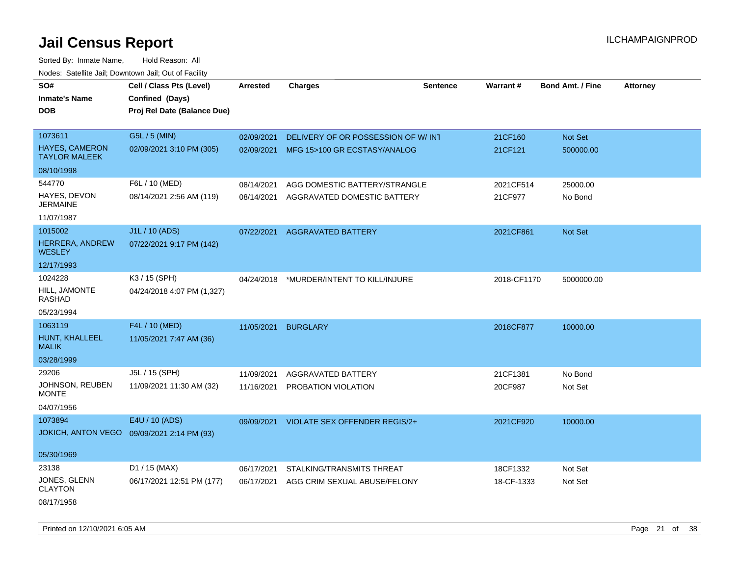Sorted By: Inmate Name, Hold Reason: All Nodes: Satellite Jail; Downtown Jail; Out of Facility

| SO#                                           | Cell / Class Pts (Level)    | <b>Arrested</b> | <b>Charges</b>                           | <b>Sentence</b> | <b>Warrant#</b> | <b>Bond Amt. / Fine</b> | <b>Attorney</b> |
|-----------------------------------------------|-----------------------------|-----------------|------------------------------------------|-----------------|-----------------|-------------------------|-----------------|
| <b>Inmate's Name</b>                          | Confined (Days)             |                 |                                          |                 |                 |                         |                 |
|                                               |                             |                 |                                          |                 |                 |                         |                 |
| <b>DOB</b>                                    | Proj Rel Date (Balance Due) |                 |                                          |                 |                 |                         |                 |
| 1073611                                       | G5L / 5 (MIN)               |                 |                                          |                 |                 |                         |                 |
|                                               |                             | 02/09/2021      | DELIVERY OF OR POSSESSION OF W/IN1       |                 | 21CF160         | <b>Not Set</b>          |                 |
| <b>HAYES, CAMERON</b><br><b>TAYLOR MALEEK</b> | 02/09/2021 3:10 PM (305)    |                 | 02/09/2021 MFG 15>100 GR ECSTASY/ANALOG  |                 | 21CF121         | 500000.00               |                 |
| 08/10/1998                                    |                             |                 |                                          |                 |                 |                         |                 |
| 544770                                        | F6L / 10 (MED)              | 08/14/2021      | AGG DOMESTIC BATTERY/STRANGLE            |                 | 2021CF514       | 25000.00                |                 |
| HAYES, DEVON<br><b>JERMAINE</b>               | 08/14/2021 2:56 AM (119)    | 08/14/2021      | AGGRAVATED DOMESTIC BATTERY              |                 | 21CF977         | No Bond                 |                 |
| 11/07/1987                                    |                             |                 |                                          |                 |                 |                         |                 |
| 1015002                                       | J1L / 10 (ADS)              | 07/22/2021      | <b>AGGRAVATED BATTERY</b>                |                 | 2021CF861       | Not Set                 |                 |
| HERRERA, ANDREW<br><b>WESLEY</b>              | 07/22/2021 9:17 PM (142)    |                 |                                          |                 |                 |                         |                 |
| 12/17/1993                                    |                             |                 |                                          |                 |                 |                         |                 |
| 1024228                                       | K3 / 15 (SPH)               | 04/24/2018      | *MURDER/INTENT TO KILL/INJURE            |                 | 2018-CF1170     | 5000000.00              |                 |
| HILL, JAMONTE<br>RASHAD                       | 04/24/2018 4:07 PM (1,327)  |                 |                                          |                 |                 |                         |                 |
| 05/23/1994                                    |                             |                 |                                          |                 |                 |                         |                 |
| 1063119                                       | F4L / 10 (MED)              | 11/05/2021      | <b>BURGLARY</b>                          |                 | 2018CF877       | 10000.00                |                 |
| HUNT, KHALLEEL<br><b>MALIK</b>                | 11/05/2021 7:47 AM (36)     |                 |                                          |                 |                 |                         |                 |
| 03/28/1999                                    |                             |                 |                                          |                 |                 |                         |                 |
| 29206                                         | J5L / 15 (SPH)              | 11/09/2021      | AGGRAVATED BATTERY                       |                 | 21CF1381        | No Bond                 |                 |
| JOHNSON, REUBEN<br><b>MONTE</b>               | 11/09/2021 11:30 AM (32)    |                 | 11/16/2021 PROBATION VIOLATION           |                 | 20CF987         | Not Set                 |                 |
| 04/07/1956                                    |                             |                 |                                          |                 |                 |                         |                 |
| 1073894                                       | E4U / 10 (ADS)              |                 | 09/09/2021 VIOLATE SEX OFFENDER REGIS/2+ |                 | 2021CF920       | 10000.00                |                 |
| <b>JOKICH, ANTON VEGO</b>                     | 09/09/2021 2:14 PM (93)     |                 |                                          |                 |                 |                         |                 |
| 05/30/1969                                    |                             |                 |                                          |                 |                 |                         |                 |
| 23138                                         | D1 / 15 (MAX)               | 06/17/2021      | STALKING/TRANSMITS THREAT                |                 | 18CF1332        | Not Set                 |                 |
| JONES, GLENN<br><b>CLAYTON</b>                | 06/17/2021 12:51 PM (177)   | 06/17/2021      | AGG CRIM SEXUAL ABUSE/FELONY             |                 | 18-CF-1333      | Not Set                 |                 |
| 08/17/1958                                    |                             |                 |                                          |                 |                 |                         |                 |

Printed on 12/10/2021 6:05 AM **Page 21 of 38** Page 21 of 38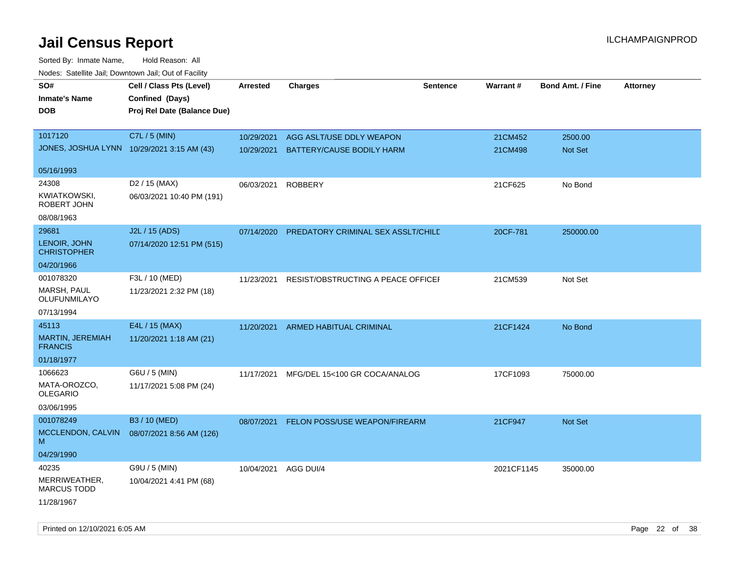| rouco. Calcillo Jali, Downtown Jali, Out of Facility |                                            |                 |                                    |                 |            |                         |                 |
|------------------------------------------------------|--------------------------------------------|-----------------|------------------------------------|-----------------|------------|-------------------------|-----------------|
| SO#                                                  | Cell / Class Pts (Level)                   | <b>Arrested</b> | <b>Charges</b>                     | <b>Sentence</b> | Warrant#   | <b>Bond Amt. / Fine</b> | <b>Attorney</b> |
| Inmate's Name                                        | Confined (Days)                            |                 |                                    |                 |            |                         |                 |
| <b>DOB</b>                                           | Proj Rel Date (Balance Due)                |                 |                                    |                 |            |                         |                 |
|                                                      |                                            |                 |                                    |                 |            |                         |                 |
| 1017120                                              | C7L / 5 (MIN)                              | 10/29/2021      | AGG ASLT/USE DDLY WEAPON           |                 | 21CM452    | 2500.00                 |                 |
|                                                      | JONES, JOSHUA LYNN 10/29/2021 3:15 AM (43) | 10/29/2021      | BATTERY/CAUSE BODILY HARM          |                 | 21CM498    | <b>Not Set</b>          |                 |
| 05/16/1993                                           |                                            |                 |                                    |                 |            |                         |                 |
| 24308                                                | D <sub>2</sub> / 15 (MAX)                  | 06/03/2021      | <b>ROBBERY</b>                     |                 | 21CF625    | No Bond                 |                 |
| KWIATKOWSKI,<br>ROBERT JOHN                          | 06/03/2021 10:40 PM (191)                  |                 |                                    |                 |            |                         |                 |
| 08/08/1963                                           |                                            |                 |                                    |                 |            |                         |                 |
| 29681                                                | J2L / 15 (ADS)                             | 07/14/2020      | PREDATORY CRIMINAL SEX ASSLT/CHILE |                 | 20CF-781   | 250000.00               |                 |
| LENOIR, JOHN<br><b>CHRISTOPHER</b>                   | 07/14/2020 12:51 PM (515)                  |                 |                                    |                 |            |                         |                 |
| 04/20/1966                                           |                                            |                 |                                    |                 |            |                         |                 |
| 001078320                                            | F3L / 10 (MED)                             | 11/23/2021      | RESIST/OBSTRUCTING A PEACE OFFICEI |                 | 21CM539    | Not Set                 |                 |
| MARSH, PAUL<br>OLUFUNMILAYO                          | 11/23/2021 2:32 PM (18)                    |                 |                                    |                 |            |                         |                 |
| 07/13/1994                                           |                                            |                 |                                    |                 |            |                         |                 |
| 45113                                                | E4L / 15 (MAX)                             | 11/20/2021      | ARMED HABITUAL CRIMINAL            |                 | 21CF1424   | No Bond                 |                 |
| <b>MARTIN, JEREMIAH</b><br><b>FRANCIS</b>            | 11/20/2021 1:18 AM (21)                    |                 |                                    |                 |            |                         |                 |
| 01/18/1977                                           |                                            |                 |                                    |                 |            |                         |                 |
| 1066623                                              | G6U / 5 (MIN)                              | 11/17/2021      | MFG/DEL 15<100 GR COCA/ANALOG      |                 | 17CF1093   | 75000.00                |                 |
| MATA-OROZCO.<br>OLEGARIO                             | 11/17/2021 5:08 PM (24)                    |                 |                                    |                 |            |                         |                 |
| 03/06/1995                                           |                                            |                 |                                    |                 |            |                         |                 |
| 001078249                                            | B3 / 10 (MED)                              | 08/07/2021      | FELON POSS/USE WEAPON/FIREARM      |                 | 21CF947    | Not Set                 |                 |
| MCCLENDON, CALVIN<br>м                               | 08/07/2021 8:56 AM (126)                   |                 |                                    |                 |            |                         |                 |
| 04/29/1990                                           |                                            |                 |                                    |                 |            |                         |                 |
| 40235                                                | G9U / 5 (MIN)                              | 10/04/2021      | AGG DUI/4                          |                 | 2021CF1145 | 35000.00                |                 |
| MERRIWEATHER,<br>MARCUS TODD                         | 10/04/2021 4:41 PM (68)                    |                 |                                    |                 |            |                         |                 |
| 11/28/1967                                           |                                            |                 |                                    |                 |            |                         |                 |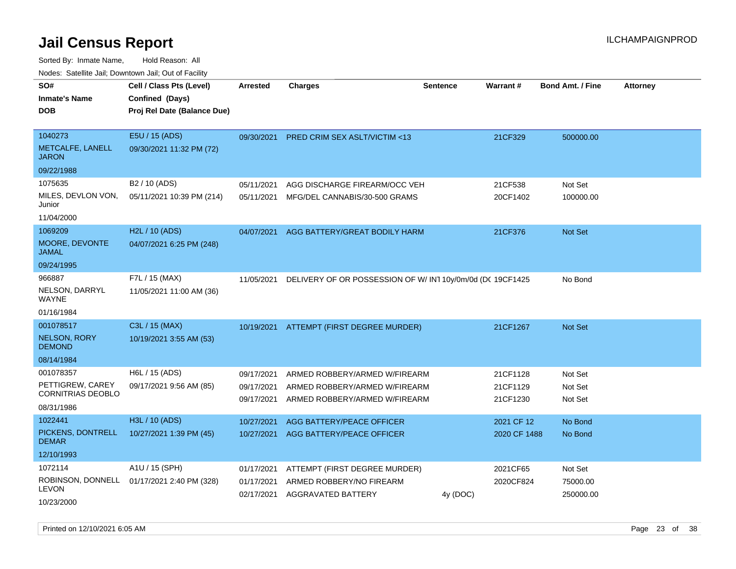| roaco. Calcinio dan, Domntomn dan, Out or Fabilit                       |                                                                            |                                        |                                                                                                 |                 |                                  |                               |                 |
|-------------------------------------------------------------------------|----------------------------------------------------------------------------|----------------------------------------|-------------------------------------------------------------------------------------------------|-----------------|----------------------------------|-------------------------------|-----------------|
| SO#<br><b>Inmate's Name</b><br><b>DOB</b>                               | Cell / Class Pts (Level)<br>Confined (Days)<br>Proj Rel Date (Balance Due) | <b>Arrested</b>                        | <b>Charges</b>                                                                                  | <b>Sentence</b> | Warrant#                         | <b>Bond Amt. / Fine</b>       | <b>Attorney</b> |
| 1040273<br>METCALFE, LANELL<br><b>JARON</b>                             | E5U / 15 (ADS)<br>09/30/2021 11:32 PM (72)                                 | 09/30/2021                             | PRED CRIM SEX ASLT/VICTIM <13                                                                   |                 | 21CF329                          | 500000.00                     |                 |
| 09/22/1988                                                              |                                                                            |                                        |                                                                                                 |                 |                                  |                               |                 |
| 1075635<br>MILES, DEVLON VON,<br>Junior                                 | B <sub>2</sub> / 10 (ADS)<br>05/11/2021 10:39 PM (214)                     | 05/11/2021<br>05/11/2021               | AGG DISCHARGE FIREARM/OCC VEH<br>MFG/DEL CANNABIS/30-500 GRAMS                                  |                 | 21CF538<br>20CF1402              | Not Set<br>100000.00          |                 |
| 11/04/2000                                                              |                                                                            |                                        |                                                                                                 |                 |                                  |                               |                 |
| 1069209<br>MOORE, DEVONTE<br><b>JAMAL</b>                               | H2L / 10 (ADS)<br>04/07/2021 6:25 PM (248)                                 | 04/07/2021                             | AGG BATTERY/GREAT BODILY HARM                                                                   |                 | 21CF376                          | Not Set                       |                 |
| 09/24/1995                                                              |                                                                            |                                        |                                                                                                 |                 |                                  |                               |                 |
| 966887<br>NELSON, DARRYL<br><b>WAYNE</b>                                | F7L / 15 (MAX)<br>11/05/2021 11:00 AM (36)                                 | 11/05/2021                             | DELIVERY OF OR POSSESSION OF W/IN1 10y/0m/0d (DC 19CF1425                                       |                 |                                  | No Bond                       |                 |
| 01/16/1984<br>001078517                                                 | C3L / 15 (MAX)                                                             |                                        |                                                                                                 |                 |                                  |                               |                 |
| <b>NELSON, RORY</b><br><b>DEMOND</b>                                    | 10/19/2021 3:55 AM (53)                                                    |                                        | 10/19/2021 ATTEMPT (FIRST DEGREE MURDER)                                                        |                 | 21CF1267                         | <b>Not Set</b>                |                 |
| 08/14/1984                                                              |                                                                            |                                        |                                                                                                 |                 |                                  |                               |                 |
| 001078357<br>PETTIGREW, CAREY<br><b>CORNITRIAS DEOBLO</b><br>08/31/1986 | H6L / 15 (ADS)<br>09/17/2021 9:56 AM (85)                                  | 09/17/2021<br>09/17/2021<br>09/17/2021 | ARMED ROBBERY/ARMED W/FIREARM<br>ARMED ROBBERY/ARMED W/FIREARM<br>ARMED ROBBERY/ARMED W/FIREARM |                 | 21CF1128<br>21CF1129<br>21CF1230 | Not Set<br>Not Set<br>Not Set |                 |
| 1022441                                                                 | H3L / 10 (ADS)                                                             | 10/27/2021                             | AGG BATTERY/PEACE OFFICER                                                                       |                 | 2021 CF 12                       | No Bond                       |                 |
| PICKENS, DONTRELL<br><b>DEMAR</b>                                       | 10/27/2021 1:39 PM (45)                                                    | 10/27/2021                             | AGG BATTERY/PEACE OFFICER                                                                       |                 | 2020 CF 1488                     | No Bond                       |                 |
| 12/10/1993                                                              |                                                                            |                                        |                                                                                                 |                 |                                  |                               |                 |
| 1072114                                                                 | A1U / 15 (SPH)                                                             | 01/17/2021                             | ATTEMPT (FIRST DEGREE MURDER)                                                                   |                 | 2021CF65                         | Not Set                       |                 |
| ROBINSON, DONNELL<br><b>LEVON</b><br>10/23/2000                         | 01/17/2021 2:40 PM (328)                                                   | 01/17/2021                             | ARMED ROBBERY/NO FIREARM<br>02/17/2021 AGGRAVATED BATTERY                                       | 4y (DOC)        | 2020CF824                        | 75000.00<br>250000.00         |                 |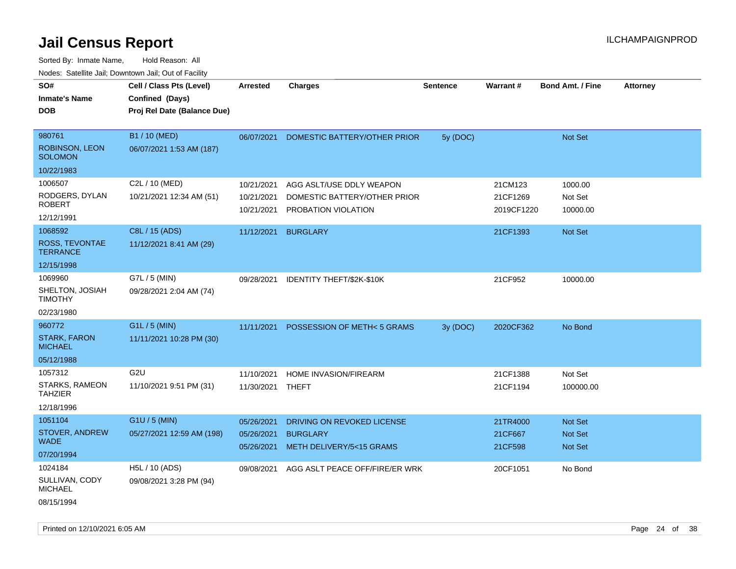| SO#                                     | Cell / Class Pts (Level)    | Arrested         | <b>Charges</b>                   | <b>Sentence</b> | Warrant#   | <b>Bond Amt. / Fine</b> | <b>Attorney</b> |
|-----------------------------------------|-----------------------------|------------------|----------------------------------|-----------------|------------|-------------------------|-----------------|
| <b>Inmate's Name</b>                    | Confined (Days)             |                  |                                  |                 |            |                         |                 |
| <b>DOB</b>                              | Proj Rel Date (Balance Due) |                  |                                  |                 |            |                         |                 |
|                                         |                             |                  |                                  |                 |            |                         |                 |
| 980761                                  | B1 / 10 (MED)               | 06/07/2021       | DOMESTIC BATTERY/OTHER PRIOR     | 5y (DOC)        |            | Not Set                 |                 |
| <b>ROBINSON, LEON</b><br><b>SOLOMON</b> | 06/07/2021 1:53 AM (187)    |                  |                                  |                 |            |                         |                 |
| 10/22/1983                              |                             |                  |                                  |                 |            |                         |                 |
| 1006507                                 | C2L / 10 (MED)              | 10/21/2021       | AGG ASLT/USE DDLY WEAPON         |                 | 21CM123    | 1000.00                 |                 |
| RODGERS, DYLAN<br><b>ROBERT</b>         | 10/21/2021 12:34 AM (51)    | 10/21/2021       | DOMESTIC BATTERY/OTHER PRIOR     |                 | 21CF1269   | Not Set                 |                 |
| 12/12/1991                              |                             | 10/21/2021       | PROBATION VIOLATION              |                 | 2019CF1220 | 10000.00                |                 |
| 1068592                                 | C8L / 15 (ADS)              | 11/12/2021       | <b>BURGLARY</b>                  |                 | 21CF1393   | Not Set                 |                 |
| ROSS, TEVONTAE<br><b>TERRANCE</b>       | 11/12/2021 8:41 AM (29)     |                  |                                  |                 |            |                         |                 |
| 12/15/1998                              |                             |                  |                                  |                 |            |                         |                 |
| 1069960                                 | G7L / 5 (MIN)               | 09/28/2021       | <b>IDENTITY THEFT/\$2K-\$10K</b> |                 | 21CF952    | 10000.00                |                 |
| SHELTON, JOSIAH<br><b>TIMOTHY</b>       | 09/28/2021 2:04 AM (74)     |                  |                                  |                 |            |                         |                 |
| 02/23/1980                              |                             |                  |                                  |                 |            |                         |                 |
| 960772                                  | G1L / 5 (MIN)               | 11/11/2021       | POSSESSION OF METH< 5 GRAMS      | 3y (DOC)        | 2020CF362  | No Bond                 |                 |
| <b>STARK, FARON</b><br><b>MICHAEL</b>   | 11/11/2021 10:28 PM (30)    |                  |                                  |                 |            |                         |                 |
| 05/12/1988                              |                             |                  |                                  |                 |            |                         |                 |
| 1057312                                 | G <sub>2U</sub>             | 11/10/2021       | HOME INVASION/FIREARM            |                 | 21CF1388   | Not Set                 |                 |
| STARKS, RAMEON<br><b>TAHZIER</b>        | 11/10/2021 9:51 PM (31)     | 11/30/2021 THEFT |                                  |                 | 21CF1194   | 100000.00               |                 |
| 12/18/1996                              |                             |                  |                                  |                 |            |                         |                 |
| 1051104                                 | G1U / 5 (MIN)               | 05/26/2021       | DRIVING ON REVOKED LICENSE       |                 | 21TR4000   | Not Set                 |                 |
| STOVER, ANDREW<br><b>WADE</b>           | 05/27/2021 12:59 AM (198)   | 05/26/2021       | <b>BURGLARY</b>                  |                 | 21CF667    | Not Set                 |                 |
| 07/20/1994                              |                             | 05/26/2021       | METH DELIVERY/5<15 GRAMS         |                 | 21CF598    | Not Set                 |                 |
| 1024184                                 | H5L / 10 (ADS)              | 09/08/2021       | AGG ASLT PEACE OFF/FIRE/ER WRK   |                 | 20CF1051   | No Bond                 |                 |
| SULLIVAN, CODY<br><b>MICHAEL</b>        | 09/08/2021 3:28 PM (94)     |                  |                                  |                 |            |                         |                 |
| 08/15/1994                              |                             |                  |                                  |                 |            |                         |                 |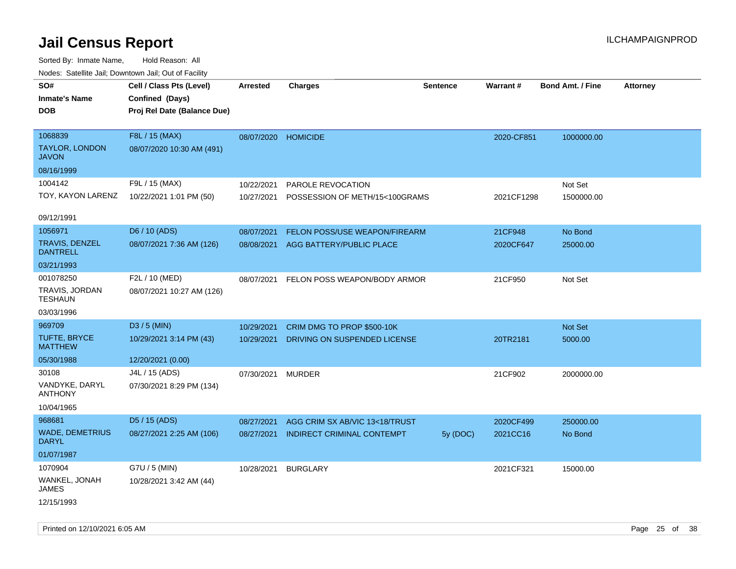| rouco. Calcillo Jali, Downtown Jali, Out of Facility |                                             |                     |                                   |          |            |                         |                 |
|------------------------------------------------------|---------------------------------------------|---------------------|-----------------------------------|----------|------------|-------------------------|-----------------|
| SO#<br><b>Inmate's Name</b>                          | Cell / Class Pts (Level)<br>Confined (Days) | <b>Arrested</b>     | <b>Charges</b>                    | Sentence | Warrant#   | <b>Bond Amt. / Fine</b> | <b>Attorney</b> |
| <b>DOB</b>                                           | Proj Rel Date (Balance Due)                 |                     |                                   |          |            |                         |                 |
| 1068839<br><b>TAYLOR, LONDON</b>                     | F8L / 15 (MAX)<br>08/07/2020 10:30 AM (491) | 08/07/2020 HOMICIDE |                                   |          | 2020-CF851 | 1000000.00              |                 |
| <b>JAVON</b>                                         |                                             |                     |                                   |          |            |                         |                 |
| 08/16/1999                                           |                                             |                     |                                   |          |            |                         |                 |
| 1004142                                              | F9L / 15 (MAX)                              | 10/22/2021          | PAROLE REVOCATION                 |          |            | Not Set                 |                 |
| TOY, KAYON LARENZ                                    | 10/22/2021 1:01 PM (50)                     | 10/27/2021          | POSSESSION OF METH/15<100GRAMS    |          | 2021CF1298 | 1500000.00              |                 |
| 09/12/1991                                           |                                             |                     |                                   |          |            |                         |                 |
| 1056971                                              | D6 / 10 (ADS)                               | 08/07/2021          | FELON POSS/USE WEAPON/FIREARM     |          | 21CF948    | No Bond                 |                 |
| TRAVIS, DENZEL<br><b>DANTRELL</b>                    | 08/07/2021 7:36 AM (126)                    | 08/08/2021          | AGG BATTERY/PUBLIC PLACE          |          | 2020CF647  | 25000.00                |                 |
| 03/21/1993                                           |                                             |                     |                                   |          |            |                         |                 |
| 001078250                                            | F2L / 10 (MED)                              | 08/07/2021          | FELON POSS WEAPON/BODY ARMOR      |          | 21CF950    | Not Set                 |                 |
| TRAVIS, JORDAN<br><b>TESHAUN</b>                     | 08/07/2021 10:27 AM (126)                   |                     |                                   |          |            |                         |                 |
| 03/03/1996                                           |                                             |                     |                                   |          |            |                         |                 |
| 969709                                               | D3 / 5 (MIN)                                | 10/29/2021          | CRIM DMG TO PROP \$500-10K        |          |            | Not Set                 |                 |
| TUFTE, BRYCE<br><b>MATTHEW</b>                       | 10/29/2021 3:14 PM (43)                     | 10/29/2021          | DRIVING ON SUSPENDED LICENSE      |          | 20TR2181   | 5000.00                 |                 |
| 05/30/1988                                           | 12/20/2021 (0.00)                           |                     |                                   |          |            |                         |                 |
| 30108                                                | J4L / 15 (ADS)                              | 07/30/2021          | <b>MURDER</b>                     |          | 21CF902    | 2000000.00              |                 |
| VANDYKE, DARYL<br><b>ANTHONY</b>                     | 07/30/2021 8:29 PM (134)                    |                     |                                   |          |            |                         |                 |
| 10/04/1965                                           |                                             |                     |                                   |          |            |                         |                 |
| 968681                                               | D5 / 15 (ADS)                               | 08/27/2021          | AGG CRIM SX AB/VIC 13<18/TRUST    |          | 2020CF499  | 250000.00               |                 |
| <b>WADE, DEMETRIUS</b><br><b>DARYL</b>               | 08/27/2021 2:25 AM (106)                    | 08/27/2021          | <b>INDIRECT CRIMINAL CONTEMPT</b> | 5y (DOC) | 2021CC16   | No Bond                 |                 |
| 01/07/1987                                           |                                             |                     |                                   |          |            |                         |                 |
| 1070904                                              | G7U / 5 (MIN)                               | 10/28/2021          | <b>BURGLARY</b>                   |          | 2021CF321  | 15000.00                |                 |
| WANKEL, JONAH<br><b>JAMES</b>                        | 10/28/2021 3:42 AM (44)                     |                     |                                   |          |            |                         |                 |
| 12/15/1993                                           |                                             |                     |                                   |          |            |                         |                 |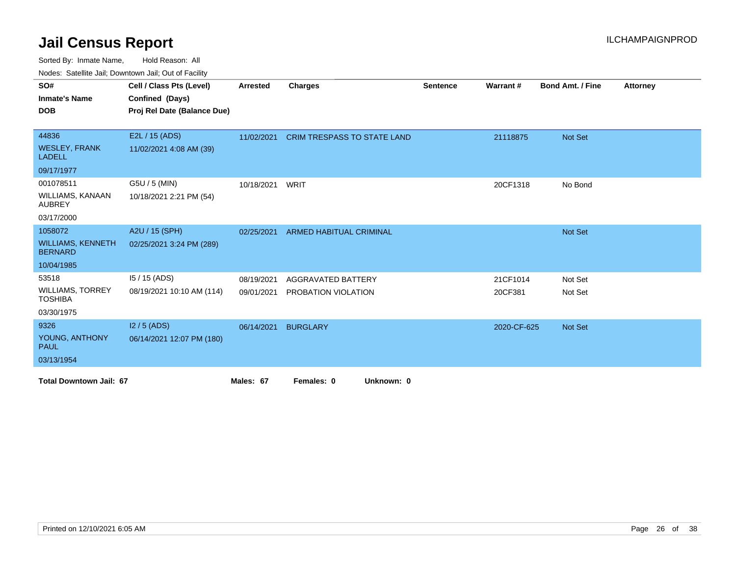Sorted By: Inmate Name, Hold Reason: All

Nodes: Satellite Jail; Downtown Jail; Out of Facility

| SO#                                        | Cell / Class Pts (Level)    | <b>Arrested</b> | <b>Charges</b>                     | <b>Sentence</b> | <b>Warrant#</b> | <b>Bond Amt. / Fine</b> | <b>Attorney</b> |
|--------------------------------------------|-----------------------------|-----------------|------------------------------------|-----------------|-----------------|-------------------------|-----------------|
| <b>Inmate's Name</b>                       | Confined (Days)             |                 |                                    |                 |                 |                         |                 |
| <b>DOB</b>                                 | Proj Rel Date (Balance Due) |                 |                                    |                 |                 |                         |                 |
|                                            |                             |                 |                                    |                 |                 |                         |                 |
| 44836                                      | E2L / 15 (ADS)              | 11/02/2021      | <b>CRIM TRESPASS TO STATE LAND</b> |                 | 21118875        | Not Set                 |                 |
| <b>WESLEY, FRANK</b><br><b>LADELL</b>      | 11/02/2021 4:08 AM (39)     |                 |                                    |                 |                 |                         |                 |
| 09/17/1977                                 |                             |                 |                                    |                 |                 |                         |                 |
| 001078511                                  | G5U / 5 (MIN)               | 10/18/2021      | WRIT                               |                 | 20CF1318        | No Bond                 |                 |
| WILLIAMS, KANAAN<br><b>AUBREY</b>          | 10/18/2021 2:21 PM (54)     |                 |                                    |                 |                 |                         |                 |
| 03/17/2000                                 |                             |                 |                                    |                 |                 |                         |                 |
| 1058072                                    | A2U / 15 (SPH)              | 02/25/2021      | <b>ARMED HABITUAL CRIMINAL</b>     |                 |                 | Not Set                 |                 |
| <b>WILLIAMS, KENNETH</b><br><b>BERNARD</b> | 02/25/2021 3:24 PM (289)    |                 |                                    |                 |                 |                         |                 |
| 10/04/1985                                 |                             |                 |                                    |                 |                 |                         |                 |
| 53518                                      | 15 / 15 (ADS)               | 08/19/2021      | <b>AGGRAVATED BATTERY</b>          |                 | 21CF1014        | Not Set                 |                 |
| <b>WILLIAMS, TORREY</b><br><b>TOSHIBA</b>  | 08/19/2021 10:10 AM (114)   | 09/01/2021      | PROBATION VIOLATION                |                 | 20CF381         | Not Set                 |                 |
| 03/30/1975                                 |                             |                 |                                    |                 |                 |                         |                 |
| 9326                                       | $12/5$ (ADS)                | 06/14/2021      | <b>BURGLARY</b>                    |                 | 2020-CF-625     | Not Set                 |                 |
| YOUNG, ANTHONY<br><b>PAUL</b>              | 06/14/2021 12:07 PM (180)   |                 |                                    |                 |                 |                         |                 |
| 03/13/1954                                 |                             |                 |                                    |                 |                 |                         |                 |
| <b>Total Downtown Jail: 67</b>             |                             | Males: 67       | Females: 0<br>Unknown: 0           |                 |                 |                         |                 |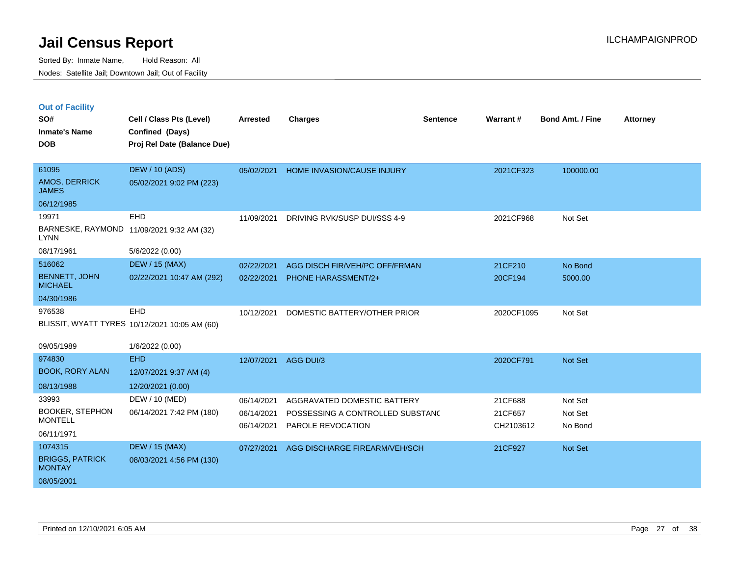|  | <b>Out of Facility</b> |  |
|--|------------------------|--|
|  |                        |  |
|  |                        |  |

| SO#<br><b>Inmate's Name</b><br><b>DOB</b> | Cell / Class Pts (Level)<br>Confined (Days)<br>Proj Rel Date (Balance Due) | Arrested   | <b>Charges</b>                   | <b>Sentence</b> | Warrant#   | <b>Bond Amt. / Fine</b> | <b>Attorney</b> |
|-------------------------------------------|----------------------------------------------------------------------------|------------|----------------------------------|-----------------|------------|-------------------------|-----------------|
|                                           |                                                                            |            |                                  |                 |            |                         |                 |
| 61095<br>AMOS, DERRICK<br><b>JAMES</b>    | <b>DEW / 10 (ADS)</b><br>05/02/2021 9:02 PM (223)                          | 05/02/2021 | HOME INVASION/CAUSE INJURY       |                 | 2021CF323  | 100000.00               |                 |
| 06/12/1985                                |                                                                            |            |                                  |                 |            |                         |                 |
| 19971                                     | EHD                                                                        | 11/09/2021 | DRIVING RVK/SUSP DUI/SSS 4-9     |                 | 2021CF968  | Not Set                 |                 |
| <b>LYNN</b>                               | BARNESKE, RAYMOND 11/09/2021 9:32 AM (32)                                  |            |                                  |                 |            |                         |                 |
| 08/17/1961                                | 5/6/2022 (0.00)                                                            |            |                                  |                 |            |                         |                 |
| 516062                                    | <b>DEW / 15 (MAX)</b>                                                      | 02/22/2021 | AGG DISCH FIR/VEH/PC OFF/FRMAN   |                 | 21CF210    | No Bond                 |                 |
| <b>BENNETT, JOHN</b><br><b>MICHAEL</b>    | 02/22/2021 10:47 AM (292)                                                  | 02/22/2021 | <b>PHONE HARASSMENT/2+</b>       |                 | 20CF194    | 5000.00                 |                 |
| 04/30/1986                                |                                                                            |            |                                  |                 |            |                         |                 |
| 976538                                    | EHD                                                                        | 10/12/2021 | DOMESTIC BATTERY/OTHER PRIOR     |                 | 2020CF1095 | Not Set                 |                 |
|                                           | BLISSIT, WYATT TYRES 10/12/2021 10:05 AM (60)                              |            |                                  |                 |            |                         |                 |
| 09/05/1989                                | 1/6/2022 (0.00)                                                            |            |                                  |                 |            |                         |                 |
| 974830                                    | <b>EHD</b>                                                                 | 12/07/2021 | AGG DUI/3                        |                 | 2020CF791  | Not Set                 |                 |
| <b>BOOK, RORY ALAN</b>                    | 12/07/2021 9:37 AM (4)                                                     |            |                                  |                 |            |                         |                 |
| 08/13/1988                                | 12/20/2021 (0.00)                                                          |            |                                  |                 |            |                         |                 |
| 33993                                     | DEW / 10 (MED)                                                             | 06/14/2021 | AGGRAVATED DOMESTIC BATTERY      |                 | 21CF688    | Not Set                 |                 |
| <b>BOOKER, STEPHON</b>                    | 06/14/2021 7:42 PM (180)                                                   | 06/14/2021 | POSSESSING A CONTROLLED SUBSTAND |                 | 21CF657    | Not Set                 |                 |
| <b>MONTELL</b>                            |                                                                            | 06/14/2021 | PAROLE REVOCATION                |                 | CH2103612  | No Bond                 |                 |
| 06/11/1971                                |                                                                            |            |                                  |                 |            |                         |                 |
| 1074315                                   | <b>DEW / 15 (MAX)</b>                                                      | 07/27/2021 | AGG DISCHARGE FIREARM/VEH/SCH    |                 | 21CF927    | <b>Not Set</b>          |                 |
| <b>BRIGGS, PATRICK</b><br><b>MONTAY</b>   | 08/03/2021 4:56 PM (130)                                                   |            |                                  |                 |            |                         |                 |
| 08/05/2001                                |                                                                            |            |                                  |                 |            |                         |                 |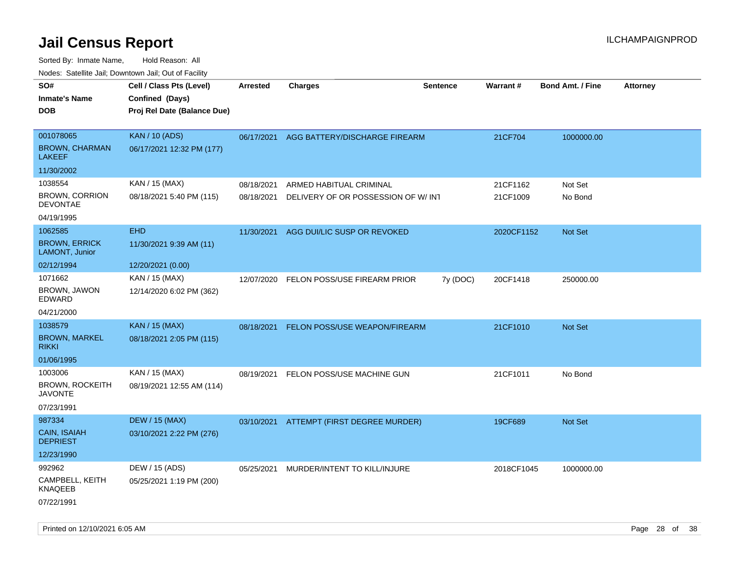| rouco. Calcillo Jali, Downtown Jali, Out of Facility |                                                                            |                 |                                          |                 |            |                         |                 |
|------------------------------------------------------|----------------------------------------------------------------------------|-----------------|------------------------------------------|-----------------|------------|-------------------------|-----------------|
| SO#<br>Inmate's Name<br>DOB                          | Cell / Class Pts (Level)<br>Confined (Days)<br>Proj Rel Date (Balance Due) | <b>Arrested</b> | <b>Charges</b>                           | <b>Sentence</b> | Warrant#   | <b>Bond Amt. / Fine</b> | <b>Attorney</b> |
| 001078065<br><b>BROWN, CHARMAN</b><br>LAKEEF         | <b>KAN / 10 (ADS)</b><br>06/17/2021 12:32 PM (177)                         |                 | 06/17/2021 AGG BATTERY/DISCHARGE FIREARM |                 | 21CF704    | 1000000.00              |                 |
| 11/30/2002                                           |                                                                            |                 |                                          |                 |            |                         |                 |
| 1038554                                              | KAN / 15 (MAX)                                                             | 08/18/2021      | ARMED HABITUAL CRIMINAL                  |                 | 21CF1162   | Not Set                 |                 |
| BROWN, CORRION<br><b>DEVONTAE</b>                    | 08/18/2021 5:40 PM (115)                                                   | 08/18/2021      | DELIVERY OF OR POSSESSION OF W/INT       |                 | 21CF1009   | No Bond                 |                 |
| 04/19/1995                                           |                                                                            |                 |                                          |                 |            |                         |                 |
| 1062585                                              | <b>EHD</b>                                                                 | 11/30/2021      | AGG DUI/LIC SUSP OR REVOKED              |                 | 2020CF1152 | <b>Not Set</b>          |                 |
| <b>BROWN, ERRICK</b><br>LAMONT, Junior               | 11/30/2021 9:39 AM (11)                                                    |                 |                                          |                 |            |                         |                 |
| 02/12/1994                                           | 12/20/2021 (0.00)                                                          |                 |                                          |                 |            |                         |                 |
| 1071662                                              | KAN / 15 (MAX)                                                             | 12/07/2020      | FELON POSS/USE FIREARM PRIOR             | 7y (DOC)        | 20CF1418   | 250000.00               |                 |
| BROWN, JAWON<br>EDWARD                               | 12/14/2020 6:02 PM (362)                                                   |                 |                                          |                 |            |                         |                 |
| 04/21/2000                                           |                                                                            |                 |                                          |                 |            |                         |                 |
| 1038579                                              | <b>KAN / 15 (MAX)</b>                                                      |                 | 08/18/2021 FELON POSS/USE WEAPON/FIREARM |                 | 21CF1010   | <b>Not Set</b>          |                 |
| <b>BROWN, MARKEL</b><br>rikki                        | 08/18/2021 2:05 PM (115)                                                   |                 |                                          |                 |            |                         |                 |
| 01/06/1995                                           |                                                                            |                 |                                          |                 |            |                         |                 |
| 1003006                                              | KAN / 15 (MAX)                                                             | 08/19/2021      | FELON POSS/USE MACHINE GUN               |                 | 21CF1011   | No Bond                 |                 |
| BROWN, ROCKEITH<br>JAVONTE                           | 08/19/2021 12:55 AM (114)                                                  |                 |                                          |                 |            |                         |                 |
| 07/23/1991                                           |                                                                            |                 |                                          |                 |            |                         |                 |
| 987334                                               | <b>DEW / 15 (MAX)</b>                                                      |                 | 03/10/2021 ATTEMPT (FIRST DEGREE MURDER) |                 | 19CF689    | <b>Not Set</b>          |                 |
| CAIN, ISAIAH<br>DEPRIEST                             | 03/10/2021 2:22 PM (276)                                                   |                 |                                          |                 |            |                         |                 |
| 12/23/1990                                           |                                                                            |                 |                                          |                 |            |                         |                 |
| 992962                                               | DEW / 15 (ADS)                                                             | 05/25/2021      | MURDER/INTENT TO KILL/INJURE             |                 | 2018CF1045 | 1000000.00              |                 |
| CAMPBELL, KEITH<br>KNAQEEB                           | 05/25/2021 1:19 PM (200)                                                   |                 |                                          |                 |            |                         |                 |
| 07/22/1991                                           |                                                                            |                 |                                          |                 |            |                         |                 |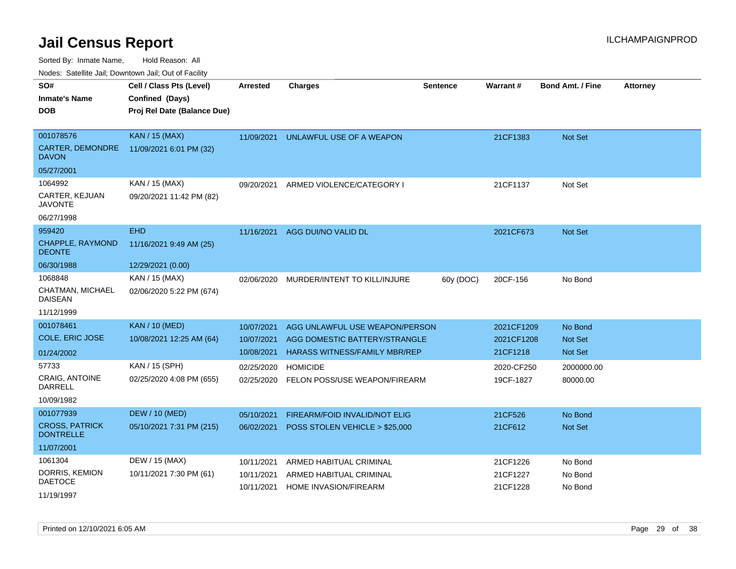Sorted By: Inmate Name, Hold Reason: All

Nodes: Satellite Jail; Downtown Jail; Out of Facility

| SO#                                       | Cell / Class Pts (Level)    | <b>Arrested</b> | <b>Charges</b>                       | <b>Sentence</b> | <b>Warrant#</b> | <b>Bond Amt. / Fine</b> | <b>Attorney</b> |
|-------------------------------------------|-----------------------------|-----------------|--------------------------------------|-----------------|-----------------|-------------------------|-----------------|
| <b>Inmate's Name</b>                      | Confined (Days)             |                 |                                      |                 |                 |                         |                 |
| <b>DOB</b>                                | Proj Rel Date (Balance Due) |                 |                                      |                 |                 |                         |                 |
|                                           |                             |                 |                                      |                 |                 |                         |                 |
| 001078576                                 | <b>KAN / 15 (MAX)</b>       | 11/09/2021      | UNLAWFUL USE OF A WEAPON             |                 | 21CF1383        | <b>Not Set</b>          |                 |
| CARTER, DEMONDRE<br><b>DAVON</b>          | 11/09/2021 6:01 PM (32)     |                 |                                      |                 |                 |                         |                 |
| 05/27/2001                                |                             |                 |                                      |                 |                 |                         |                 |
| 1064992                                   | KAN / 15 (MAX)              | 09/20/2021      | ARMED VIOLENCE/CATEGORY I            |                 | 21CF1137        | Not Set                 |                 |
| CARTER, KEJUAN<br><b>JAVONTE</b>          | 09/20/2021 11:42 PM (82)    |                 |                                      |                 |                 |                         |                 |
| 06/27/1998                                |                             |                 |                                      |                 |                 |                         |                 |
| 959420                                    | <b>EHD</b>                  | 11/16/2021      | AGG DUI/NO VALID DL                  |                 | 2021CF673       | Not Set                 |                 |
| CHAPPLE, RAYMOND<br><b>DEONTE</b>         | 11/16/2021 9:49 AM (25)     |                 |                                      |                 |                 |                         |                 |
| 06/30/1988                                | 12/29/2021 (0.00)           |                 |                                      |                 |                 |                         |                 |
| 1068848                                   | KAN / 15 (MAX)              | 02/06/2020      | MURDER/INTENT TO KILL/INJURE         | 60y (DOC)       | 20CF-156        | No Bond                 |                 |
| CHATMAN, MICHAEL<br><b>DAISEAN</b>        | 02/06/2020 5:22 PM (674)    |                 |                                      |                 |                 |                         |                 |
| 11/12/1999                                |                             |                 |                                      |                 |                 |                         |                 |
| 001078461                                 | <b>KAN / 10 (MED)</b>       | 10/07/2021      | AGG UNLAWFUL USE WEAPON/PERSON       |                 | 2021CF1209      | No Bond                 |                 |
| COLE, ERIC JOSE                           | 10/08/2021 12:25 AM (64)    | 10/07/2021      | AGG DOMESTIC BATTERY/STRANGLE        |                 | 2021CF1208      | <b>Not Set</b>          |                 |
| 01/24/2002                                |                             | 10/08/2021      | <b>HARASS WITNESS/FAMILY MBR/REP</b> |                 | 21CF1218        | <b>Not Set</b>          |                 |
| 57733                                     | KAN / 15 (SPH)              | 02/25/2020      | <b>HOMICIDE</b>                      |                 | 2020-CF250      | 2000000.00              |                 |
| <b>CRAIG, ANTOINE</b>                     | 02/25/2020 4:08 PM (655)    | 02/25/2020      | FELON POSS/USE WEAPON/FIREARM        |                 | 19CF-1827       | 80000.00                |                 |
| DARRELL                                   |                             |                 |                                      |                 |                 |                         |                 |
| 10/09/1982                                |                             |                 |                                      |                 |                 |                         |                 |
| 001077939                                 | <b>DEW / 10 (MED)</b>       | 05/10/2021      | FIREARM/FOID INVALID/NOT ELIG        |                 | 21CF526         | No Bond                 |                 |
| <b>CROSS, PATRICK</b><br><b>DONTRELLE</b> | 05/10/2021 7:31 PM (215)    | 06/02/2021      | POSS STOLEN VEHICLE > \$25,000       |                 | 21CF612         | <b>Not Set</b>          |                 |
| 11/07/2001                                |                             |                 |                                      |                 |                 |                         |                 |
| 1061304                                   | DEW / 15 (MAX)              | 10/11/2021      | ARMED HABITUAL CRIMINAL              |                 | 21CF1226        | No Bond                 |                 |
| DORRIS, KEMION                            | 10/11/2021 7:30 PM (61)     | 10/11/2021      | ARMED HABITUAL CRIMINAL              |                 | 21CF1227        | No Bond                 |                 |
| <b>DAETOCE</b>                            |                             | 10/11/2021      | <b>HOME INVASION/FIREARM</b>         |                 | 21CF1228        | No Bond                 |                 |
| 11/19/1997                                |                             |                 |                                      |                 |                 |                         |                 |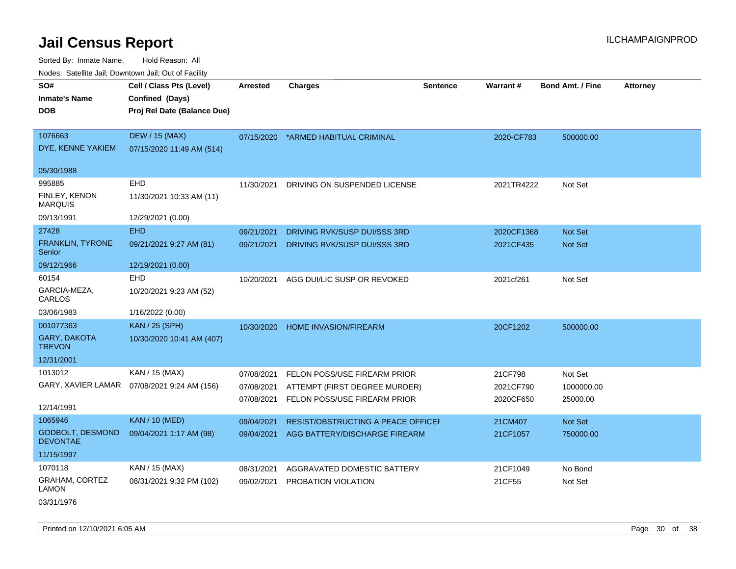Sorted By: Inmate Name, Hold Reason: All Nodes: Satellite Jail; Downtown Jail; Out of Facility

| Noucs. Calcillic Jail, Downtown Jail, Out of Facility |                                                                            |                 |                                           |                 |                 |                         |                 |
|-------------------------------------------------------|----------------------------------------------------------------------------|-----------------|-------------------------------------------|-----------------|-----------------|-------------------------|-----------------|
| SO#<br><b>Inmate's Name</b><br>DOB                    | Cell / Class Pts (Level)<br>Confined (Days)<br>Proj Rel Date (Balance Due) | <b>Arrested</b> | <b>Charges</b>                            | <b>Sentence</b> | <b>Warrant#</b> | <b>Bond Amt. / Fine</b> | <b>Attorney</b> |
|                                                       |                                                                            |                 |                                           |                 |                 |                         |                 |
| 1076663<br>DYE, KENNE YAKIEM                          | <b>DEW / 15 (MAX)</b><br>07/15/2020 11:49 AM (514)                         | 07/15/2020      | *ARMED HABITUAL CRIMINAL                  |                 | 2020-CF783      | 500000.00               |                 |
| 05/30/1988                                            |                                                                            |                 |                                           |                 |                 |                         |                 |
| 995885                                                | EHD                                                                        | 11/30/2021      | DRIVING ON SUSPENDED LICENSE              |                 | 2021TR4222      | Not Set                 |                 |
| FINLEY, KENON<br><b>MARQUIS</b>                       | 11/30/2021 10:33 AM (11)                                                   |                 |                                           |                 |                 |                         |                 |
| 09/13/1991                                            | 12/29/2021 (0.00)                                                          |                 |                                           |                 |                 |                         |                 |
| 27428                                                 | <b>EHD</b>                                                                 | 09/21/2021      | DRIVING RVK/SUSP DUI/SSS 3RD              |                 | 2020CF1368      | Not Set                 |                 |
| <b>FRANKLIN, TYRONE</b><br>Senior                     | 09/21/2021 9:27 AM (81)                                                    | 09/21/2021      | DRIVING RVK/SUSP DUI/SSS 3RD              |                 | 2021CF435       | <b>Not Set</b>          |                 |
| 09/12/1966                                            | 12/19/2021 (0.00)                                                          |                 |                                           |                 |                 |                         |                 |
| 60154                                                 | <b>EHD</b>                                                                 | 10/20/2021      | AGG DUI/LIC SUSP OR REVOKED               |                 | 2021cf261       | Not Set                 |                 |
| GARCIA-MEZA,<br>CARLOS                                | 10/20/2021 9:23 AM (52)                                                    |                 |                                           |                 |                 |                         |                 |
| 03/06/1983                                            | 1/16/2022 (0.00)                                                           |                 |                                           |                 |                 |                         |                 |
| 001077363                                             | <b>KAN / 25 (SPH)</b>                                                      | 10/30/2020      | <b>HOME INVASION/FIREARM</b>              |                 | 20CF1202        | 500000.00               |                 |
| GARY, DAKOTA<br><b>TREVON</b>                         | 10/30/2020 10:41 AM (407)                                                  |                 |                                           |                 |                 |                         |                 |
| 12/31/2001                                            |                                                                            |                 |                                           |                 |                 |                         |                 |
| 1013012                                               | KAN / 15 (MAX)                                                             | 07/08/2021      | FELON POSS/USE FIREARM PRIOR              |                 | 21CF798         | Not Set                 |                 |
|                                                       | GARY, XAVIER LAMAR  07/08/2021 9:24 AM (156)                               | 07/08/2021      | ATTEMPT (FIRST DEGREE MURDER)             |                 | 2021CF790       | 1000000.00              |                 |
| 12/14/1991                                            |                                                                            | 07/08/2021      | FELON POSS/USE FIREARM PRIOR              |                 | 2020CF650       | 25000.00                |                 |
| 1065946                                               | <b>KAN / 10 (MED)</b>                                                      | 09/04/2021      | <b>RESIST/OBSTRUCTING A PEACE OFFICEF</b> |                 | 21CM407         | Not Set                 |                 |
| <b>GODBOLT, DESMOND</b><br><b>DEVONTAE</b>            | 09/04/2021 1:17 AM (98)                                                    | 09/04/2021      | AGG BATTERY/DISCHARGE FIREARM             |                 | 21CF1057        | 750000.00               |                 |
| 11/15/1997                                            |                                                                            |                 |                                           |                 |                 |                         |                 |
| 1070118                                               | KAN / 15 (MAX)                                                             | 08/31/2021      | AGGRAVATED DOMESTIC BATTERY               |                 | 21CF1049        | No Bond                 |                 |
| <b>GRAHAM, CORTEZ</b><br><b>LAMON</b>                 | 08/31/2021 9:32 PM (102)                                                   | 09/02/2021      | PROBATION VIOLATION                       |                 | 21CF55          | Not Set                 |                 |

03/31/1976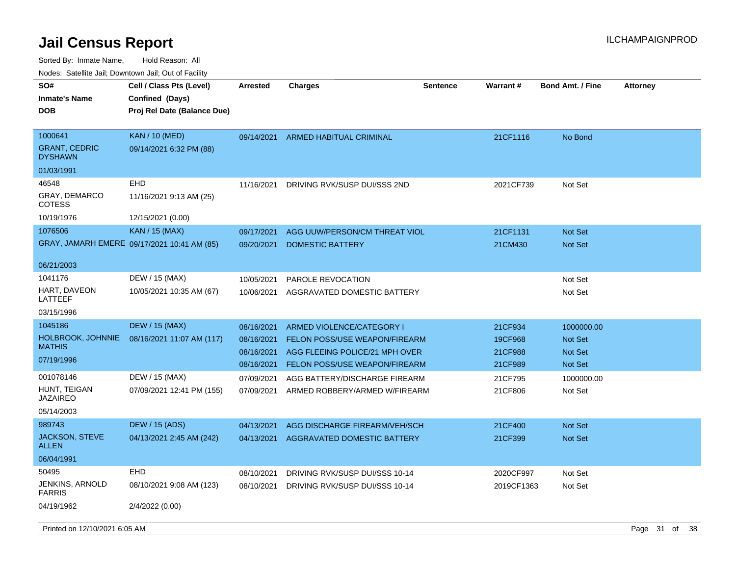Sorted By: Inmate Name, Hold Reason: All Nodes: Satellite Jail; Downtown Jail; Out of Facility

| roaco. Catolino dall, Downtown dall, Out of Fability |                                                                            |                          |                                                                 |                 |                    |                                  |                 |
|------------------------------------------------------|----------------------------------------------------------------------------|--------------------------|-----------------------------------------------------------------|-----------------|--------------------|----------------------------------|-----------------|
| SO#<br><b>Inmate's Name</b><br><b>DOB</b>            | Cell / Class Pts (Level)<br>Confined (Days)<br>Proj Rel Date (Balance Due) | Arrested                 | <b>Charges</b>                                                  | <b>Sentence</b> | <b>Warrant#</b>    | <b>Bond Amt. / Fine</b>          | <b>Attorney</b> |
| 1000641<br><b>GRANT, CEDRIC</b><br><b>DYSHAWN</b>    | <b>KAN</b> / 10 (MED)<br>09/14/2021 6:32 PM (88)                           | 09/14/2021               | ARMED HABITUAL CRIMINAL                                         |                 | 21CF1116           | No Bond                          |                 |
| 01/03/1991                                           |                                                                            |                          |                                                                 |                 |                    |                                  |                 |
| 46548                                                | <b>EHD</b>                                                                 | 11/16/2021               | DRIVING RVK/SUSP DUI/SSS 2ND                                    |                 | 2021CF739          | Not Set                          |                 |
| <b>GRAY, DEMARCO</b><br>COTESS                       | 11/16/2021 9:13 AM (25)                                                    |                          |                                                                 |                 |                    |                                  |                 |
| 10/19/1976                                           | 12/15/2021 (0.00)                                                          |                          |                                                                 |                 |                    |                                  |                 |
| 1076506                                              | <b>KAN / 15 (MAX)</b>                                                      | 09/17/2021               | AGG UUW/PERSON/CM THREAT VIOL                                   |                 | 21CF1131           | <b>Not Set</b>                   |                 |
|                                                      | GRAY, JAMARH EMERE 09/17/2021 10:41 AM (85)                                | 09/20/2021               | <b>DOMESTIC BATTERY</b>                                         |                 | 21CM430            | Not Set                          |                 |
| 06/21/2003                                           |                                                                            |                          |                                                                 |                 |                    |                                  |                 |
| 1041176                                              | DEW / 15 (MAX)                                                             | 10/05/2021               | PAROLE REVOCATION                                               |                 |                    | Not Set                          |                 |
| HART, DAVEON<br>LATTEEF                              | 10/05/2021 10:35 AM (67)                                                   | 10/06/2021               | AGGRAVATED DOMESTIC BATTERY                                     |                 |                    | Not Set                          |                 |
| 03/15/1996                                           |                                                                            |                          |                                                                 |                 |                    |                                  |                 |
| 1045186                                              | <b>DEW / 15 (MAX)</b>                                                      | 08/16/2021               | ARMED VIOLENCE/CATEGORY I                                       |                 | 21CF934            | 1000000.00                       |                 |
| <b>HOLBROOK, JOHNNIE</b><br><b>MATHIS</b>            | 08/16/2021 11:07 AM (117)                                                  | 08/16/2021               | FELON POSS/USE WEAPON/FIREARM                                   |                 | 19CF968            | <b>Not Set</b>                   |                 |
| 07/19/1996                                           |                                                                            | 08/16/2021<br>08/16/2021 | AGG FLEEING POLICE/21 MPH OVER<br>FELON POSS/USE WEAPON/FIREARM |                 | 21CF988<br>21CF989 | <b>Not Set</b><br><b>Not Set</b> |                 |
| 001078146                                            | DEW / 15 (MAX)                                                             | 07/09/2021               | AGG BATTERY/DISCHARGE FIREARM                                   |                 | 21CF795            | 1000000.00                       |                 |
| HUNT, TEIGAN<br><b>JAZAIREO</b>                      | 07/09/2021 12:41 PM (155)                                                  | 07/09/2021               | ARMED ROBBERY/ARMED W/FIREARM                                   |                 | 21CF806            | Not Set                          |                 |
| 05/14/2003                                           |                                                                            |                          |                                                                 |                 |                    |                                  |                 |
| 989743                                               | DEW / 15 (ADS)                                                             | 04/13/2021               | AGG DISCHARGE FIREARM/VEH/SCH                                   |                 | 21CF400            | <b>Not Set</b>                   |                 |
| <b>JACKSON, STEVE</b><br>ALLEN                       | 04/13/2021 2:45 AM (242)                                                   | 04/13/2021               | AGGRAVATED DOMESTIC BATTERY                                     |                 | 21CF399            | <b>Not Set</b>                   |                 |
| 06/04/1991                                           |                                                                            |                          |                                                                 |                 |                    |                                  |                 |
| 50495                                                | EHD                                                                        | 08/10/2021               | DRIVING RVK/SUSP DUI/SSS 10-14                                  |                 | 2020CF997          | Not Set                          |                 |
| <b>JENKINS, ARNOLD</b><br><b>FARRIS</b>              | 08/10/2021 9:08 AM (123)                                                   | 08/10/2021               | DRIVING RVK/SUSP DUI/SSS 10-14                                  |                 | 2019CF1363         | Not Set                          |                 |
| 04/19/1962                                           | 2/4/2022 (0.00)                                                            |                          |                                                                 |                 |                    |                                  |                 |

Printed on 12/10/2021 6:05 AM **Page 31 of 38**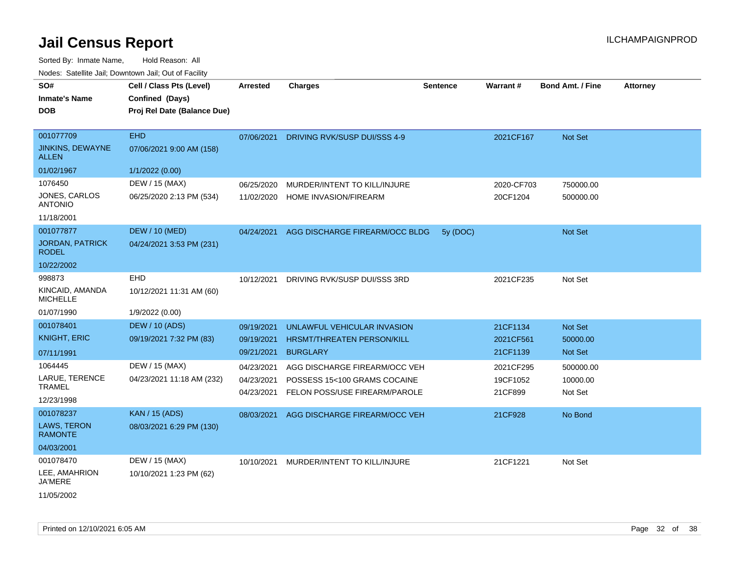Sorted By: Inmate Name, Hold Reason: All

| SO#                                     | Cell / Class Pts (Level)    | <b>Arrested</b> | <b>Charges</b>                    | <b>Sentence</b> | Warrant#   | <b>Bond Amt. / Fine</b> | <b>Attorney</b> |
|-----------------------------------------|-----------------------------|-----------------|-----------------------------------|-----------------|------------|-------------------------|-----------------|
| <b>Inmate's Name</b>                    | Confined (Days)             |                 |                                   |                 |            |                         |                 |
| <b>DOB</b>                              | Proj Rel Date (Balance Due) |                 |                                   |                 |            |                         |                 |
|                                         |                             |                 |                                   |                 |            |                         |                 |
| 001077709                               | <b>EHD</b>                  | 07/06/2021      | DRIVING RVK/SUSP DUI/SSS 4-9      |                 | 2021CF167  | Not Set                 |                 |
| <b>JINKINS, DEWAYNE</b><br><b>ALLEN</b> | 07/06/2021 9:00 AM (158)    |                 |                                   |                 |            |                         |                 |
| 01/02/1967                              | 1/1/2022 (0.00)             |                 |                                   |                 |            |                         |                 |
| 1076450                                 | DEW / 15 (MAX)              | 06/25/2020      | MURDER/INTENT TO KILL/INJURE      |                 | 2020-CF703 | 750000.00               |                 |
| JONES, CARLOS<br><b>ANTONIO</b>         | 06/25/2020 2:13 PM (534)    | 11/02/2020      | <b>HOME INVASION/FIREARM</b>      |                 | 20CF1204   | 500000.00               |                 |
| 11/18/2001                              |                             |                 |                                   |                 |            |                         |                 |
| 001077877                               | <b>DEW / 10 (MED)</b>       | 04/24/2021      | AGG DISCHARGE FIREARM/OCC BLDG    | 5y (DOC)        |            | Not Set                 |                 |
| <b>JORDAN, PATRICK</b><br><b>RODEL</b>  | 04/24/2021 3:53 PM (231)    |                 |                                   |                 |            |                         |                 |
| 10/22/2002                              |                             |                 |                                   |                 |            |                         |                 |
| 998873                                  | <b>EHD</b>                  | 10/12/2021      | DRIVING RVK/SUSP DUI/SSS 3RD      |                 | 2021CF235  | Not Set                 |                 |
| KINCAID, AMANDA<br><b>MICHELLE</b>      | 10/12/2021 11:31 AM (60)    |                 |                                   |                 |            |                         |                 |
| 01/07/1990                              | 1/9/2022 (0.00)             |                 |                                   |                 |            |                         |                 |
| 001078401                               | <b>DEW / 10 (ADS)</b>       | 09/19/2021      | UNLAWFUL VEHICULAR INVASION       |                 | 21CF1134   | Not Set                 |                 |
| <b>KNIGHT, ERIC</b>                     | 09/19/2021 7:32 PM (83)     | 09/19/2021      | <b>HRSMT/THREATEN PERSON/KILL</b> |                 | 2021CF561  | 50000.00                |                 |
| 07/11/1991                              |                             | 09/21/2021      | <b>BURGLARY</b>                   |                 | 21CF1139   | Not Set                 |                 |
| 1064445                                 | DEW / 15 (MAX)              | 04/23/2021      | AGG DISCHARGE FIREARM/OCC VEH     |                 | 2021CF295  | 500000.00               |                 |
| LARUE, TERENCE                          | 04/23/2021 11:18 AM (232)   | 04/23/2021      | POSSESS 15<100 GRAMS COCAINE      |                 | 19CF1052   | 10000.00                |                 |
| <b>TRAMEL</b>                           |                             | 04/23/2021      | FELON POSS/USE FIREARM/PAROLE     |                 | 21CF899    | Not Set                 |                 |
| 12/23/1998                              |                             |                 |                                   |                 |            |                         |                 |
| 001078237                               | <b>KAN / 15 (ADS)</b>       | 08/03/2021      | AGG DISCHARGE FIREARM/OCC VEH     |                 | 21CF928    | No Bond                 |                 |
| LAWS, TERON<br><b>RAMONTE</b>           | 08/03/2021 6:29 PM (130)    |                 |                                   |                 |            |                         |                 |
| 04/03/2001                              |                             |                 |                                   |                 |            |                         |                 |
| 001078470                               | DEW / 15 (MAX)              | 10/10/2021      | MURDER/INTENT TO KILL/INJURE      |                 | 21CF1221   | Not Set                 |                 |
| LEE, AMAHRION<br><b>JA'MERE</b>         | 10/10/2021 1:23 PM (62)     |                 |                                   |                 |            |                         |                 |
| 11/05/2002                              |                             |                 |                                   |                 |            |                         |                 |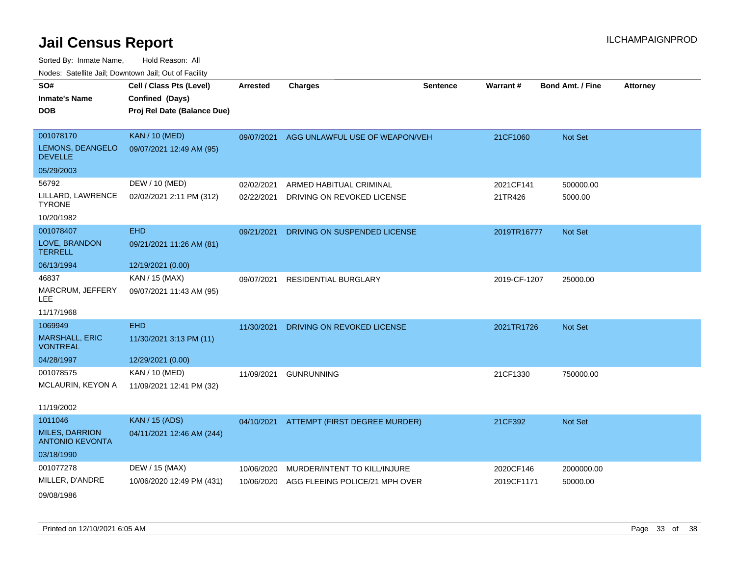| SO#                                             | Cell / Class Pts (Level)    | <b>Arrested</b> | <b>Charges</b>                           | <b>Sentence</b> | Warrant #    | <b>Bond Amt. / Fine</b> | <b>Attorney</b> |
|-------------------------------------------------|-----------------------------|-----------------|------------------------------------------|-----------------|--------------|-------------------------|-----------------|
| <b>Inmate's Name</b>                            | Confined (Days)             |                 |                                          |                 |              |                         |                 |
| <b>DOB</b>                                      | Proj Rel Date (Balance Due) |                 |                                          |                 |              |                         |                 |
|                                                 |                             |                 |                                          |                 |              |                         |                 |
| 001078170                                       | <b>KAN / 10 (MED)</b>       | 09/07/2021      | AGG UNLAWFUL USE OF WEAPON/VEH           |                 | 21CF1060     | Not Set                 |                 |
| LEMONS, DEANGELO<br><b>DEVELLE</b>              | 09/07/2021 12:49 AM (95)    |                 |                                          |                 |              |                         |                 |
| 05/29/2003                                      |                             |                 |                                          |                 |              |                         |                 |
| 56792                                           | DEW / 10 (MED)              | 02/02/2021      | ARMED HABITUAL CRIMINAL                  |                 | 2021CF141    | 500000.00               |                 |
| LILLARD, LAWRENCE<br><b>TYRONE</b>              | 02/02/2021 2:11 PM (312)    | 02/22/2021      | DRIVING ON REVOKED LICENSE               |                 | 21TR426      | 5000.00                 |                 |
| 10/20/1982                                      |                             |                 |                                          |                 |              |                         |                 |
| 001078407                                       | <b>EHD</b>                  | 09/21/2021      | DRIVING ON SUSPENDED LICENSE             |                 | 2019TR16777  | Not Set                 |                 |
| LOVE, BRANDON<br><b>TERRELL</b>                 | 09/21/2021 11:26 AM (81)    |                 |                                          |                 |              |                         |                 |
| 06/13/1994                                      | 12/19/2021 (0.00)           |                 |                                          |                 |              |                         |                 |
| 46837                                           | KAN / 15 (MAX)              | 09/07/2021      | <b>RESIDENTIAL BURGLARY</b>              |                 | 2019-CF-1207 | 25000.00                |                 |
| MARCRUM, JEFFERY<br><b>LEE</b>                  | 09/07/2021 11:43 AM (95)    |                 |                                          |                 |              |                         |                 |
| 11/17/1968                                      |                             |                 |                                          |                 |              |                         |                 |
| 1069949                                         | <b>EHD</b>                  | 11/30/2021      | DRIVING ON REVOKED LICENSE               |                 | 2021TR1726   | Not Set                 |                 |
| <b>MARSHALL, ERIC</b><br><b>VONTREAL</b>        | 11/30/2021 3:13 PM (11)     |                 |                                          |                 |              |                         |                 |
| 04/28/1997                                      | 12/29/2021 (0.00)           |                 |                                          |                 |              |                         |                 |
| 001078575                                       | KAN / 10 (MED)              | 11/09/2021      | <b>GUNRUNNING</b>                        |                 | 21CF1330     | 750000.00               |                 |
| MCLAURIN, KEYON A                               | 11/09/2021 12:41 PM (32)    |                 |                                          |                 |              |                         |                 |
| 11/19/2002                                      |                             |                 |                                          |                 |              |                         |                 |
| 1011046                                         | <b>KAN / 15 (ADS)</b>       |                 | 04/10/2021 ATTEMPT (FIRST DEGREE MURDER) |                 | 21CF392      | Not Set                 |                 |
| <b>MILES, DARRION</b><br><b>ANTONIO KEVONTA</b> | 04/11/2021 12:46 AM (244)   |                 |                                          |                 |              |                         |                 |
| 03/18/1990                                      |                             |                 |                                          |                 |              |                         |                 |
| 001077278                                       | DEW / 15 (MAX)              | 10/06/2020      | MURDER/INTENT TO KILL/INJURE             |                 | 2020CF146    | 2000000.00              |                 |
| MILLER, D'ANDRE                                 | 10/06/2020 12:49 PM (431)   | 10/06/2020      | AGG FLEEING POLICE/21 MPH OVER           |                 | 2019CF1171   | 50000.00                |                 |
| 09/08/1986                                      |                             |                 |                                          |                 |              |                         |                 |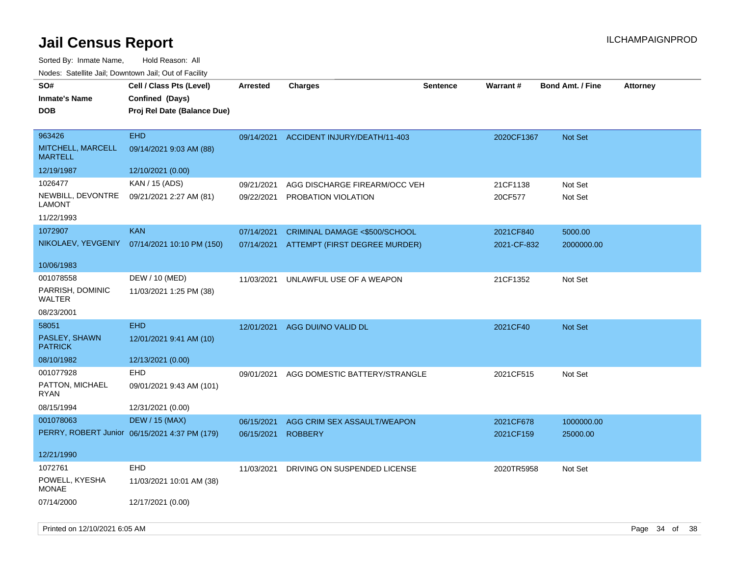| SO#<br><b>Inmate's Name</b><br><b>DOB</b>     | Cell / Class Pts (Level)<br>Confined (Days)<br>Proj Rel Date (Balance Due) | <b>Arrested</b> | <b>Charges</b>                          | <b>Sentence</b> | Warrant#    | <b>Bond Amt. / Fine</b> | <b>Attorney</b> |
|-----------------------------------------------|----------------------------------------------------------------------------|-----------------|-----------------------------------------|-----------------|-------------|-------------------------|-----------------|
| 963426<br>MITCHELL, MARCELL<br><b>MARTELL</b> | <b>EHD</b><br>09/14/2021 9:03 AM (88)                                      |                 | 09/14/2021 ACCIDENT INJURY/DEATH/11-403 |                 | 2020CF1367  | Not Set                 |                 |
| 12/19/1987                                    | 12/10/2021 (0.00)                                                          |                 |                                         |                 |             |                         |                 |
| 1026477                                       | KAN / 15 (ADS)                                                             | 09/21/2021      | AGG DISCHARGE FIREARM/OCC VEH           |                 | 21CF1138    | Not Set                 |                 |
| NEWBILL, DEVONTRE<br><b>LAMONT</b>            | 09/21/2021 2:27 AM (81)                                                    | 09/22/2021      | PROBATION VIOLATION                     |                 | 20CF577     | Not Set                 |                 |
| 11/22/1993                                    |                                                                            |                 |                                         |                 |             |                         |                 |
| 1072907                                       | <b>KAN</b>                                                                 | 07/14/2021      | CRIMINAL DAMAGE <\$500/SCHOOL           |                 | 2021CF840   | 5000.00                 |                 |
| NIKOLAEV, YEVGENIY                            | 07/14/2021 10:10 PM (150)                                                  | 07/14/2021      | ATTEMPT (FIRST DEGREE MURDER)           |                 | 2021-CF-832 | 2000000.00              |                 |
| 10/06/1983                                    |                                                                            |                 |                                         |                 |             |                         |                 |
| 001078558                                     | DEW / 10 (MED)                                                             | 11/03/2021      | UNLAWFUL USE OF A WEAPON                |                 | 21CF1352    | Not Set                 |                 |
| PARRISH, DOMINIC<br>WALTER                    | 11/03/2021 1:25 PM (38)                                                    |                 |                                         |                 |             |                         |                 |
| 08/23/2001                                    |                                                                            |                 |                                         |                 |             |                         |                 |
| 58051                                         | <b>EHD</b>                                                                 | 12/01/2021      | AGG DUI/NO VALID DL                     |                 | 2021CF40    | Not Set                 |                 |
| PASLEY, SHAWN<br><b>PATRICK</b>               | 12/01/2021 9:41 AM (10)                                                    |                 |                                         |                 |             |                         |                 |
| 08/10/1982                                    | 12/13/2021 (0.00)                                                          |                 |                                         |                 |             |                         |                 |
| 001077928                                     | <b>EHD</b>                                                                 | 09/01/2021      | AGG DOMESTIC BATTERY/STRANGLE           |                 | 2021CF515   | Not Set                 |                 |
| PATTON, MICHAEL<br><b>RYAN</b>                | 09/01/2021 9:43 AM (101)                                                   |                 |                                         |                 |             |                         |                 |
| 08/15/1994                                    | 12/31/2021 (0.00)                                                          |                 |                                         |                 |             |                         |                 |
| 001078063                                     | <b>DEW / 15 (MAX)</b>                                                      | 06/15/2021      | AGG CRIM SEX ASSAULT/WEAPON             |                 | 2021CF678   | 1000000.00              |                 |
|                                               | PERRY, ROBERT Junior 06/15/2021 4:37 PM (179)                              | 06/15/2021      | <b>ROBBERY</b>                          |                 | 2021CF159   | 25000.00                |                 |
| 12/21/1990                                    |                                                                            |                 |                                         |                 |             |                         |                 |
| 1072761                                       | <b>EHD</b>                                                                 | 11/03/2021      | DRIVING ON SUSPENDED LICENSE            |                 | 2020TR5958  | Not Set                 |                 |
| POWELL, KYESHA<br><b>MONAE</b>                | 11/03/2021 10:01 AM (38)                                                   |                 |                                         |                 |             |                         |                 |
| 07/14/2000                                    | 12/17/2021 (0.00)                                                          |                 |                                         |                 |             |                         |                 |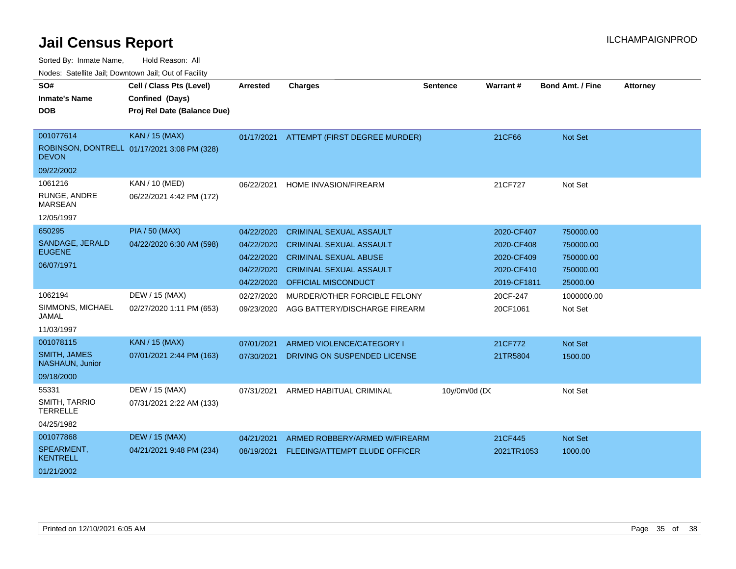| SO#                                    | Cell / Class Pts (Level)                    | <b>Arrested</b> | <b>Charges</b>                 | <b>Sentence</b> | <b>Warrant#</b> | <b>Bond Amt. / Fine</b> | <b>Attorney</b> |
|----------------------------------------|---------------------------------------------|-----------------|--------------------------------|-----------------|-----------------|-------------------------|-----------------|
| <b>Inmate's Name</b>                   | Confined (Days)                             |                 |                                |                 |                 |                         |                 |
| <b>DOB</b>                             | Proj Rel Date (Balance Due)                 |                 |                                |                 |                 |                         |                 |
|                                        |                                             |                 |                                |                 |                 |                         |                 |
| 001077614                              | <b>KAN / 15 (MAX)</b>                       | 01/17/2021      | ATTEMPT (FIRST DEGREE MURDER)  |                 | 21CF66          | <b>Not Set</b>          |                 |
| <b>DEVON</b>                           | ROBINSON, DONTRELL 01/17/2021 3:08 PM (328) |                 |                                |                 |                 |                         |                 |
| 09/22/2002                             |                                             |                 |                                |                 |                 |                         |                 |
| 1061216                                | KAN / 10 (MED)                              | 06/22/2021      | HOME INVASION/FIREARM          |                 | 21CF727         | Not Set                 |                 |
| RUNGE, ANDRE<br><b>MARSEAN</b>         | 06/22/2021 4:42 PM (172)                    |                 |                                |                 |                 |                         |                 |
| 12/05/1997                             |                                             |                 |                                |                 |                 |                         |                 |
| 650295                                 | <b>PIA / 50 (MAX)</b>                       | 04/22/2020      | <b>CRIMINAL SEXUAL ASSAULT</b> |                 | 2020-CF407      | 750000.00               |                 |
| SANDAGE, JERALD                        | 04/22/2020 6:30 AM (598)                    | 04/22/2020      | <b>CRIMINAL SEXUAL ASSAULT</b> |                 | 2020-CF408      | 750000.00               |                 |
| <b>EUGENE</b>                          |                                             | 04/22/2020      | <b>CRIMINAL SEXUAL ABUSE</b>   |                 | 2020-CF409      | 750000.00               |                 |
| 06/07/1971                             |                                             | 04/22/2020      | <b>CRIMINAL SEXUAL ASSAULT</b> |                 | 2020-CF410      | 750000.00               |                 |
|                                        |                                             | 04/22/2020      | OFFICIAL MISCONDUCT            |                 | 2019-CF1811     | 25000.00                |                 |
| 1062194                                | DEW / 15 (MAX)                              | 02/27/2020      | MURDER/OTHER FORCIBLE FELONY   |                 | 20CF-247        | 1000000.00              |                 |
| SIMMONS, MICHAEL<br>JAMAL              | 02/27/2020 1:11 PM (653)                    | 09/23/2020      | AGG BATTERY/DISCHARGE FIREARM  |                 | 20CF1061        | Not Set                 |                 |
| 11/03/1997                             |                                             |                 |                                |                 |                 |                         |                 |
| 001078115                              | <b>KAN / 15 (MAX)</b>                       | 07/01/2021      | ARMED VIOLENCE/CATEGORY I      |                 | 21CF772         | <b>Not Set</b>          |                 |
| <b>SMITH, JAMES</b><br>NASHAUN, Junior | 07/01/2021 2:44 PM (163)                    | 07/30/2021      | DRIVING ON SUSPENDED LICENSE   |                 | 21TR5804        | 1500.00                 |                 |
| 09/18/2000                             |                                             |                 |                                |                 |                 |                         |                 |
| 55331                                  | DEW / 15 (MAX)                              | 07/31/2021      | ARMED HABITUAL CRIMINAL        | 10y/0m/0d (DC   |                 | Not Set                 |                 |
| SMITH, TARRIO<br><b>TERRELLE</b>       | 07/31/2021 2:22 AM (133)                    |                 |                                |                 |                 |                         |                 |
| 04/25/1982                             |                                             |                 |                                |                 |                 |                         |                 |
| 001077868                              | <b>DEW / 15 (MAX)</b>                       | 04/21/2021      | ARMED ROBBERY/ARMED W/FIREARM  |                 | 21CF445         | <b>Not Set</b>          |                 |
| SPEARMENT,<br>KENTRELL                 | 04/21/2021 9:48 PM (234)                    | 08/19/2021      | FLEEING/ATTEMPT ELUDE OFFICER  |                 | 2021TR1053      | 1000.00                 |                 |
| 01/21/2002                             |                                             |                 |                                |                 |                 |                         |                 |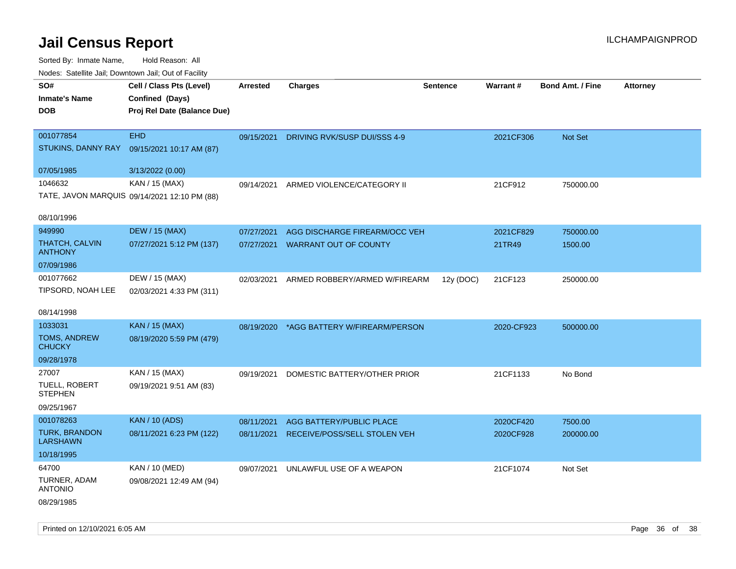Sorted By: Inmate Name, Hold Reason: All

| Nodes: Satellite Jail; Downtown Jail; Out of Facility |                                              |                 |                                          |                 |                 |                  |                 |  |
|-------------------------------------------------------|----------------------------------------------|-----------------|------------------------------------------|-----------------|-----------------|------------------|-----------------|--|
| SO#                                                   | Cell / Class Pts (Level)                     | <b>Arrested</b> | <b>Charges</b>                           | <b>Sentence</b> | <b>Warrant#</b> | Bond Amt. / Fine | <b>Attorney</b> |  |
| <b>Inmate's Name</b>                                  | Confined (Days)                              |                 |                                          |                 |                 |                  |                 |  |
| <b>DOB</b>                                            | Proj Rel Date (Balance Due)                  |                 |                                          |                 |                 |                  |                 |  |
|                                                       |                                              |                 |                                          |                 |                 |                  |                 |  |
| 001077854                                             | <b>EHD</b>                                   | 09/15/2021      | DRIVING RVK/SUSP DUI/SSS 4-9             |                 | 2021CF306       | Not Set          |                 |  |
| STUKINS, DANNY RAY                                    | 09/15/2021 10:17 AM (87)                     |                 |                                          |                 |                 |                  |                 |  |
| 07/05/1985                                            | 3/13/2022 (0.00)                             |                 |                                          |                 |                 |                  |                 |  |
| 1046632                                               | KAN / 15 (MAX)                               | 09/14/2021      | ARMED VIOLENCE/CATEGORY II               |                 | 21CF912         | 750000.00        |                 |  |
|                                                       | TATE, JAVON MARQUIS 09/14/2021 12:10 PM (88) |                 |                                          |                 |                 |                  |                 |  |
|                                                       |                                              |                 |                                          |                 |                 |                  |                 |  |
| 08/10/1996                                            |                                              |                 |                                          |                 |                 |                  |                 |  |
| 949990                                                | <b>DEW / 15 (MAX)</b>                        | 07/27/2021      | AGG DISCHARGE FIREARM/OCC VEH            |                 | 2021CF829       | 750000.00        |                 |  |
| THATCH, CALVIN<br><b>ANTHONY</b>                      | 07/27/2021 5:12 PM (137)                     | 07/27/2021      | <b>WARRANT OUT OF COUNTY</b>             |                 | 21TR49          | 1500.00          |                 |  |
| 07/09/1986                                            |                                              |                 |                                          |                 |                 |                  |                 |  |
| 001077662                                             | DEW / 15 (MAX)                               |                 |                                          |                 |                 |                  |                 |  |
| TIPSORD, NOAH LEE                                     | 02/03/2021 4:33 PM (311)                     | 02/03/2021      | ARMED ROBBERY/ARMED W/FIREARM            | 12y (DOC)       | 21CF123         | 250000.00        |                 |  |
|                                                       |                                              |                 |                                          |                 |                 |                  |                 |  |
| 08/14/1998                                            |                                              |                 |                                          |                 |                 |                  |                 |  |
| 1033031                                               | <b>KAN / 15 (MAX)</b>                        |                 | 08/19/2020 *AGG BATTERY W/FIREARM/PERSON |                 | 2020-CF923      | 500000.00        |                 |  |
| TOMS, ANDREW                                          | 08/19/2020 5:59 PM (479)                     |                 |                                          |                 |                 |                  |                 |  |
| <b>CHUCKY</b>                                         |                                              |                 |                                          |                 |                 |                  |                 |  |
| 09/28/1978                                            |                                              |                 |                                          |                 |                 |                  |                 |  |
| 27007                                                 | KAN / 15 (MAX)                               | 09/19/2021      | DOMESTIC BATTERY/OTHER PRIOR             |                 | 21CF1133        | No Bond          |                 |  |
| TUELL, ROBERT<br><b>STEPHEN</b>                       | 09/19/2021 9:51 AM (83)                      |                 |                                          |                 |                 |                  |                 |  |
| 09/25/1967                                            |                                              |                 |                                          |                 |                 |                  |                 |  |
| 001078263                                             | <b>KAN / 10 (ADS)</b>                        |                 |                                          |                 |                 |                  |                 |  |
| <b>TURK, BRANDON</b>                                  | 08/11/2021 6:23 PM (122)                     | 08/11/2021      | AGG BATTERY/PUBLIC PLACE                 |                 | 2020CF420       | 7500.00          |                 |  |
| <b>LARSHAWN</b>                                       |                                              | 08/11/2021      | RECEIVE/POSS/SELL STOLEN VEH             |                 | 2020CF928       | 200000.00        |                 |  |
| 10/18/1995                                            |                                              |                 |                                          |                 |                 |                  |                 |  |
| 64700                                                 | KAN / 10 (MED)                               | 09/07/2021      | UNLAWFUL USE OF A WEAPON                 |                 | 21CF1074        | Not Set          |                 |  |
| TURNER, ADAM                                          | 09/08/2021 12:49 AM (94)                     |                 |                                          |                 |                 |                  |                 |  |
| <b>ANTONIO</b>                                        |                                              |                 |                                          |                 |                 |                  |                 |  |
| 08/29/1985                                            |                                              |                 |                                          |                 |                 |                  |                 |  |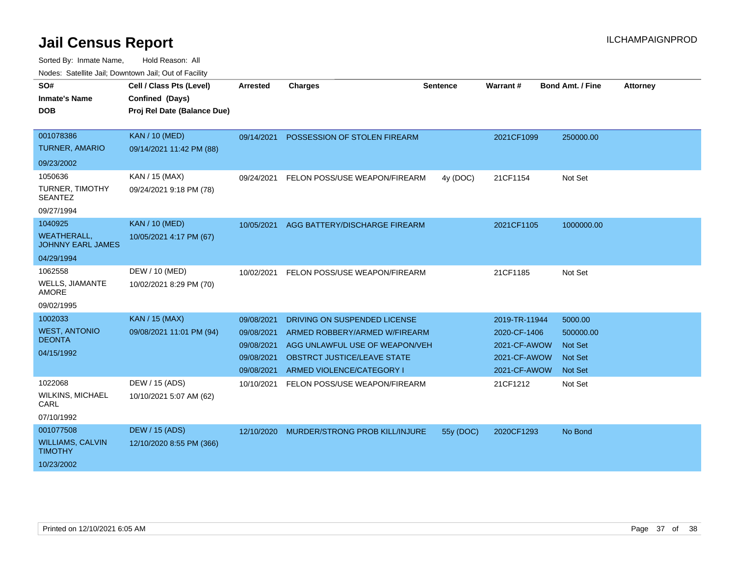| SO#                                            | Cell / Class Pts (Level)    | <b>Arrested</b> | <b>Charges</b>                     | Sentence  | Warrant#      | <b>Bond Amt. / Fine</b> | <b>Attorney</b> |
|------------------------------------------------|-----------------------------|-----------------|------------------------------------|-----------|---------------|-------------------------|-----------------|
| <b>Inmate's Name</b>                           | Confined (Days)             |                 |                                    |           |               |                         |                 |
| <b>DOB</b>                                     | Proj Rel Date (Balance Due) |                 |                                    |           |               |                         |                 |
|                                                |                             |                 |                                    |           |               |                         |                 |
| 001078386                                      | <b>KAN / 10 (MED)</b>       | 09/14/2021      | POSSESSION OF STOLEN FIREARM       |           | 2021CF1099    | 250000.00               |                 |
| <b>TURNER, AMARIO</b>                          | 09/14/2021 11:42 PM (88)    |                 |                                    |           |               |                         |                 |
| 09/23/2002                                     |                             |                 |                                    |           |               |                         |                 |
| 1050636                                        | KAN / 15 (MAX)              | 09/24/2021      | FELON POSS/USE WEAPON/FIREARM      | 4y (DOC)  | 21CF1154      | Not Set                 |                 |
| TURNER, TIMOTHY<br><b>SEANTEZ</b>              | 09/24/2021 9:18 PM (78)     |                 |                                    |           |               |                         |                 |
| 09/27/1994                                     |                             |                 |                                    |           |               |                         |                 |
| 1040925                                        | <b>KAN / 10 (MED)</b>       | 10/05/2021      | AGG BATTERY/DISCHARGE FIREARM      |           | 2021CF1105    | 1000000.00              |                 |
| <b>WEATHERALL,</b><br><b>JOHNNY EARL JAMES</b> | 10/05/2021 4:17 PM (67)     |                 |                                    |           |               |                         |                 |
| 04/29/1994                                     |                             |                 |                                    |           |               |                         |                 |
| 1062558                                        | DEW / 10 (MED)              | 10/02/2021      | FELON POSS/USE WEAPON/FIREARM      |           | 21CF1185      | Not Set                 |                 |
| <b>WELLS, JIAMANTE</b><br><b>AMORE</b>         | 10/02/2021 8:29 PM (70)     |                 |                                    |           |               |                         |                 |
| 09/02/1995                                     |                             |                 |                                    |           |               |                         |                 |
| 1002033                                        | <b>KAN / 15 (MAX)</b>       | 09/08/2021      | DRIVING ON SUSPENDED LICENSE       |           | 2019-TR-11944 | 5000.00                 |                 |
| <b>WEST, ANTONIO</b>                           | 09/08/2021 11:01 PM (94)    | 09/08/2021      | ARMED ROBBERY/ARMED W/FIREARM      |           | 2020-CF-1406  | 500000.00               |                 |
| <b>DEONTA</b>                                  |                             | 09/08/2021      | AGG UNLAWFUL USE OF WEAPON/VEH     |           | 2021-CF-AWOW  | <b>Not Set</b>          |                 |
| 04/15/1992                                     |                             | 09/08/2021      | <b>OBSTRCT JUSTICE/LEAVE STATE</b> |           | 2021-CF-AWOW  | <b>Not Set</b>          |                 |
|                                                |                             | 09/08/2021      | ARMED VIOLENCE/CATEGORY I          |           | 2021-CF-AWOW  | <b>Not Set</b>          |                 |
| 1022068                                        | DEW / 15 (ADS)              | 10/10/2021      | FELON POSS/USE WEAPON/FIREARM      |           | 21CF1212      | Not Set                 |                 |
| <b>WILKINS, MICHAEL</b><br>CARL                | 10/10/2021 5:07 AM (62)     |                 |                                    |           |               |                         |                 |
| 07/10/1992                                     |                             |                 |                                    |           |               |                         |                 |
| 001077508                                      | <b>DEW / 15 (ADS)</b>       | 12/10/2020      | MURDER/STRONG PROB KILL/INJURE     | 55y (DOC) | 2020CF1293    | No Bond                 |                 |
| <b>WILLIAMS, CALVIN</b><br><b>TIMOTHY</b>      | 12/10/2020 8:55 PM (366)    |                 |                                    |           |               |                         |                 |
| 10/23/2002                                     |                             |                 |                                    |           |               |                         |                 |